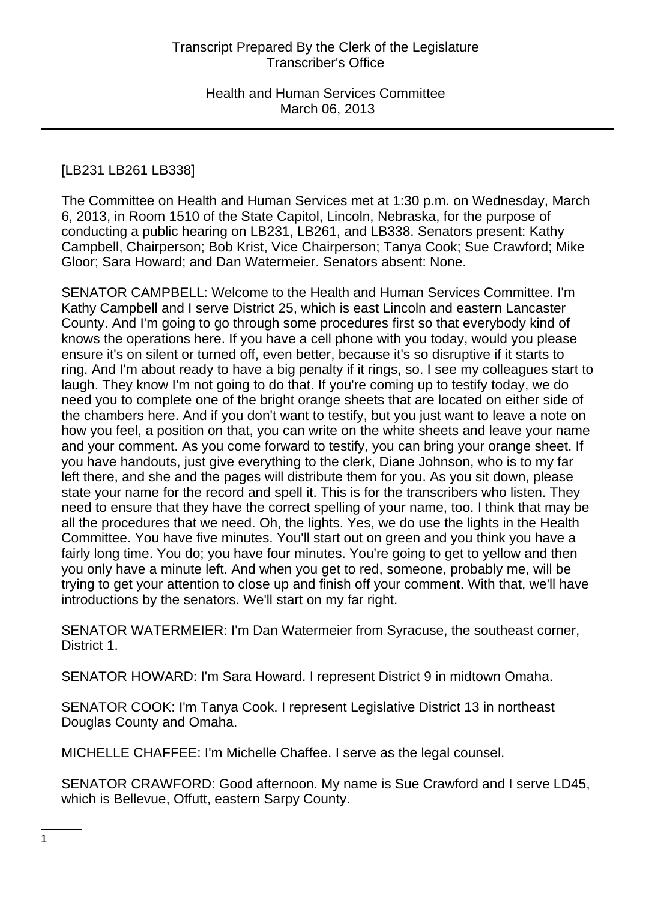# [LB231 LB261 LB338]

The Committee on Health and Human Services met at 1:30 p.m. on Wednesday, March 6, 2013, in Room 1510 of the State Capitol, Lincoln, Nebraska, for the purpose of conducting a public hearing on LB231, LB261, and LB338. Senators present: Kathy Campbell, Chairperson; Bob Krist, Vice Chairperson; Tanya Cook; Sue Crawford; Mike Gloor; Sara Howard; and Dan Watermeier. Senators absent: None.

SENATOR CAMPBELL: Welcome to the Health and Human Services Committee. I'm Kathy Campbell and I serve District 25, which is east Lincoln and eastern Lancaster County. And I'm going to go through some procedures first so that everybody kind of knows the operations here. If you have a cell phone with you today, would you please ensure it's on silent or turned off, even better, because it's so disruptive if it starts to ring. And I'm about ready to have a big penalty if it rings, so. I see my colleagues start to laugh. They know I'm not going to do that. If you're coming up to testify today, we do need you to complete one of the bright orange sheets that are located on either side of the chambers here. And if you don't want to testify, but you just want to leave a note on how you feel, a position on that, you can write on the white sheets and leave your name and your comment. As you come forward to testify, you can bring your orange sheet. If you have handouts, just give everything to the clerk, Diane Johnson, who is to my far left there, and she and the pages will distribute them for you. As you sit down, please state your name for the record and spell it. This is for the transcribers who listen. They need to ensure that they have the correct spelling of your name, too. I think that may be all the procedures that we need. Oh, the lights. Yes, we do use the lights in the Health Committee. You have five minutes. You'll start out on green and you think you have a fairly long time. You do; you have four minutes. You're going to get to yellow and then you only have a minute left. And when you get to red, someone, probably me, will be trying to get your attention to close up and finish off your comment. With that, we'll have introductions by the senators. We'll start on my far right.

SENATOR WATERMEIER: I'm Dan Watermeier from Syracuse, the southeast corner, District 1.

SENATOR HOWARD: I'm Sara Howard. I represent District 9 in midtown Omaha.

SENATOR COOK: I'm Tanya Cook. I represent Legislative District 13 in northeast Douglas County and Omaha.

MICHELLE CHAFFEE: I'm Michelle Chaffee. I serve as the legal counsel.

SENATOR CRAWFORD: Good afternoon. My name is Sue Crawford and I serve LD45, which is Bellevue, Offutt, eastern Sarpy County.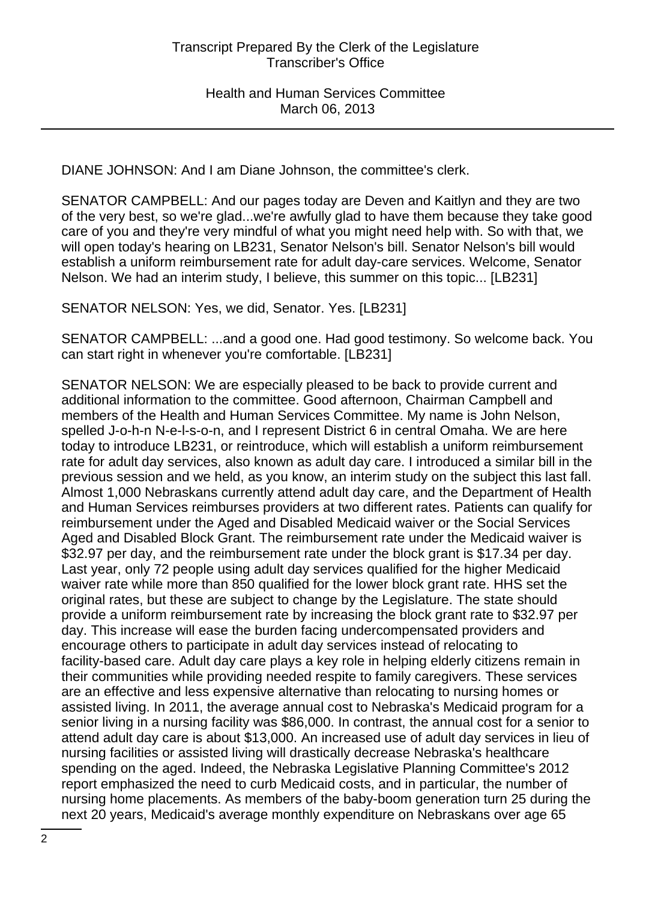DIANE JOHNSON: And I am Diane Johnson, the committee's clerk.

SENATOR CAMPBELL: And our pages today are Deven and Kaitlyn and they are two of the very best, so we're glad...we're awfully glad to have them because they take good care of you and they're very mindful of what you might need help with. So with that, we will open today's hearing on LB231, Senator Nelson's bill. Senator Nelson's bill would establish a uniform reimbursement rate for adult day-care services. Welcome, Senator Nelson. We had an interim study, I believe, this summer on this topic... [LB231]

SENATOR NELSON: Yes, we did, Senator. Yes. [LB231]

SENATOR CAMPBELL: ...and a good one. Had good testimony. So welcome back. You can start right in whenever you're comfortable. [LB231]

SENATOR NELSON: We are especially pleased to be back to provide current and additional information to the committee. Good afternoon, Chairman Campbell and members of the Health and Human Services Committee. My name is John Nelson, spelled J-o-h-n N-e-l-s-o-n, and I represent District 6 in central Omaha. We are here today to introduce LB231, or reintroduce, which will establish a uniform reimbursement rate for adult day services, also known as adult day care. I introduced a similar bill in the previous session and we held, as you know, an interim study on the subject this last fall. Almost 1,000 Nebraskans currently attend adult day care, and the Department of Health and Human Services reimburses providers at two different rates. Patients can qualify for reimbursement under the Aged and Disabled Medicaid waiver or the Social Services Aged and Disabled Block Grant. The reimbursement rate under the Medicaid waiver is \$32.97 per day, and the reimbursement rate under the block grant is \$17.34 per day. Last year, only 72 people using adult day services qualified for the higher Medicaid waiver rate while more than 850 qualified for the lower block grant rate. HHS set the original rates, but these are subject to change by the Legislature. The state should provide a uniform reimbursement rate by increasing the block grant rate to \$32.97 per day. This increase will ease the burden facing undercompensated providers and encourage others to participate in adult day services instead of relocating to facility-based care. Adult day care plays a key role in helping elderly citizens remain in their communities while providing needed respite to family caregivers. These services are an effective and less expensive alternative than relocating to nursing homes or assisted living. In 2011, the average annual cost to Nebraska's Medicaid program for a senior living in a nursing facility was \$86,000. In contrast, the annual cost for a senior to attend adult day care is about \$13,000. An increased use of adult day services in lieu of nursing facilities or assisted living will drastically decrease Nebraska's healthcare spending on the aged. Indeed, the Nebraska Legislative Planning Committee's 2012 report emphasized the need to curb Medicaid costs, and in particular, the number of nursing home placements. As members of the baby-boom generation turn 25 during the next 20 years, Medicaid's average monthly expenditure on Nebraskans over age 65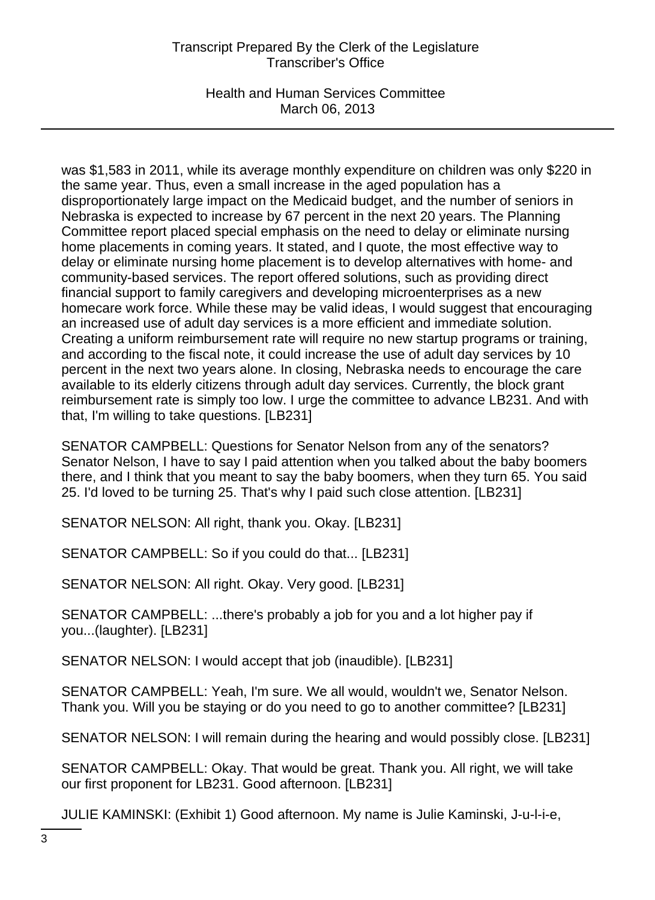Health and Human Services Committee March 06, 2013

was \$1,583 in 2011, while its average monthly expenditure on children was only \$220 in the same year. Thus, even a small increase in the aged population has a disproportionately large impact on the Medicaid budget, and the number of seniors in Nebraska is expected to increase by 67 percent in the next 20 years. The Planning Committee report placed special emphasis on the need to delay or eliminate nursing home placements in coming years. It stated, and I quote, the most effective way to delay or eliminate nursing home placement is to develop alternatives with home- and community-based services. The report offered solutions, such as providing direct financial support to family caregivers and developing microenterprises as a new homecare work force. While these may be valid ideas, I would suggest that encouraging an increased use of adult day services is a more efficient and immediate solution. Creating a uniform reimbursement rate will require no new startup programs or training, and according to the fiscal note, it could increase the use of adult day services by 10 percent in the next two years alone. In closing, Nebraska needs to encourage the care available to its elderly citizens through adult day services. Currently, the block grant reimbursement rate is simply too low. I urge the committee to advance LB231. And with that, I'm willing to take questions. [LB231]

SENATOR CAMPBELL: Questions for Senator Nelson from any of the senators? Senator Nelson, I have to say I paid attention when you talked about the baby boomers there, and I think that you meant to say the baby boomers, when they turn 65. You said 25. I'd loved to be turning 25. That's why I paid such close attention. [LB231]

SENATOR NELSON: All right, thank you. Okay. [LB231]

SENATOR CAMPBELL: So if you could do that... [LB231]

SENATOR NELSON: All right. Okay. Very good. [LB231]

SENATOR CAMPBELL: ...there's probably a job for you and a lot higher pay if you...(laughter). [LB231]

SENATOR NELSON: I would accept that job (inaudible). [LB231]

SENATOR CAMPBELL: Yeah, I'm sure. We all would, wouldn't we, Senator Nelson. Thank you. Will you be staying or do you need to go to another committee? [LB231]

SENATOR NELSON: I will remain during the hearing and would possibly close. [LB231]

SENATOR CAMPBELL: Okay. That would be great. Thank you. All right, we will take our first proponent for LB231. Good afternoon. [LB231]

JULIE KAMINSKI: (Exhibit 1) Good afternoon. My name is Julie Kaminski, J-u-l-i-e,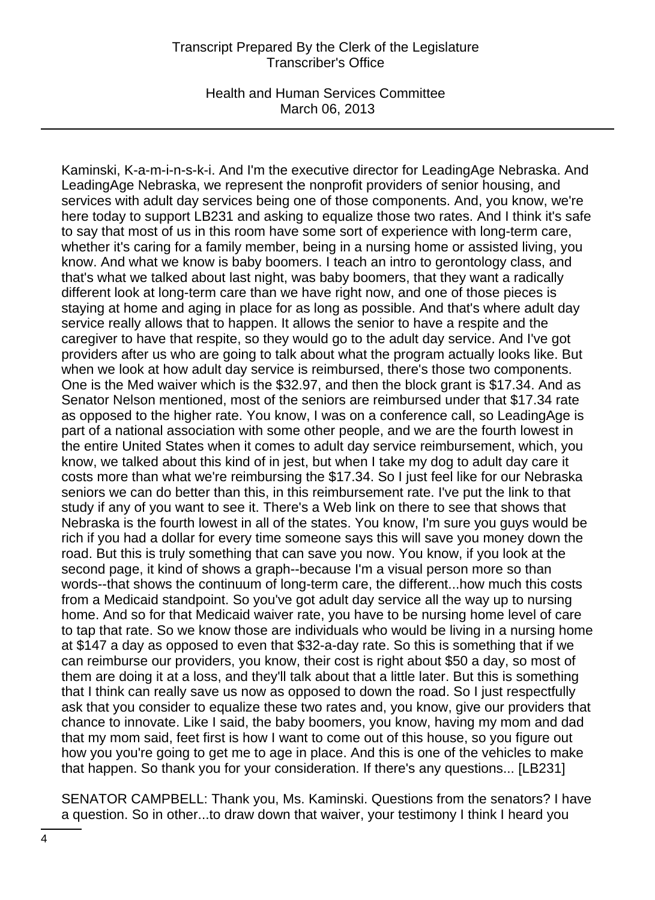Health and Human Services Committee March 06, 2013

Kaminski, K-a-m-i-n-s-k-i. And I'm the executive director for LeadingAge Nebraska. And LeadingAge Nebraska, we represent the nonprofit providers of senior housing, and services with adult day services being one of those components. And, you know, we're here today to support LB231 and asking to equalize those two rates. And I think it's safe to say that most of us in this room have some sort of experience with long-term care, whether it's caring for a family member, being in a nursing home or assisted living, you know. And what we know is baby boomers. I teach an intro to gerontology class, and that's what we talked about last night, was baby boomers, that they want a radically different look at long-term care than we have right now, and one of those pieces is staying at home and aging in place for as long as possible. And that's where adult day service really allows that to happen. It allows the senior to have a respite and the caregiver to have that respite, so they would go to the adult day service. And I've got providers after us who are going to talk about what the program actually looks like. But when we look at how adult day service is reimbursed, there's those two components. One is the Med waiver which is the \$32.97, and then the block grant is \$17.34. And as Senator Nelson mentioned, most of the seniors are reimbursed under that \$17.34 rate as opposed to the higher rate. You know, I was on a conference call, so LeadingAge is part of a national association with some other people, and we are the fourth lowest in the entire United States when it comes to adult day service reimbursement, which, you know, we talked about this kind of in jest, but when I take my dog to adult day care it costs more than what we're reimbursing the \$17.34. So I just feel like for our Nebraska seniors we can do better than this, in this reimbursement rate. I've put the link to that study if any of you want to see it. There's a Web link on there to see that shows that Nebraska is the fourth lowest in all of the states. You know, I'm sure you guys would be rich if you had a dollar for every time someone says this will save you money down the road. But this is truly something that can save you now. You know, if you look at the second page, it kind of shows a graph--because I'm a visual person more so than words--that shows the continuum of long-term care, the different...how much this costs from a Medicaid standpoint. So you've got adult day service all the way up to nursing home. And so for that Medicaid waiver rate, you have to be nursing home level of care to tap that rate. So we know those are individuals who would be living in a nursing home at \$147 a day as opposed to even that \$32-a-day rate. So this is something that if we can reimburse our providers, you know, their cost is right about \$50 a day, so most of them are doing it at a loss, and they'll talk about that a little later. But this is something that I think can really save us now as opposed to down the road. So I just respectfully ask that you consider to equalize these two rates and, you know, give our providers that chance to innovate. Like I said, the baby boomers, you know, having my mom and dad that my mom said, feet first is how I want to come out of this house, so you figure out how you you're going to get me to age in place. And this is one of the vehicles to make that happen. So thank you for your consideration. If there's any questions... [LB231]

SENATOR CAMPBELL: Thank you, Ms. Kaminski. Questions from the senators? I have a question. So in other...to draw down that waiver, your testimony I think I heard you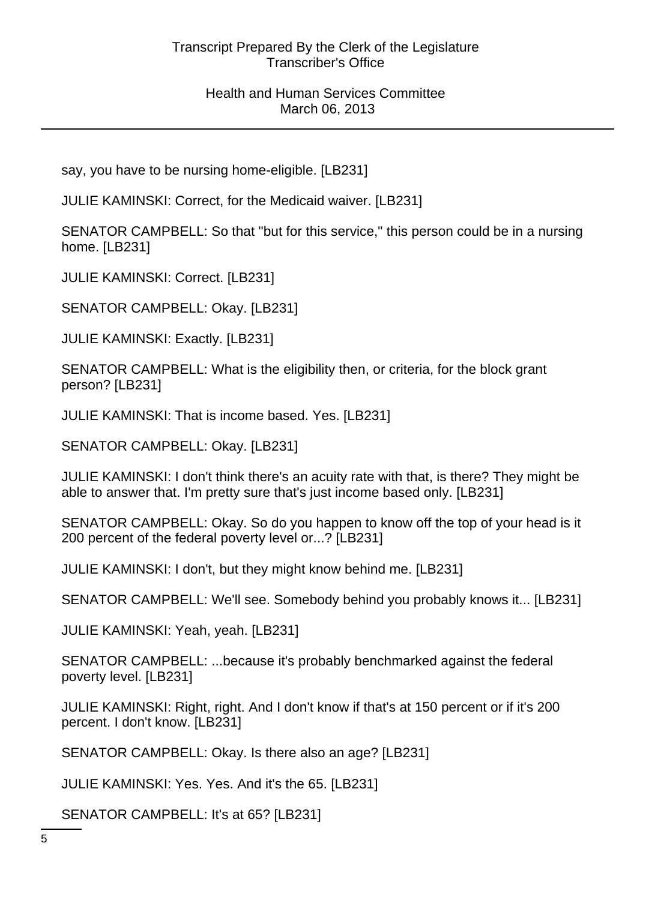Health and Human Services Committee March 06, 2013

say, you have to be nursing home-eligible. [LB231]

JULIE KAMINSKI: Correct, for the Medicaid waiver. [LB231]

SENATOR CAMPBELL: So that "but for this service," this person could be in a nursing home. [LB231]

JULIE KAMINSKI: Correct. [LB231]

SENATOR CAMPBELL: Okay. [LB231]

JULIE KAMINSKI: Exactly. [LB231]

SENATOR CAMPBELL: What is the eligibility then, or criteria, for the block grant person? [LB231]

JULIE KAMINSKI: That is income based. Yes. [LB231]

SENATOR CAMPBELL: Okay. [LB231]

JULIE KAMINSKI: I don't think there's an acuity rate with that, is there? They might be able to answer that. I'm pretty sure that's just income based only. [LB231]

SENATOR CAMPBELL: Okay. So do you happen to know off the top of your head is it 200 percent of the federal poverty level or...? [LB231]

JULIE KAMINSKI: I don't, but they might know behind me. [LB231]

SENATOR CAMPBELL: We'll see. Somebody behind you probably knows it... [LB231]

JULIE KAMINSKI: Yeah, yeah. [LB231]

SENATOR CAMPBELL: ...because it's probably benchmarked against the federal poverty level. [LB231]

JULIE KAMINSKI: Right, right. And I don't know if that's at 150 percent or if it's 200 percent. I don't know. [LB231]

SENATOR CAMPBELL: Okay. Is there also an age? [LB231]

JULIE KAMINSKI: Yes. Yes. And it's the 65. [LB231]

SENATOR CAMPBELL: It's at 65? [LB231]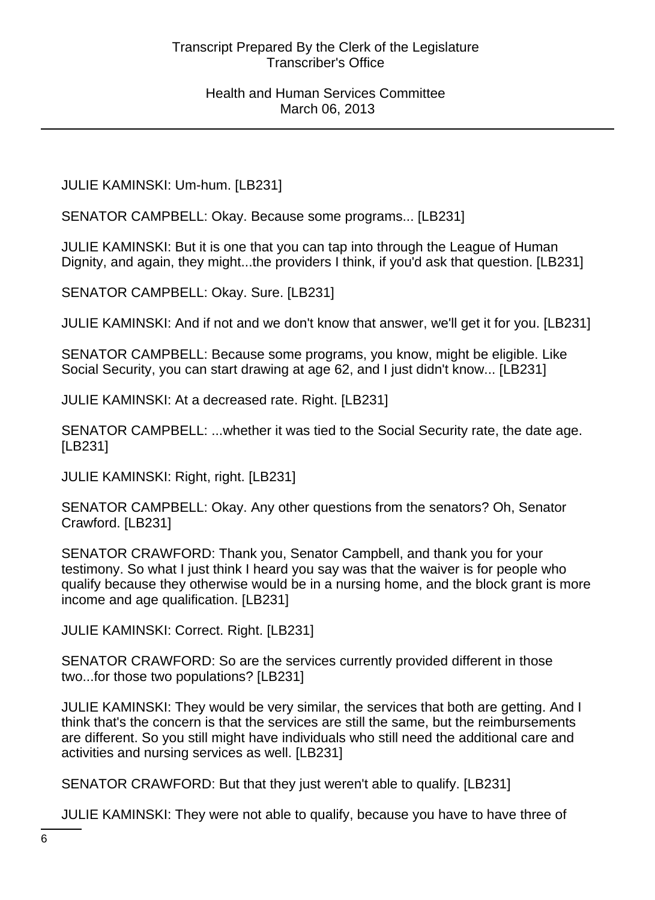JULIE KAMINSKI: Um-hum. [LB231]

SENATOR CAMPBELL: Okay. Because some programs... [LB231]

JULIE KAMINSKI: But it is one that you can tap into through the League of Human Dignity, and again, they might...the providers I think, if you'd ask that question. [LB231]

SENATOR CAMPBELL: Okay. Sure. [LB231]

JULIE KAMINSKI: And if not and we don't know that answer, we'll get it for you. [LB231]

SENATOR CAMPBELL: Because some programs, you know, might be eligible. Like Social Security, you can start drawing at age 62, and I just didn't know... [LB231]

JULIE KAMINSKI: At a decreased rate. Right. [LB231]

SENATOR CAMPBELL: ...whether it was tied to the Social Security rate, the date age. [LB231]

JULIE KAMINSKI: Right, right. [LB231]

SENATOR CAMPBELL: Okay. Any other questions from the senators? Oh, Senator Crawford. [LB231]

SENATOR CRAWFORD: Thank you, Senator Campbell, and thank you for your testimony. So what I just think I heard you say was that the waiver is for people who qualify because they otherwise would be in a nursing home, and the block grant is more income and age qualification. [LB231]

JULIE KAMINSKI: Correct. Right. [LB231]

SENATOR CRAWFORD: So are the services currently provided different in those two...for those two populations? [LB231]

JULIE KAMINSKI: They would be very similar, the services that both are getting. And I think that's the concern is that the services are still the same, but the reimbursements are different. So you still might have individuals who still need the additional care and activities and nursing services as well. [LB231]

SENATOR CRAWFORD: But that they just weren't able to qualify. [LB231]

JULIE KAMINSKI: They were not able to qualify, because you have to have three of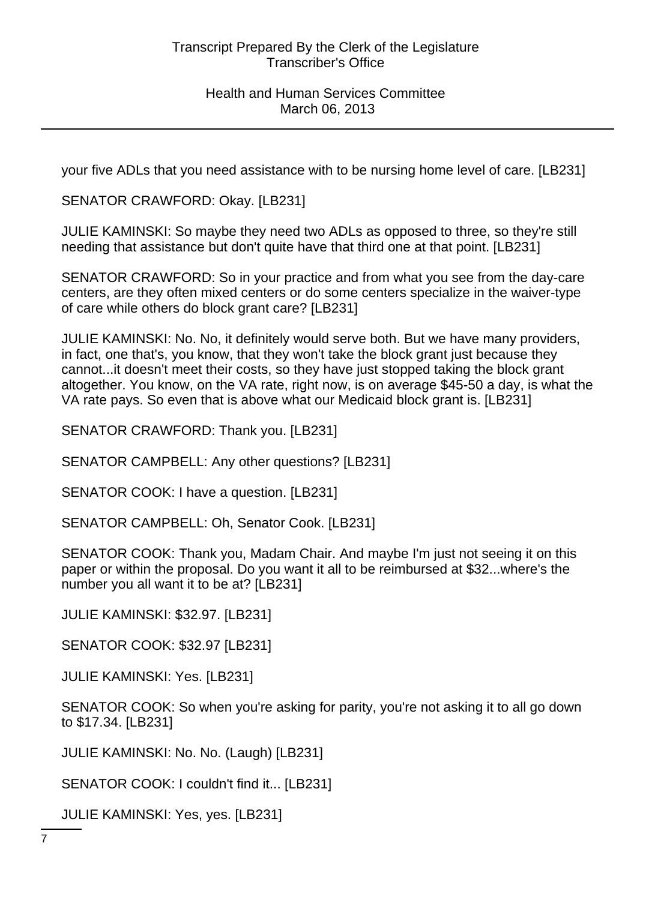your five ADLs that you need assistance with to be nursing home level of care. [LB231]

SENATOR CRAWFORD: Okay. [LB231]

JULIE KAMINSKI: So maybe they need two ADLs as opposed to three, so they're still needing that assistance but don't quite have that third one at that point. [LB231]

SENATOR CRAWFORD: So in your practice and from what you see from the day-care centers, are they often mixed centers or do some centers specialize in the waiver-type of care while others do block grant care? [LB231]

JULIE KAMINSKI: No. No, it definitely would serve both. But we have many providers, in fact, one that's, you know, that they won't take the block grant just because they cannot...it doesn't meet their costs, so they have just stopped taking the block grant altogether. You know, on the VA rate, right now, is on average \$45-50 a day, is what the VA rate pays. So even that is above what our Medicaid block grant is. [LB231]

SENATOR CRAWFORD: Thank you. [LB231]

SENATOR CAMPBELL: Any other questions? [LB231]

SENATOR COOK: I have a question. [LB231]

SENATOR CAMPBELL: Oh, Senator Cook. [LB231]

SENATOR COOK: Thank you, Madam Chair. And maybe I'm just not seeing it on this paper or within the proposal. Do you want it all to be reimbursed at \$32...where's the number you all want it to be at? [LB231]

JULIE KAMINSKI: \$32.97. [LB231]

SENATOR COOK: \$32.97 [LB231]

JULIE KAMINSKI: Yes. [LB231]

SENATOR COOK: So when you're asking for parity, you're not asking it to all go down to \$17.34. [LB231]

JULIE KAMINSKI: No. No. (Laugh) [LB231]

SENATOR COOK: I couldn't find it... [LB231]

JULIE KAMINSKI: Yes, yes. [LB231]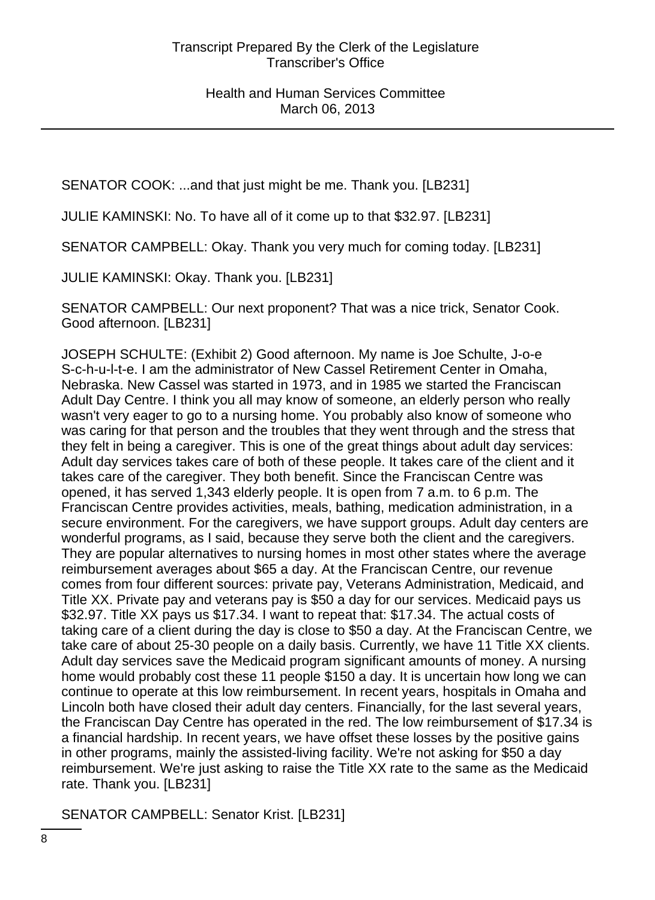SENATOR COOK: ...and that just might be me. Thank you. [LB231]

JULIE KAMINSKI: No. To have all of it come up to that \$32.97. [LB231]

SENATOR CAMPBELL: Okay. Thank you very much for coming today. [LB231]

JULIE KAMINSKI: Okay. Thank you. [LB231]

SENATOR CAMPBELL: Our next proponent? That was a nice trick, Senator Cook. Good afternoon. [LB231]

JOSEPH SCHULTE: (Exhibit 2) Good afternoon. My name is Joe Schulte, J-o-e S-c-h-u-l-t-e. I am the administrator of New Cassel Retirement Center in Omaha, Nebraska. New Cassel was started in 1973, and in 1985 we started the Franciscan Adult Day Centre. I think you all may know of someone, an elderly person who really wasn't very eager to go to a nursing home. You probably also know of someone who was caring for that person and the troubles that they went through and the stress that they felt in being a caregiver. This is one of the great things about adult day services: Adult day services takes care of both of these people. It takes care of the client and it takes care of the caregiver. They both benefit. Since the Franciscan Centre was opened, it has served 1,343 elderly people. It is open from 7 a.m. to 6 p.m. The Franciscan Centre provides activities, meals, bathing, medication administration, in a secure environment. For the caregivers, we have support groups. Adult day centers are wonderful programs, as I said, because they serve both the client and the caregivers. They are popular alternatives to nursing homes in most other states where the average reimbursement averages about \$65 a day. At the Franciscan Centre, our revenue comes from four different sources: private pay, Veterans Administration, Medicaid, and Title XX. Private pay and veterans pay is \$50 a day for our services. Medicaid pays us \$32.97. Title XX pays us \$17.34. I want to repeat that: \$17.34. The actual costs of taking care of a client during the day is close to \$50 a day. At the Franciscan Centre, we take care of about 25-30 people on a daily basis. Currently, we have 11 Title XX clients. Adult day services save the Medicaid program significant amounts of money. A nursing home would probably cost these 11 people \$150 a day. It is uncertain how long we can continue to operate at this low reimbursement. In recent years, hospitals in Omaha and Lincoln both have closed their adult day centers. Financially, for the last several years, the Franciscan Day Centre has operated in the red. The low reimbursement of \$17.34 is a financial hardship. In recent years, we have offset these losses by the positive gains in other programs, mainly the assisted-living facility. We're not asking for \$50 a day reimbursement. We're just asking to raise the Title XX rate to the same as the Medicaid rate. Thank you. [LB231]

SENATOR CAMPBELL: Senator Krist. [LB231]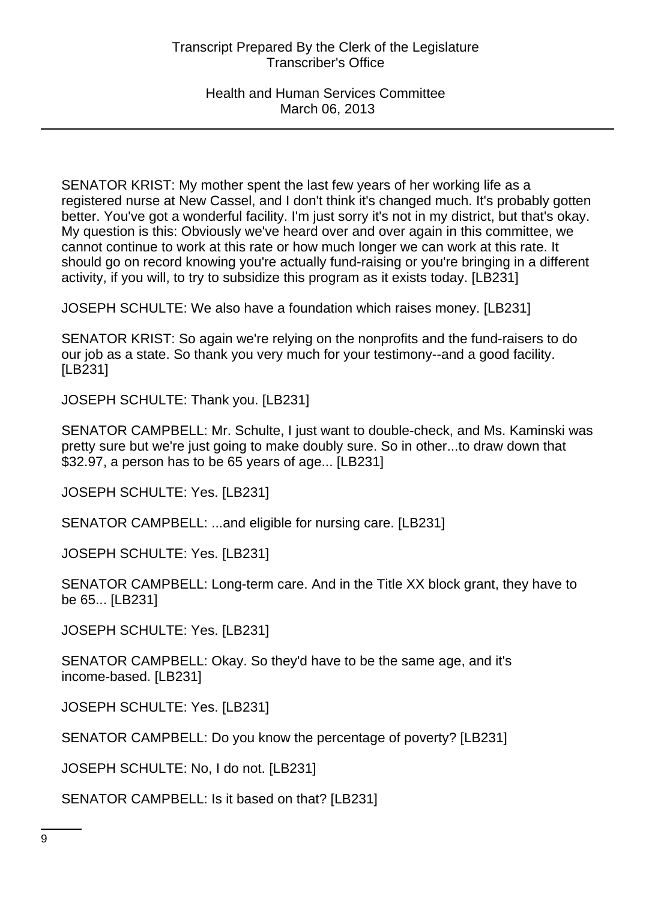SENATOR KRIST: My mother spent the last few years of her working life as a registered nurse at New Cassel, and I don't think it's changed much. It's probably gotten better. You've got a wonderful facility. I'm just sorry it's not in my district, but that's okay. My question is this: Obviously we've heard over and over again in this committee, we cannot continue to work at this rate or how much longer we can work at this rate. It should go on record knowing you're actually fund-raising or you're bringing in a different activity, if you will, to try to subsidize this program as it exists today. [LB231]

JOSEPH SCHULTE: We also have a foundation which raises money. [LB231]

SENATOR KRIST: So again we're relying on the nonprofits and the fund-raisers to do our job as a state. So thank you very much for your testimony--and a good facility. [LB231]

JOSEPH SCHULTE: Thank you. [LB231]

SENATOR CAMPBELL: Mr. Schulte, I just want to double-check, and Ms. Kaminski was pretty sure but we're just going to make doubly sure. So in other...to draw down that \$32.97, a person has to be 65 years of age... [LB231]

JOSEPH SCHULTE: Yes. [LB231]

SENATOR CAMPBELL: ...and eligible for nursing care. [LB231]

JOSEPH SCHULTE: Yes. [LB231]

SENATOR CAMPBELL: Long-term care. And in the Title XX block grant, they have to be 65... [LB231]

JOSEPH SCHULTE: Yes. [LB231]

SENATOR CAMPBELL: Okay. So they'd have to be the same age, and it's income-based. [LB231]

JOSEPH SCHULTE: Yes. [LB231]

SENATOR CAMPBELL: Do you know the percentage of poverty? [LB231]

JOSEPH SCHULTE: No, I do not. [LB231]

SENATOR CAMPBELL: Is it based on that? [LB231]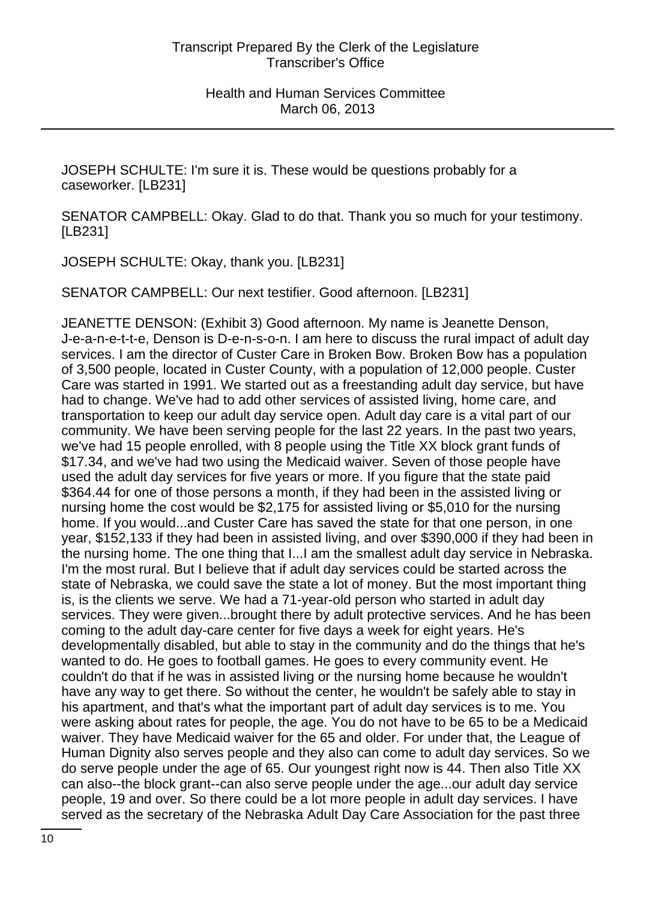JOSEPH SCHULTE: I'm sure it is. These would be questions probably for a caseworker. [LB231]

SENATOR CAMPBELL: Okay. Glad to do that. Thank you so much for your testimony. [LB231]

JOSEPH SCHULTE: Okay, thank you. [LB231]

SENATOR CAMPBELL: Our next testifier. Good afternoon. [LB231]

JEANETTE DENSON: (Exhibit 3) Good afternoon. My name is Jeanette Denson, J-e-a-n-e-t-t-e, Denson is D-e-n-s-o-n. I am here to discuss the rural impact of adult day services. I am the director of Custer Care in Broken Bow. Broken Bow has a population of 3,500 people, located in Custer County, with a population of 12,000 people. Custer Care was started in 1991. We started out as a freestanding adult day service, but have had to change. We've had to add other services of assisted living, home care, and transportation to keep our adult day service open. Adult day care is a vital part of our community. We have been serving people for the last 22 years. In the past two years, we've had 15 people enrolled, with 8 people using the Title XX block grant funds of \$17.34, and we've had two using the Medicaid waiver. Seven of those people have used the adult day services for five years or more. If you figure that the state paid \$364.44 for one of those persons a month, if they had been in the assisted living or nursing home the cost would be \$2,175 for assisted living or \$5,010 for the nursing home. If you would...and Custer Care has saved the state for that one person, in one year, \$152,133 if they had been in assisted living, and over \$390,000 if they had been in the nursing home. The one thing that I...I am the smallest adult day service in Nebraska. I'm the most rural. But I believe that if adult day services could be started across the state of Nebraska, we could save the state a lot of money. But the most important thing is, is the clients we serve. We had a 71-year-old person who started in adult day services. They were given...brought there by adult protective services. And he has been coming to the adult day-care center for five days a week for eight years. He's developmentally disabled, but able to stay in the community and do the things that he's wanted to do. He goes to football games. He goes to every community event. He couldn't do that if he was in assisted living or the nursing home because he wouldn't have any way to get there. So without the center, he wouldn't be safely able to stay in his apartment, and that's what the important part of adult day services is to me. You were asking about rates for people, the age. You do not have to be 65 to be a Medicaid waiver. They have Medicaid waiver for the 65 and older. For under that, the League of Human Dignity also serves people and they also can come to adult day services. So we do serve people under the age of 65. Our youngest right now is 44. Then also Title XX can also--the block grant--can also serve people under the age...our adult day service people, 19 and over. So there could be a lot more people in adult day services. I have served as the secretary of the Nebraska Adult Day Care Association for the past three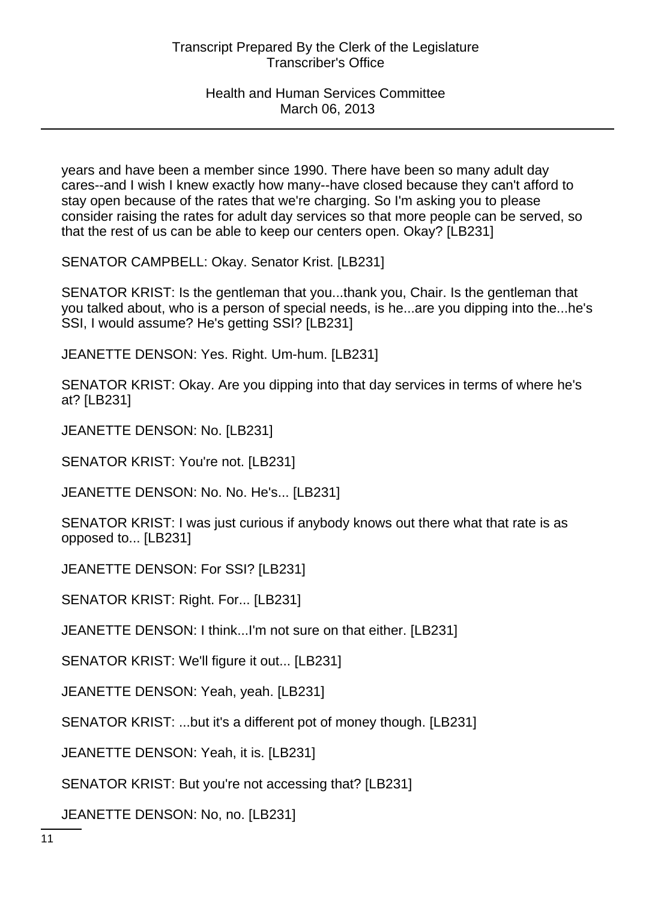years and have been a member since 1990. There have been so many adult day cares--and I wish I knew exactly how many--have closed because they can't afford to stay open because of the rates that we're charging. So I'm asking you to please consider raising the rates for adult day services so that more people can be served, so that the rest of us can be able to keep our centers open. Okay? [LB231]

SENATOR CAMPBELL: Okay. Senator Krist. [LB231]

SENATOR KRIST: Is the gentleman that you...thank you, Chair. Is the gentleman that you talked about, who is a person of special needs, is he...are you dipping into the...he's SSI, I would assume? He's getting SSI? [LB231]

JEANETTE DENSON: Yes. Right. Um-hum. [LB231]

SENATOR KRIST: Okay. Are you dipping into that day services in terms of where he's at? [LB231]

JEANETTE DENSON: No. [LB231]

SENATOR KRIST: You're not. [LB231]

JEANETTE DENSON: No. No. He's... [LB231]

SENATOR KRIST: I was just curious if anybody knows out there what that rate is as opposed to... [LB231]

JEANETTE DENSON: For SSI? [LB231]

SENATOR KRIST: Right. For... [LB231]

JEANETTE DENSON: I think...I'm not sure on that either. [LB231]

SENATOR KRIST: We'll figure it out... [LB231]

JEANETTE DENSON: Yeah, yeah. [LB231]

SENATOR KRIST: ...but it's a different pot of money though. [LB231]

JEANETTE DENSON: Yeah, it is. [LB231]

SENATOR KRIST: But you're not accessing that? [LB231]

JEANETTE DENSON: No, no. [LB231]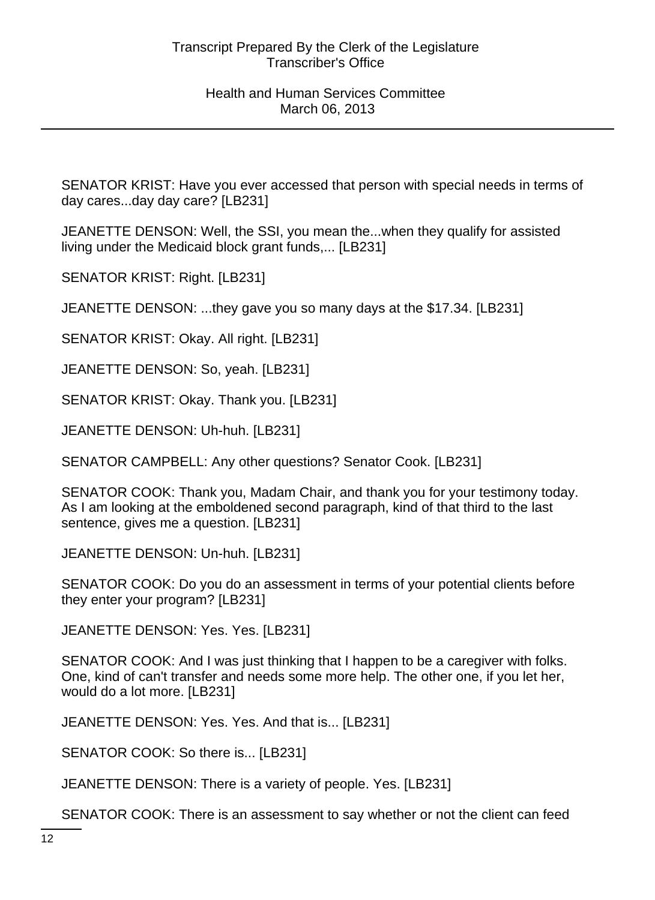SENATOR KRIST: Have you ever accessed that person with special needs in terms of day cares...day day care? [LB231]

JEANETTE DENSON: Well, the SSI, you mean the...when they qualify for assisted living under the Medicaid block grant funds,... [LB231]

SENATOR KRIST: Right. [LB231]

JEANETTE DENSON: ...they gave you so many days at the \$17.34. [LB231]

SENATOR KRIST: Okay. All right. [LB231]

JEANETTE DENSON: So, yeah. [LB231]

SENATOR KRIST: Okay. Thank you. [LB231]

JEANETTE DENSON: Uh-huh. [LB231]

SENATOR CAMPBELL: Any other questions? Senator Cook. [LB231]

SENATOR COOK: Thank you, Madam Chair, and thank you for your testimony today. As I am looking at the emboldened second paragraph, kind of that third to the last sentence, gives me a question. [LB231]

JEANETTE DENSON: Un-huh. [LB231]

SENATOR COOK: Do you do an assessment in terms of your potential clients before they enter your program? [LB231]

JEANETTE DENSON: Yes. Yes. [LB231]

SENATOR COOK: And I was just thinking that I happen to be a caregiver with folks. One, kind of can't transfer and needs some more help. The other one, if you let her, would do a lot more. [LB231]

JEANETTE DENSON: Yes. Yes. And that is... [LB231]

SENATOR COOK: So there is... [LB231]

JEANETTE DENSON: There is a variety of people. Yes. [LB231]

SENATOR COOK: There is an assessment to say whether or not the client can feed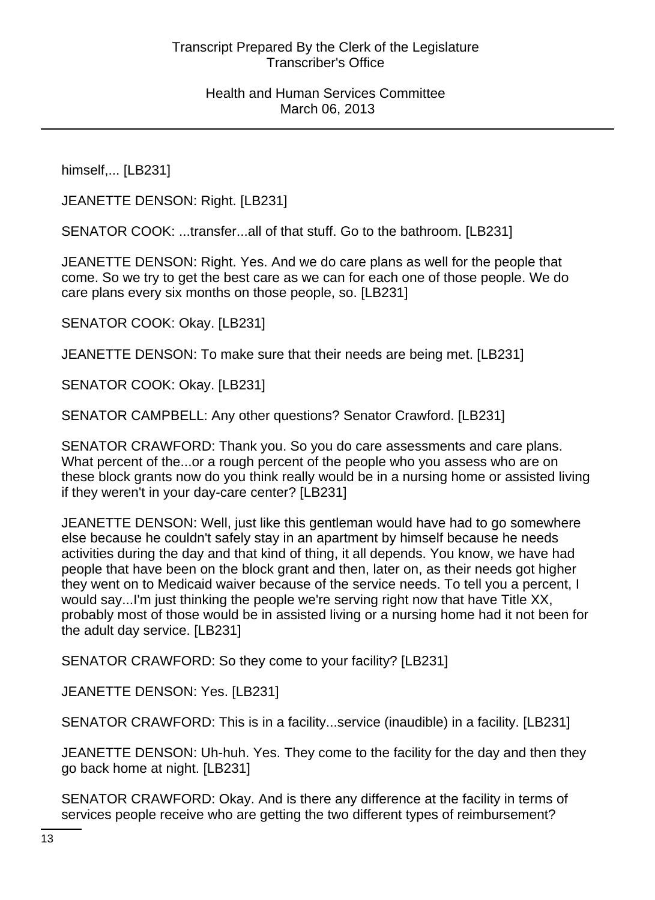himself,... [LB231]

JEANETTE DENSON: Right. [LB231]

SENATOR COOK: ...transfer...all of that stuff. Go to the bathroom. [LB231]

JEANETTE DENSON: Right. Yes. And we do care plans as well for the people that come. So we try to get the best care as we can for each one of those people. We do care plans every six months on those people, so. [LB231]

SENATOR COOK: Okay. [LB231]

JEANETTE DENSON: To make sure that their needs are being met. [LB231]

SENATOR COOK: Okay. [LB231]

SENATOR CAMPBELL: Any other questions? Senator Crawford. [LB231]

SENATOR CRAWFORD: Thank you. So you do care assessments and care plans. What percent of the...or a rough percent of the people who you assess who are on these block grants now do you think really would be in a nursing home or assisted living if they weren't in your day-care center? [LB231]

JEANETTE DENSON: Well, just like this gentleman would have had to go somewhere else because he couldn't safely stay in an apartment by himself because he needs activities during the day and that kind of thing, it all depends. You know, we have had people that have been on the block grant and then, later on, as their needs got higher they went on to Medicaid waiver because of the service needs. To tell you a percent, I would say...I'm just thinking the people we're serving right now that have Title XX, probably most of those would be in assisted living or a nursing home had it not been for the adult day service. [LB231]

SENATOR CRAWFORD: So they come to your facility? [LB231]

JEANETTE DENSON: Yes. [LB231]

SENATOR CRAWFORD: This is in a facility...service (inaudible) in a facility. [LB231]

JEANETTE DENSON: Uh-huh. Yes. They come to the facility for the day and then they go back home at night. [LB231]

SENATOR CRAWFORD: Okay. And is there any difference at the facility in terms of services people receive who are getting the two different types of reimbursement?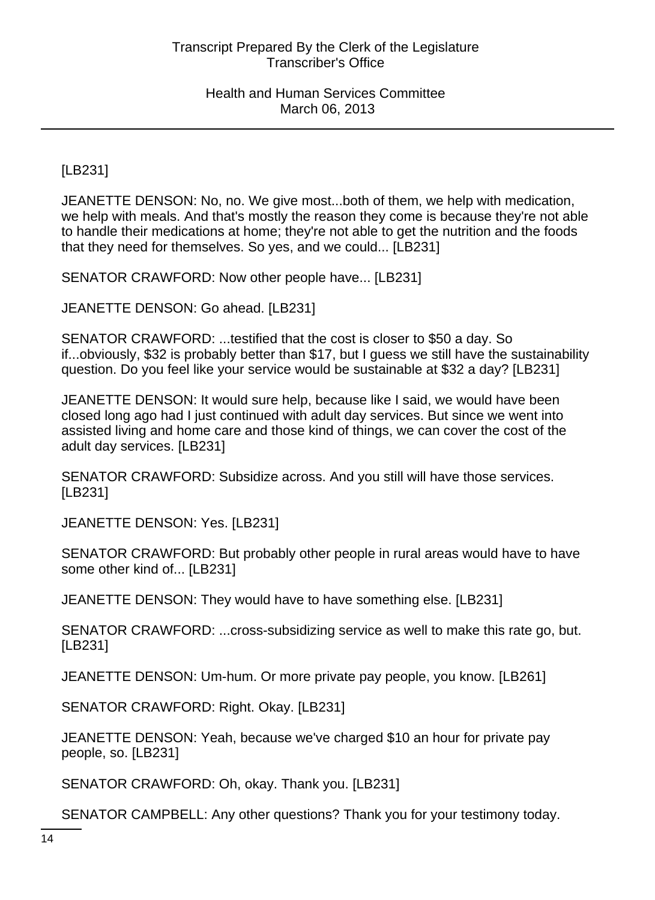[LB231]

JEANETTE DENSON: No, no. We give most...both of them, we help with medication, we help with meals. And that's mostly the reason they come is because they're not able to handle their medications at home; they're not able to get the nutrition and the foods that they need for themselves. So yes, and we could... [LB231]

SENATOR CRAWFORD: Now other people have... [LB231]

JEANETTE DENSON: Go ahead. [LB231]

SENATOR CRAWFORD: ...testified that the cost is closer to \$50 a day. So if...obviously, \$32 is probably better than \$17, but I guess we still have the sustainability question. Do you feel like your service would be sustainable at \$32 a day? [LB231]

JEANETTE DENSON: It would sure help, because like I said, we would have been closed long ago had I just continued with adult day services. But since we went into assisted living and home care and those kind of things, we can cover the cost of the adult day services. [LB231]

SENATOR CRAWFORD: Subsidize across. And you still will have those services. [LB231]

JEANETTE DENSON: Yes. [LB231]

SENATOR CRAWFORD: But probably other people in rural areas would have to have some other kind of... [LB231]

JEANETTE DENSON: They would have to have something else. [LB231]

SENATOR CRAWFORD: ...cross-subsidizing service as well to make this rate go, but. [LB231]

JEANETTE DENSON: Um-hum. Or more private pay people, you know. [LB261]

SENATOR CRAWFORD: Right. Okay. [LB231]

JEANETTE DENSON: Yeah, because we've charged \$10 an hour for private pay people, so. [LB231]

SENATOR CRAWFORD: Oh, okay. Thank you. [LB231]

SENATOR CAMPBELL: Any other questions? Thank you for your testimony today.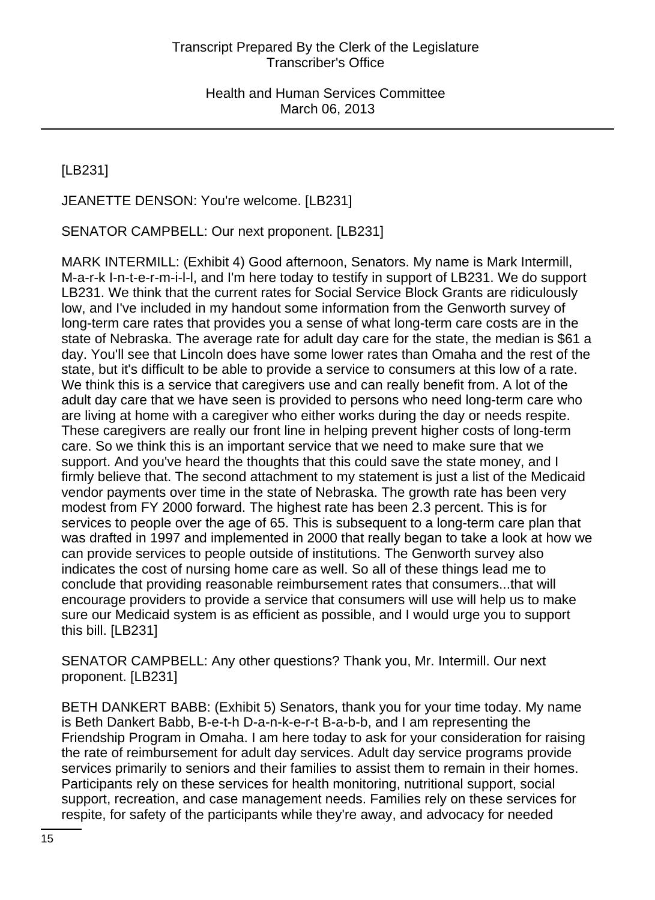[LB231]

JEANETTE DENSON: You're welcome. [LB231]

SENATOR CAMPBELL: Our next proponent. [LB231]

MARK INTERMILL: (Exhibit 4) Good afternoon, Senators. My name is Mark Intermill, M-a-r-k I-n-t-e-r-m-i-l-l, and I'm here today to testify in support of LB231. We do support LB231. We think that the current rates for Social Service Block Grants are ridiculously low, and I've included in my handout some information from the Genworth survey of long-term care rates that provides you a sense of what long-term care costs are in the state of Nebraska. The average rate for adult day care for the state, the median is \$61 a day. You'll see that Lincoln does have some lower rates than Omaha and the rest of the state, but it's difficult to be able to provide a service to consumers at this low of a rate. We think this is a service that caregivers use and can really benefit from. A lot of the adult day care that we have seen is provided to persons who need long-term care who are living at home with a caregiver who either works during the day or needs respite. These caregivers are really our front line in helping prevent higher costs of long-term care. So we think this is an important service that we need to make sure that we support. And you've heard the thoughts that this could save the state money, and I firmly believe that. The second attachment to my statement is just a list of the Medicaid vendor payments over time in the state of Nebraska. The growth rate has been very modest from FY 2000 forward. The highest rate has been 2.3 percent. This is for services to people over the age of 65. This is subsequent to a long-term care plan that was drafted in 1997 and implemented in 2000 that really began to take a look at how we can provide services to people outside of institutions. The Genworth survey also indicates the cost of nursing home care as well. So all of these things lead me to conclude that providing reasonable reimbursement rates that consumers...that will encourage providers to provide a service that consumers will use will help us to make sure our Medicaid system is as efficient as possible, and I would urge you to support this bill. [LB231]

SENATOR CAMPBELL: Any other questions? Thank you, Mr. Intermill. Our next proponent. [LB231]

BETH DANKERT BABB: (Exhibit 5) Senators, thank you for your time today. My name is Beth Dankert Babb, B-e-t-h D-a-n-k-e-r-t B-a-b-b, and I am representing the Friendship Program in Omaha. I am here today to ask for your consideration for raising the rate of reimbursement for adult day services. Adult day service programs provide services primarily to seniors and their families to assist them to remain in their homes. Participants rely on these services for health monitoring, nutritional support, social support, recreation, and case management needs. Families rely on these services for respite, for safety of the participants while they're away, and advocacy for needed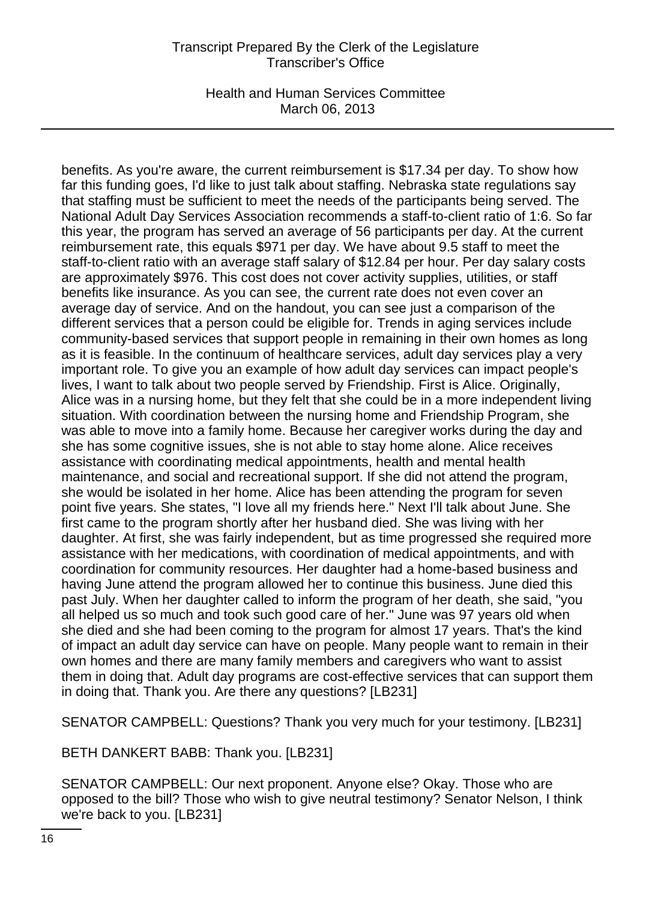Health and Human Services Committee March 06, 2013

benefits. As you're aware, the current reimbursement is \$17.34 per day. To show how far this funding goes, I'd like to just talk about staffing. Nebraska state regulations say that staffing must be sufficient to meet the needs of the participants being served. The National Adult Day Services Association recommends a staff-to-client ratio of 1:6. So far this year, the program has served an average of 56 participants per day. At the current reimbursement rate, this equals \$971 per day. We have about 9.5 staff to meet the staff-to-client ratio with an average staff salary of \$12.84 per hour. Per day salary costs are approximately \$976. This cost does not cover activity supplies, utilities, or staff benefits like insurance. As you can see, the current rate does not even cover an average day of service. And on the handout, you can see just a comparison of the different services that a person could be eligible for. Trends in aging services include community-based services that support people in remaining in their own homes as long as it is feasible. In the continuum of healthcare services, adult day services play a very important role. To give you an example of how adult day services can impact people's lives, I want to talk about two people served by Friendship. First is Alice. Originally, Alice was in a nursing home, but they felt that she could be in a more independent living situation. With coordination between the nursing home and Friendship Program, she was able to move into a family home. Because her caregiver works during the day and she has some cognitive issues, she is not able to stay home alone. Alice receives assistance with coordinating medical appointments, health and mental health maintenance, and social and recreational support. If she did not attend the program, she would be isolated in her home. Alice has been attending the program for seven point five years. She states, "I love all my friends here." Next I'll talk about June. She first came to the program shortly after her husband died. She was living with her daughter. At first, she was fairly independent, but as time progressed she required more assistance with her medications, with coordination of medical appointments, and with coordination for community resources. Her daughter had a home-based business and having June attend the program allowed her to continue this business. June died this past July. When her daughter called to inform the program of her death, she said, "you all helped us so much and took such good care of her." June was 97 years old when she died and she had been coming to the program for almost 17 years. That's the kind of impact an adult day service can have on people. Many people want to remain in their own homes and there are many family members and caregivers who want to assist them in doing that. Adult day programs are cost-effective services that can support them in doing that. Thank you. Are there any questions? [LB231]

SENATOR CAMPBELL: Questions? Thank you very much for your testimony. [LB231]

BETH DANKERT BABB: Thank you. [LB231]

SENATOR CAMPBELL: Our next proponent. Anyone else? Okay. Those who are opposed to the bill? Those who wish to give neutral testimony? Senator Nelson, I think we're back to you. [LB231]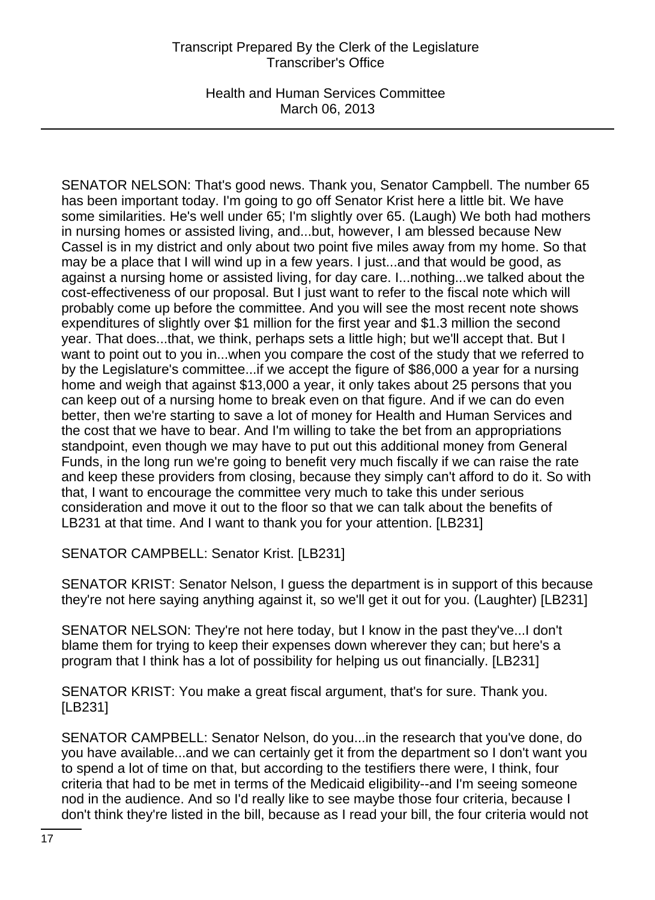Health and Human Services Committee March 06, 2013

SENATOR NELSON: That's good news. Thank you, Senator Campbell. The number 65 has been important today. I'm going to go off Senator Krist here a little bit. We have some similarities. He's well under 65; I'm slightly over 65. (Laugh) We both had mothers in nursing homes or assisted living, and...but, however, I am blessed because New Cassel is in my district and only about two point five miles away from my home. So that may be a place that I will wind up in a few years. I just...and that would be good, as against a nursing home or assisted living, for day care. I...nothing...we talked about the cost-effectiveness of our proposal. But I just want to refer to the fiscal note which will probably come up before the committee. And you will see the most recent note shows expenditures of slightly over \$1 million for the first year and \$1.3 million the second year. That does...that, we think, perhaps sets a little high; but we'll accept that. But I want to point out to you in...when you compare the cost of the study that we referred to by the Legislature's committee...if we accept the figure of \$86,000 a year for a nursing home and weigh that against \$13,000 a year, it only takes about 25 persons that you can keep out of a nursing home to break even on that figure. And if we can do even better, then we're starting to save a lot of money for Health and Human Services and the cost that we have to bear. And I'm willing to take the bet from an appropriations standpoint, even though we may have to put out this additional money from General Funds, in the long run we're going to benefit very much fiscally if we can raise the rate and keep these providers from closing, because they simply can't afford to do it. So with that, I want to encourage the committee very much to take this under serious consideration and move it out to the floor so that we can talk about the benefits of LB231 at that time. And I want to thank you for your attention. [LB231]

SENATOR CAMPBELL: Senator Krist. [LB231]

SENATOR KRIST: Senator Nelson, I guess the department is in support of this because they're not here saying anything against it, so we'll get it out for you. (Laughter) [LB231]

SENATOR NELSON: They're not here today, but I know in the past they've...I don't blame them for trying to keep their expenses down wherever they can; but here's a program that I think has a lot of possibility for helping us out financially. [LB231]

SENATOR KRIST: You make a great fiscal argument, that's for sure. Thank you. [LB231]

SENATOR CAMPBELL: Senator Nelson, do you...in the research that you've done, do you have available...and we can certainly get it from the department so I don't want you to spend a lot of time on that, but according to the testifiers there were, I think, four criteria that had to be met in terms of the Medicaid eligibility--and I'm seeing someone nod in the audience. And so I'd really like to see maybe those four criteria, because I don't think they're listed in the bill, because as I read your bill, the four criteria would not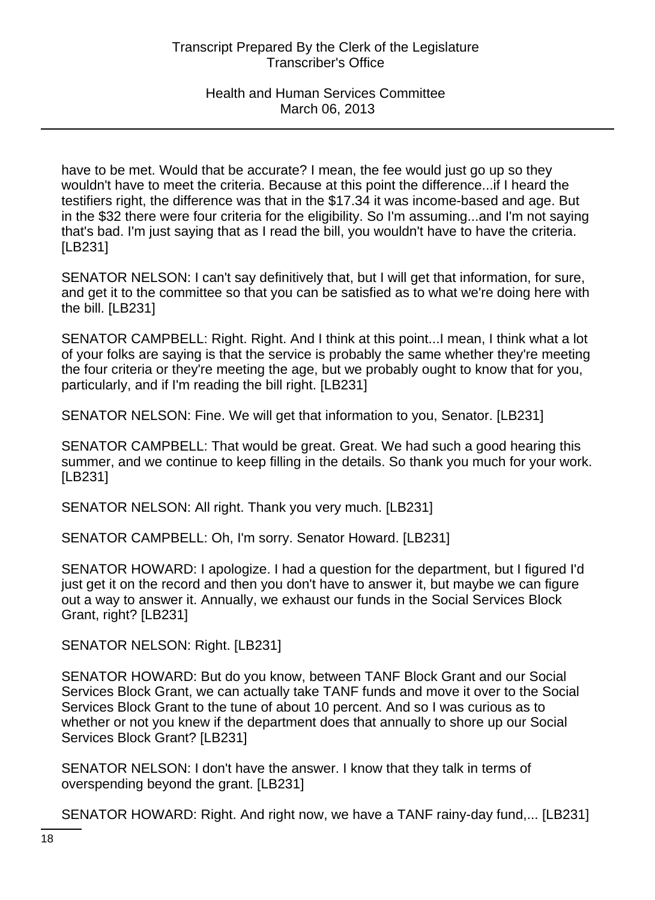have to be met. Would that be accurate? I mean, the fee would just go up so they wouldn't have to meet the criteria. Because at this point the difference...if I heard the testifiers right, the difference was that in the \$17.34 it was income-based and age. But in the \$32 there were four criteria for the eligibility. So I'm assuming...and I'm not saying that's bad. I'm just saying that as I read the bill, you wouldn't have to have the criteria. [LB231]

SENATOR NELSON: I can't say definitively that, but I will get that information, for sure, and get it to the committee so that you can be satisfied as to what we're doing here with the bill. [LB231]

SENATOR CAMPBELL: Right. Right. And I think at this point...I mean, I think what a lot of your folks are saying is that the service is probably the same whether they're meeting the four criteria or they're meeting the age, but we probably ought to know that for you, particularly, and if I'm reading the bill right. [LB231]

SENATOR NELSON: Fine. We will get that information to you, Senator. [LB231]

SENATOR CAMPBELL: That would be great. Great. We had such a good hearing this summer, and we continue to keep filling in the details. So thank you much for your work. [LB231]

SENATOR NELSON: All right. Thank you very much. [LB231]

SENATOR CAMPBELL: Oh, I'm sorry. Senator Howard. [LB231]

SENATOR HOWARD: I apologize. I had a question for the department, but I figured I'd just get it on the record and then you don't have to answer it, but maybe we can figure out a way to answer it. Annually, we exhaust our funds in the Social Services Block Grant, right? [LB231]

SENATOR NELSON: Right. [LB231]

SENATOR HOWARD: But do you know, between TANF Block Grant and our Social Services Block Grant, we can actually take TANF funds and move it over to the Social Services Block Grant to the tune of about 10 percent. And so I was curious as to whether or not you knew if the department does that annually to shore up our Social Services Block Grant? [LB231]

SENATOR NELSON: I don't have the answer. I know that they talk in terms of overspending beyond the grant. [LB231]

SENATOR HOWARD: Right. And right now, we have a TANF rainy-day fund,... [LB231]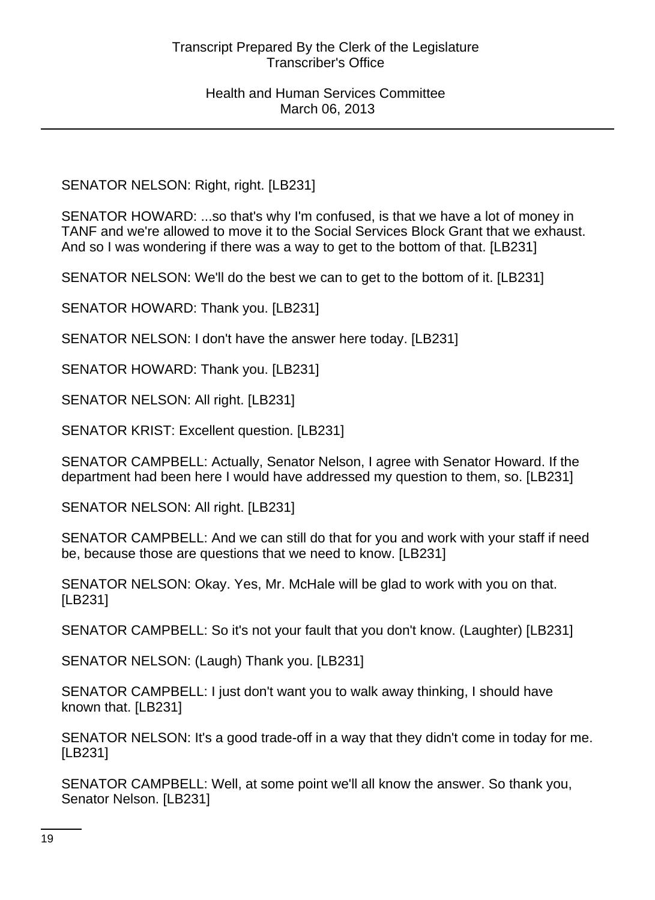SENATOR NELSON: Right, right. [LB231]

SENATOR HOWARD: ...so that's why I'm confused, is that we have a lot of money in TANF and we're allowed to move it to the Social Services Block Grant that we exhaust. And so I was wondering if there was a way to get to the bottom of that. [LB231]

SENATOR NELSON: We'll do the best we can to get to the bottom of it. [LB231]

SENATOR HOWARD: Thank you. [LB231]

SENATOR NELSON: I don't have the answer here today. [LB231]

SENATOR HOWARD: Thank you. [LB231]

SENATOR NELSON: All right. [LB231]

SENATOR KRIST: Excellent question. [LB231]

SENATOR CAMPBELL: Actually, Senator Nelson, I agree with Senator Howard. If the department had been here I would have addressed my question to them, so. [LB231]

SENATOR NELSON: All right. [LB231]

SENATOR CAMPBELL: And we can still do that for you and work with your staff if need be, because those are questions that we need to know. [LB231]

SENATOR NELSON: Okay. Yes, Mr. McHale will be glad to work with you on that. [LB231]

SENATOR CAMPBELL: So it's not your fault that you don't know. (Laughter) [LB231]

SENATOR NELSON: (Laugh) Thank you. [LB231]

SENATOR CAMPBELL: I just don't want you to walk away thinking, I should have known that. [LB231]

SENATOR NELSON: It's a good trade-off in a way that they didn't come in today for me. [LB231]

SENATOR CAMPBELL: Well, at some point we'll all know the answer. So thank you, Senator Nelson. [LB231]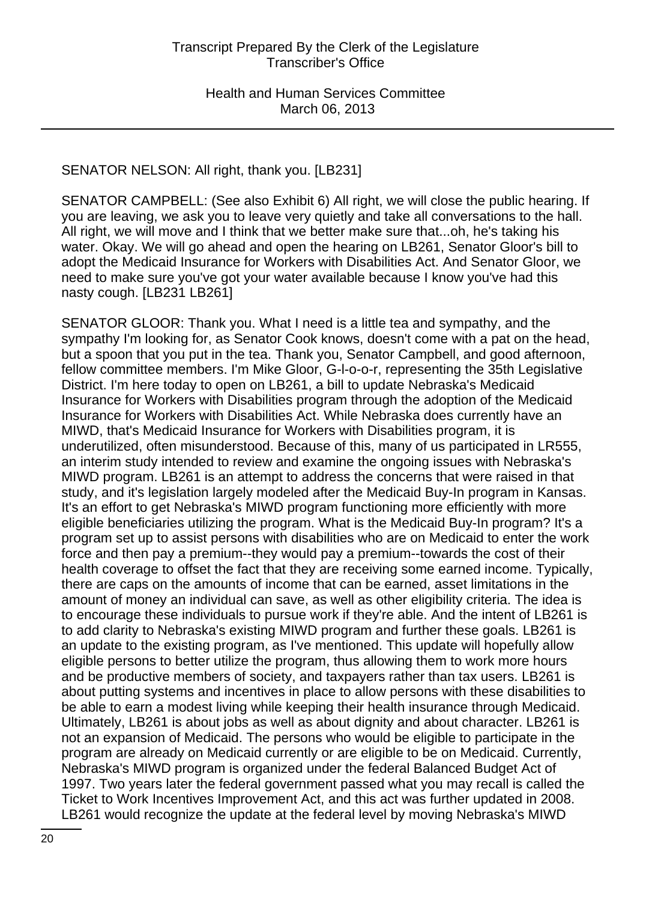## SENATOR NELSON: All right, thank you. [LB231]

SENATOR CAMPBELL: (See also Exhibit 6) All right, we will close the public hearing. If you are leaving, we ask you to leave very quietly and take all conversations to the hall. All right, we will move and I think that we better make sure that...oh, he's taking his water. Okay. We will go ahead and open the hearing on LB261, Senator Gloor's bill to adopt the Medicaid Insurance for Workers with Disabilities Act. And Senator Gloor, we need to make sure you've got your water available because I know you've had this nasty cough. [LB231 LB261]

SENATOR GLOOR: Thank you. What I need is a little tea and sympathy, and the sympathy I'm looking for, as Senator Cook knows, doesn't come with a pat on the head, but a spoon that you put in the tea. Thank you, Senator Campbell, and good afternoon, fellow committee members. I'm Mike Gloor, G-l-o-o-r, representing the 35th Legislative District. I'm here today to open on LB261, a bill to update Nebraska's Medicaid Insurance for Workers with Disabilities program through the adoption of the Medicaid Insurance for Workers with Disabilities Act. While Nebraska does currently have an MIWD, that's Medicaid Insurance for Workers with Disabilities program, it is underutilized, often misunderstood. Because of this, many of us participated in LR555, an interim study intended to review and examine the ongoing issues with Nebraska's MIWD program. LB261 is an attempt to address the concerns that were raised in that study, and it's legislation largely modeled after the Medicaid Buy-In program in Kansas. It's an effort to get Nebraska's MIWD program functioning more efficiently with more eligible beneficiaries utilizing the program. What is the Medicaid Buy-In program? It's a program set up to assist persons with disabilities who are on Medicaid to enter the work force and then pay a premium--they would pay a premium--towards the cost of their health coverage to offset the fact that they are receiving some earned income. Typically, there are caps on the amounts of income that can be earned, asset limitations in the amount of money an individual can save, as well as other eligibility criteria. The idea is to encourage these individuals to pursue work if they're able. And the intent of LB261 is to add clarity to Nebraska's existing MIWD program and further these goals. LB261 is an update to the existing program, as I've mentioned. This update will hopefully allow eligible persons to better utilize the program, thus allowing them to work more hours and be productive members of society, and taxpayers rather than tax users. LB261 is about putting systems and incentives in place to allow persons with these disabilities to be able to earn a modest living while keeping their health insurance through Medicaid. Ultimately, LB261 is about jobs as well as about dignity and about character. LB261 is not an expansion of Medicaid. The persons who would be eligible to participate in the program are already on Medicaid currently or are eligible to be on Medicaid. Currently, Nebraska's MIWD program is organized under the federal Balanced Budget Act of 1997. Two years later the federal government passed what you may recall is called the Ticket to Work Incentives Improvement Act, and this act was further updated in 2008. LB261 would recognize the update at the federal level by moving Nebraska's MIWD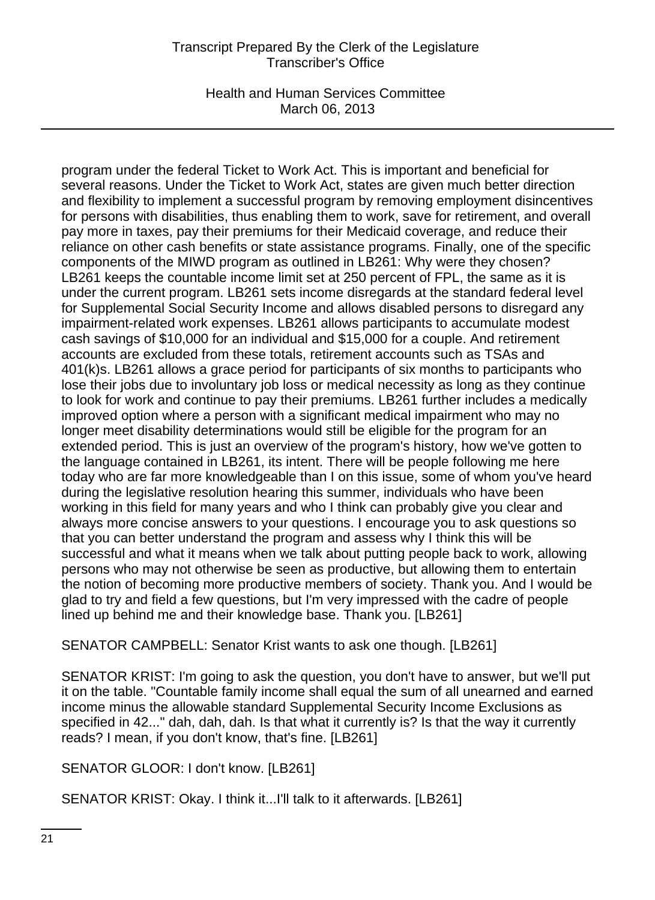Health and Human Services Committee March 06, 2013

program under the federal Ticket to Work Act. This is important and beneficial for several reasons. Under the Ticket to Work Act, states are given much better direction and flexibility to implement a successful program by removing employment disincentives for persons with disabilities, thus enabling them to work, save for retirement, and overall pay more in taxes, pay their premiums for their Medicaid coverage, and reduce their reliance on other cash benefits or state assistance programs. Finally, one of the specific components of the MIWD program as outlined in LB261: Why were they chosen? LB261 keeps the countable income limit set at 250 percent of FPL, the same as it is under the current program. LB261 sets income disregards at the standard federal level for Supplemental Social Security Income and allows disabled persons to disregard any impairment-related work expenses. LB261 allows participants to accumulate modest cash savings of \$10,000 for an individual and \$15,000 for a couple. And retirement accounts are excluded from these totals, retirement accounts such as TSAs and 401(k)s. LB261 allows a grace period for participants of six months to participants who lose their jobs due to involuntary job loss or medical necessity as long as they continue to look for work and continue to pay their premiums. LB261 further includes a medically improved option where a person with a significant medical impairment who may no longer meet disability determinations would still be eligible for the program for an extended period. This is just an overview of the program's history, how we've gotten to the language contained in LB261, its intent. There will be people following me here today who are far more knowledgeable than I on this issue, some of whom you've heard during the legislative resolution hearing this summer, individuals who have been working in this field for many years and who I think can probably give you clear and always more concise answers to your questions. I encourage you to ask questions so that you can better understand the program and assess why I think this will be successful and what it means when we talk about putting people back to work, allowing persons who may not otherwise be seen as productive, but allowing them to entertain the notion of becoming more productive members of society. Thank you. And I would be glad to try and field a few questions, but I'm very impressed with the cadre of people lined up behind me and their knowledge base. Thank you. [LB261]

SENATOR CAMPBELL: Senator Krist wants to ask one though. [LB261]

SENATOR KRIST: I'm going to ask the question, you don't have to answer, but we'll put it on the table. "Countable family income shall equal the sum of all unearned and earned income minus the allowable standard Supplemental Security Income Exclusions as specified in 42..." dah, dah, dah. Is that what it currently is? Is that the way it currently reads? I mean, if you don't know, that's fine. [LB261]

SENATOR GLOOR: I don't know. [LB261]

SENATOR KRIST: Okay. I think it...I'll talk to it afterwards. [LB261]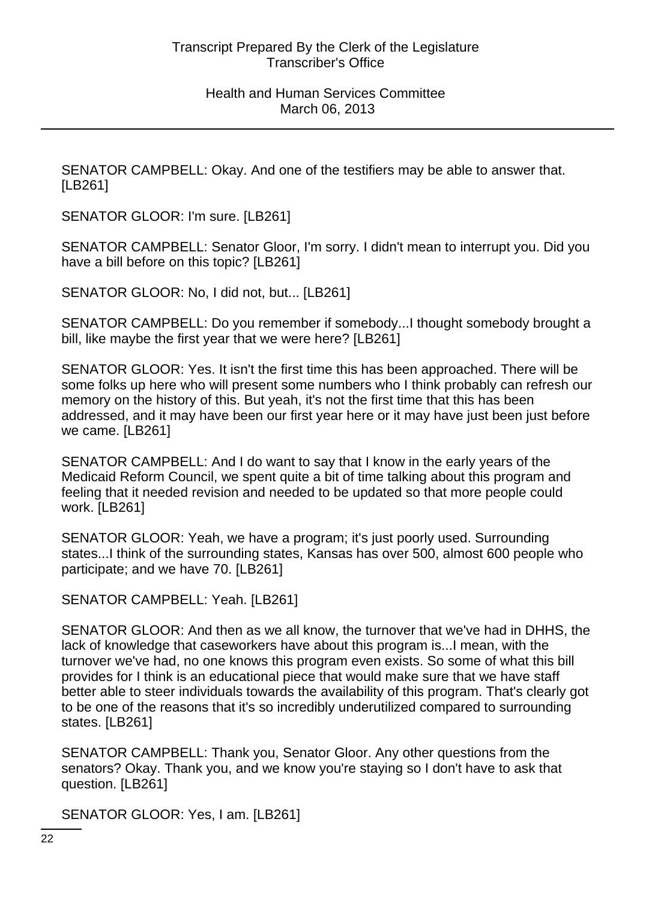SENATOR CAMPBELL: Okay. And one of the testifiers may be able to answer that. [LB261]

SENATOR GLOOR: I'm sure. [LB261]

SENATOR CAMPBELL: Senator Gloor, I'm sorry. I didn't mean to interrupt you. Did you have a bill before on this topic? [LB261]

SENATOR GLOOR: No, I did not, but... [LB261]

SENATOR CAMPBELL: Do you remember if somebody...I thought somebody brought a bill, like maybe the first year that we were here? [LB261]

SENATOR GLOOR: Yes. It isn't the first time this has been approached. There will be some folks up here who will present some numbers who I think probably can refresh our memory on the history of this. But yeah, it's not the first time that this has been addressed, and it may have been our first year here or it may have just been just before we came. [LB261]

SENATOR CAMPBELL: And I do want to say that I know in the early years of the Medicaid Reform Council, we spent quite a bit of time talking about this program and feeling that it needed revision and needed to be updated so that more people could work. [LB261]

SENATOR GLOOR: Yeah, we have a program; it's just poorly used. Surrounding states...I think of the surrounding states, Kansas has over 500, almost 600 people who participate; and we have 70. [LB261]

SENATOR CAMPBELL: Yeah. [LB261]

SENATOR GLOOR: And then as we all know, the turnover that we've had in DHHS, the lack of knowledge that caseworkers have about this program is...I mean, with the turnover we've had, no one knows this program even exists. So some of what this bill provides for I think is an educational piece that would make sure that we have staff better able to steer individuals towards the availability of this program. That's clearly got to be one of the reasons that it's so incredibly underutilized compared to surrounding states. [LB261]

SENATOR CAMPBELL: Thank you, Senator Gloor. Any other questions from the senators? Okay. Thank you, and we know you're staying so I don't have to ask that question. [LB261]

SENATOR GLOOR: Yes, I am. [LB261]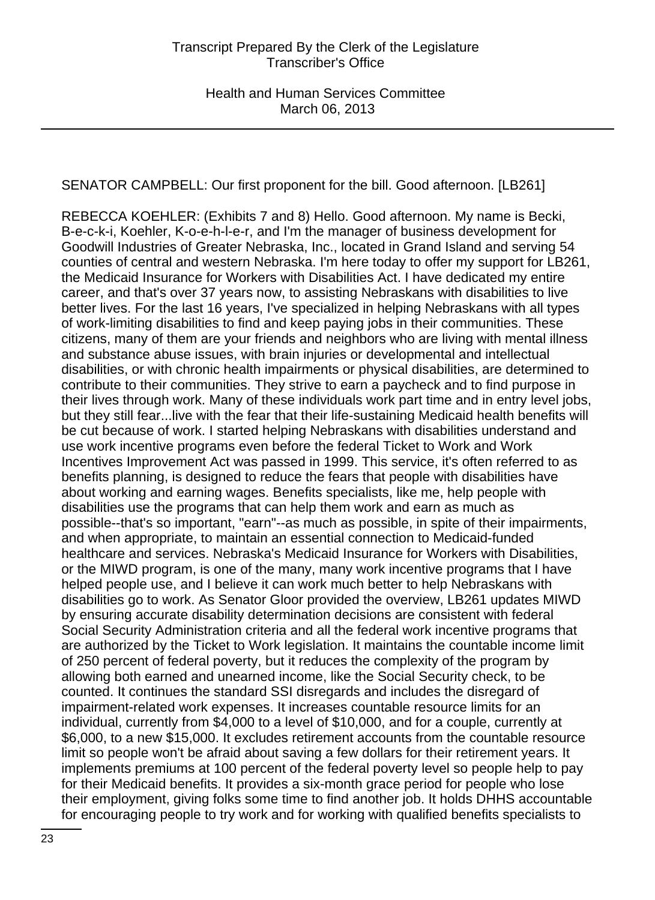SENATOR CAMPBELL: Our first proponent for the bill. Good afternoon. [LB261]

REBECCA KOEHLER: (Exhibits 7 and 8) Hello. Good afternoon. My name is Becki, B-e-c-k-i, Koehler, K-o-e-h-l-e-r, and I'm the manager of business development for Goodwill Industries of Greater Nebraska, Inc., located in Grand Island and serving 54 counties of central and western Nebraska. I'm here today to offer my support for LB261, the Medicaid Insurance for Workers with Disabilities Act. I have dedicated my entire career, and that's over 37 years now, to assisting Nebraskans with disabilities to live better lives. For the last 16 years, I've specialized in helping Nebraskans with all types of work-limiting disabilities to find and keep paying jobs in their communities. These citizens, many of them are your friends and neighbors who are living with mental illness and substance abuse issues, with brain injuries or developmental and intellectual disabilities, or with chronic health impairments or physical disabilities, are determined to contribute to their communities. They strive to earn a paycheck and to find purpose in their lives through work. Many of these individuals work part time and in entry level jobs, but they still fear...live with the fear that their life-sustaining Medicaid health benefits will be cut because of work. I started helping Nebraskans with disabilities understand and use work incentive programs even before the federal Ticket to Work and Work Incentives Improvement Act was passed in 1999. This service, it's often referred to as benefits planning, is designed to reduce the fears that people with disabilities have about working and earning wages. Benefits specialists, like me, help people with disabilities use the programs that can help them work and earn as much as possible--that's so important, "earn"--as much as possible, in spite of their impairments, and when appropriate, to maintain an essential connection to Medicaid-funded healthcare and services. Nebraska's Medicaid Insurance for Workers with Disabilities, or the MIWD program, is one of the many, many work incentive programs that I have helped people use, and I believe it can work much better to help Nebraskans with disabilities go to work. As Senator Gloor provided the overview, LB261 updates MIWD by ensuring accurate disability determination decisions are consistent with federal Social Security Administration criteria and all the federal work incentive programs that are authorized by the Ticket to Work legislation. It maintains the countable income limit of 250 percent of federal poverty, but it reduces the complexity of the program by allowing both earned and unearned income, like the Social Security check, to be counted. It continues the standard SSI disregards and includes the disregard of impairment-related work expenses. It increases countable resource limits for an individual, currently from \$4,000 to a level of \$10,000, and for a couple, currently at \$6,000, to a new \$15,000. It excludes retirement accounts from the countable resource limit so people won't be afraid about saving a few dollars for their retirement years. It implements premiums at 100 percent of the federal poverty level so people help to pay for their Medicaid benefits. It provides a six-month grace period for people who lose their employment, giving folks some time to find another job. It holds DHHS accountable for encouraging people to try work and for working with qualified benefits specialists to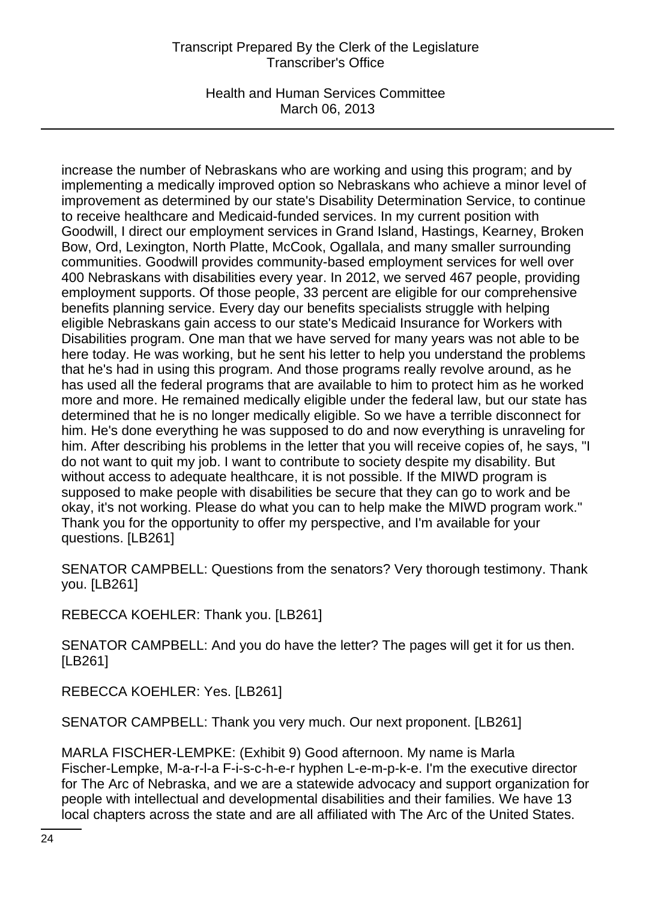Health and Human Services Committee March 06, 2013

increase the number of Nebraskans who are working and using this program; and by implementing a medically improved option so Nebraskans who achieve a minor level of improvement as determined by our state's Disability Determination Service, to continue to receive healthcare and Medicaid-funded services. In my current position with Goodwill, I direct our employment services in Grand Island, Hastings, Kearney, Broken Bow, Ord, Lexington, North Platte, McCook, Ogallala, and many smaller surrounding communities. Goodwill provides community-based employment services for well over 400 Nebraskans with disabilities every year. In 2012, we served 467 people, providing employment supports. Of those people, 33 percent are eligible for our comprehensive benefits planning service. Every day our benefits specialists struggle with helping eligible Nebraskans gain access to our state's Medicaid Insurance for Workers with Disabilities program. One man that we have served for many years was not able to be here today. He was working, but he sent his letter to help you understand the problems that he's had in using this program. And those programs really revolve around, as he has used all the federal programs that are available to him to protect him as he worked more and more. He remained medically eligible under the federal law, but our state has determined that he is no longer medically eligible. So we have a terrible disconnect for him. He's done everything he was supposed to do and now everything is unraveling for him. After describing his problems in the letter that you will receive copies of, he says, "I do not want to quit my job. I want to contribute to society despite my disability. But without access to adequate healthcare, it is not possible. If the MIWD program is supposed to make people with disabilities be secure that they can go to work and be okay, it's not working. Please do what you can to help make the MIWD program work." Thank you for the opportunity to offer my perspective, and I'm available for your questions. [LB261]

SENATOR CAMPBELL: Questions from the senators? Very thorough testimony. Thank you. [LB261]

REBECCA KOEHLER: Thank you. [LB261]

SENATOR CAMPBELL: And you do have the letter? The pages will get it for us then. [LB261]

REBECCA KOEHLER: Yes. [LB261]

SENATOR CAMPBELL: Thank you very much. Our next proponent. [LB261]

MARLA FISCHER-LEMPKE: (Exhibit 9) Good afternoon. My name is Marla Fischer-Lempke, M-a-r-l-a F-i-s-c-h-e-r hyphen L-e-m-p-k-e. I'm the executive director for The Arc of Nebraska, and we are a statewide advocacy and support organization for people with intellectual and developmental disabilities and their families. We have 13 local chapters across the state and are all affiliated with The Arc of the United States.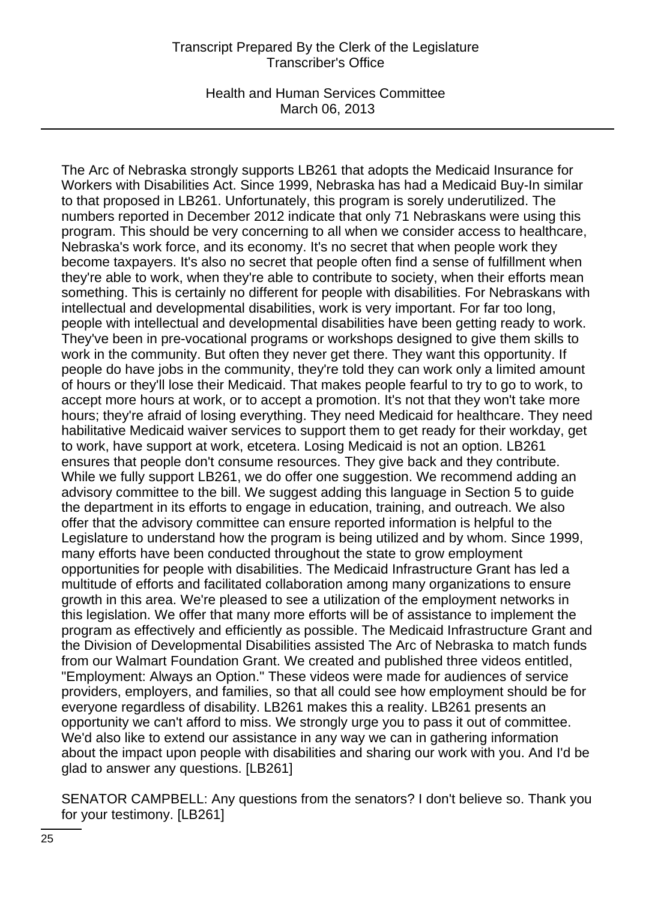Health and Human Services Committee March 06, 2013

The Arc of Nebraska strongly supports LB261 that adopts the Medicaid Insurance for Workers with Disabilities Act. Since 1999, Nebraska has had a Medicaid Buy-In similar to that proposed in LB261. Unfortunately, this program is sorely underutilized. The numbers reported in December 2012 indicate that only 71 Nebraskans were using this program. This should be very concerning to all when we consider access to healthcare, Nebraska's work force, and its economy. It's no secret that when people work they become taxpayers. It's also no secret that people often find a sense of fulfillment when they're able to work, when they're able to contribute to society, when their efforts mean something. This is certainly no different for people with disabilities. For Nebraskans with intellectual and developmental disabilities, work is very important. For far too long, people with intellectual and developmental disabilities have been getting ready to work. They've been in pre-vocational programs or workshops designed to give them skills to work in the community. But often they never get there. They want this opportunity. If people do have jobs in the community, they're told they can work only a limited amount of hours or they'll lose their Medicaid. That makes people fearful to try to go to work, to accept more hours at work, or to accept a promotion. It's not that they won't take more hours; they're afraid of losing everything. They need Medicaid for healthcare. They need habilitative Medicaid waiver services to support them to get ready for their workday, get to work, have support at work, etcetera. Losing Medicaid is not an option. LB261 ensures that people don't consume resources. They give back and they contribute. While we fully support LB261, we do offer one suggestion. We recommend adding an advisory committee to the bill. We suggest adding this language in Section 5 to guide the department in its efforts to engage in education, training, and outreach. We also offer that the advisory committee can ensure reported information is helpful to the Legislature to understand how the program is being utilized and by whom. Since 1999, many efforts have been conducted throughout the state to grow employment opportunities for people with disabilities. The Medicaid Infrastructure Grant has led a multitude of efforts and facilitated collaboration among many organizations to ensure growth in this area. We're pleased to see a utilization of the employment networks in this legislation. We offer that many more efforts will be of assistance to implement the program as effectively and efficiently as possible. The Medicaid Infrastructure Grant and the Division of Developmental Disabilities assisted The Arc of Nebraska to match funds from our Walmart Foundation Grant. We created and published three videos entitled, "Employment: Always an Option." These videos were made for audiences of service providers, employers, and families, so that all could see how employment should be for everyone regardless of disability. LB261 makes this a reality. LB261 presents an opportunity we can't afford to miss. We strongly urge you to pass it out of committee. We'd also like to extend our assistance in any way we can in gathering information about the impact upon people with disabilities and sharing our work with you. And I'd be glad to answer any questions. [LB261]

SENATOR CAMPBELL: Any questions from the senators? I don't believe so. Thank you for your testimony. [LB261]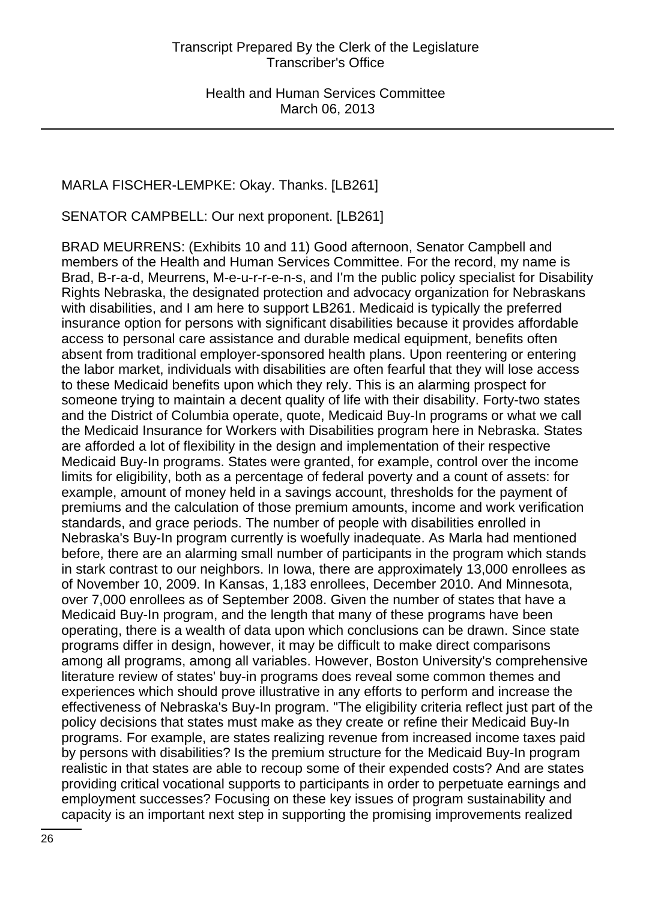# MARLA FISCHER-LEMPKE: Okay. Thanks. [LB261]

SENATOR CAMPBELL: Our next proponent. [LB261]

BRAD MEURRENS: (Exhibits 10 and 11) Good afternoon, Senator Campbell and members of the Health and Human Services Committee. For the record, my name is Brad, B-r-a-d, Meurrens, M-e-u-r-r-e-n-s, and I'm the public policy specialist for Disability Rights Nebraska, the designated protection and advocacy organization for Nebraskans with disabilities, and I am here to support LB261. Medicaid is typically the preferred insurance option for persons with significant disabilities because it provides affordable access to personal care assistance and durable medical equipment, benefits often absent from traditional employer-sponsored health plans. Upon reentering or entering the labor market, individuals with disabilities are often fearful that they will lose access to these Medicaid benefits upon which they rely. This is an alarming prospect for someone trying to maintain a decent quality of life with their disability. Forty-two states and the District of Columbia operate, quote, Medicaid Buy-In programs or what we call the Medicaid Insurance for Workers with Disabilities program here in Nebraska. States are afforded a lot of flexibility in the design and implementation of their respective Medicaid Buy-In programs. States were granted, for example, control over the income limits for eligibility, both as a percentage of federal poverty and a count of assets: for example, amount of money held in a savings account, thresholds for the payment of premiums and the calculation of those premium amounts, income and work verification standards, and grace periods. The number of people with disabilities enrolled in Nebraska's Buy-In program currently is woefully inadequate. As Marla had mentioned before, there are an alarming small number of participants in the program which stands in stark contrast to our neighbors. In Iowa, there are approximately 13,000 enrollees as of November 10, 2009. In Kansas, 1,183 enrollees, December 2010. And Minnesota, over 7,000 enrollees as of September 2008. Given the number of states that have a Medicaid Buy-In program, and the length that many of these programs have been operating, there is a wealth of data upon which conclusions can be drawn. Since state programs differ in design, however, it may be difficult to make direct comparisons among all programs, among all variables. However, Boston University's comprehensive literature review of states' buy-in programs does reveal some common themes and experiences which should prove illustrative in any efforts to perform and increase the effectiveness of Nebraska's Buy-In program. "The eligibility criteria reflect just part of the policy decisions that states must make as they create or refine their Medicaid Buy-In programs. For example, are states realizing revenue from increased income taxes paid by persons with disabilities? Is the premium structure for the Medicaid Buy-In program realistic in that states are able to recoup some of their expended costs? And are states providing critical vocational supports to participants in order to perpetuate earnings and employment successes? Focusing on these key issues of program sustainability and capacity is an important next step in supporting the promising improvements realized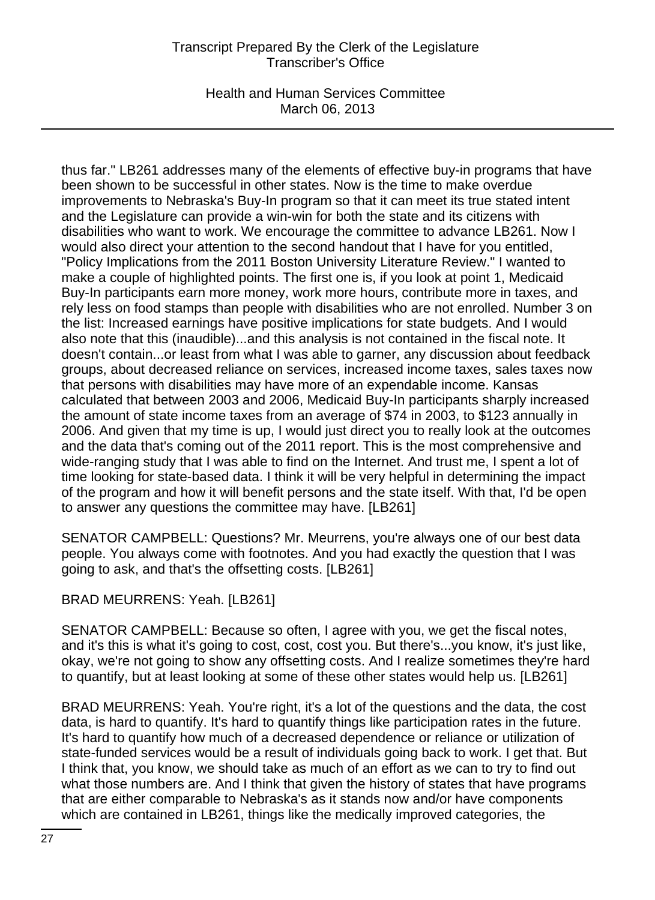Health and Human Services Committee March 06, 2013

thus far." LB261 addresses many of the elements of effective buy-in programs that have been shown to be successful in other states. Now is the time to make overdue improvements to Nebraska's Buy-In program so that it can meet its true stated intent and the Legislature can provide a win-win for both the state and its citizens with disabilities who want to work. We encourage the committee to advance LB261. Now I would also direct your attention to the second handout that I have for you entitled, "Policy Implications from the 2011 Boston University Literature Review." I wanted to make a couple of highlighted points. The first one is, if you look at point 1, Medicaid Buy-In participants earn more money, work more hours, contribute more in taxes, and rely less on food stamps than people with disabilities who are not enrolled. Number 3 on the list: Increased earnings have positive implications for state budgets. And I would also note that this (inaudible)...and this analysis is not contained in the fiscal note. It doesn't contain...or least from what I was able to garner, any discussion about feedback groups, about decreased reliance on services, increased income taxes, sales taxes now that persons with disabilities may have more of an expendable income. Kansas calculated that between 2003 and 2006, Medicaid Buy-In participants sharply increased the amount of state income taxes from an average of \$74 in 2003, to \$123 annually in 2006. And given that my time is up, I would just direct you to really look at the outcomes and the data that's coming out of the 2011 report. This is the most comprehensive and wide-ranging study that I was able to find on the Internet. And trust me, I spent a lot of time looking for state-based data. I think it will be very helpful in determining the impact of the program and how it will benefit persons and the state itself. With that, I'd be open to answer any questions the committee may have. [LB261]

SENATOR CAMPBELL: Questions? Mr. Meurrens, you're always one of our best data people. You always come with footnotes. And you had exactly the question that I was going to ask, and that's the offsetting costs. [LB261]

### BRAD MEURRENS: Yeah. [LB261]

SENATOR CAMPBELL: Because so often, I agree with you, we get the fiscal notes, and it's this is what it's going to cost, cost, cost you. But there's...you know, it's just like, okay, we're not going to show any offsetting costs. And I realize sometimes they're hard to quantify, but at least looking at some of these other states would help us. [LB261]

BRAD MEURRENS: Yeah. You're right, it's a lot of the questions and the data, the cost data, is hard to quantify. It's hard to quantify things like participation rates in the future. It's hard to quantify how much of a decreased dependence or reliance or utilization of state-funded services would be a result of individuals going back to work. I get that. But I think that, you know, we should take as much of an effort as we can to try to find out what those numbers are. And I think that given the history of states that have programs that are either comparable to Nebraska's as it stands now and/or have components which are contained in LB261, things like the medically improved categories, the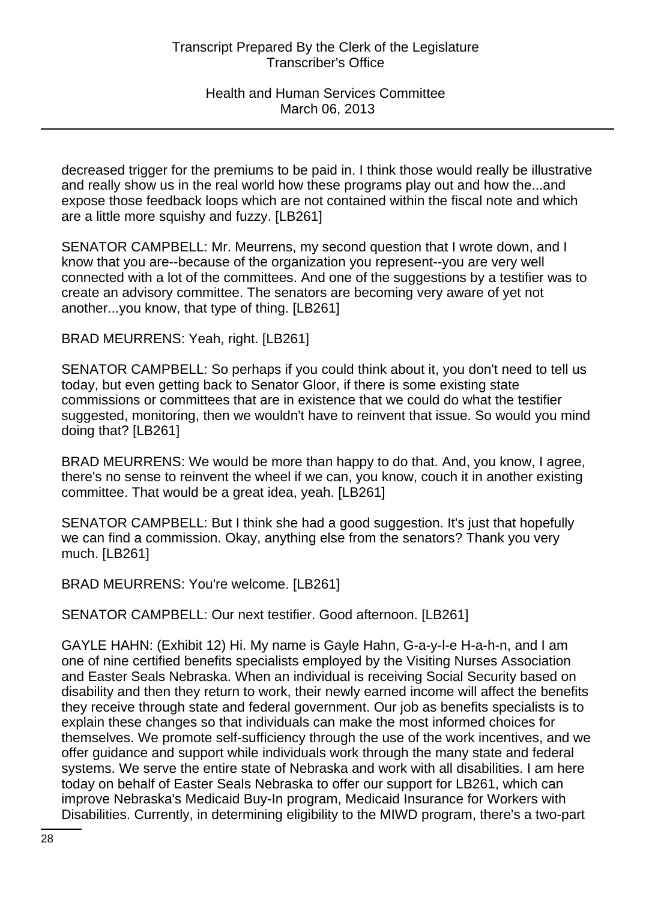decreased trigger for the premiums to be paid in. I think those would really be illustrative and really show us in the real world how these programs play out and how the...and expose those feedback loops which are not contained within the fiscal note and which are a little more squishy and fuzzy. [LB261]

SENATOR CAMPBELL: Mr. Meurrens, my second question that I wrote down, and I know that you are--because of the organization you represent--you are very well connected with a lot of the committees. And one of the suggestions by a testifier was to create an advisory committee. The senators are becoming very aware of yet not another...you know, that type of thing. [LB261]

BRAD MEURRENS: Yeah, right. [LB261]

SENATOR CAMPBELL: So perhaps if you could think about it, you don't need to tell us today, but even getting back to Senator Gloor, if there is some existing state commissions or committees that are in existence that we could do what the testifier suggested, monitoring, then we wouldn't have to reinvent that issue. So would you mind doing that? [LB261]

BRAD MEURRENS: We would be more than happy to do that. And, you know, I agree, there's no sense to reinvent the wheel if we can, you know, couch it in another existing committee. That would be a great idea, yeah. [LB261]

SENATOR CAMPBELL: But I think she had a good suggestion. It's just that hopefully we can find a commission. Okay, anything else from the senators? Thank you very much. [LB261]

BRAD MEURRENS: You're welcome. [LB261]

SENATOR CAMPBELL: Our next testifier. Good afternoon. [LB261]

GAYLE HAHN: (Exhibit 12) Hi. My name is Gayle Hahn, G-a-y-l-e H-a-h-n, and I am one of nine certified benefits specialists employed by the Visiting Nurses Association and Easter Seals Nebraska. When an individual is receiving Social Security based on disability and then they return to work, their newly earned income will affect the benefits they receive through state and federal government. Our job as benefits specialists is to explain these changes so that individuals can make the most informed choices for themselves. We promote self-sufficiency through the use of the work incentives, and we offer guidance and support while individuals work through the many state and federal systems. We serve the entire state of Nebraska and work with all disabilities. I am here today on behalf of Easter Seals Nebraska to offer our support for LB261, which can improve Nebraska's Medicaid Buy-In program, Medicaid Insurance for Workers with Disabilities. Currently, in determining eligibility to the MIWD program, there's a two-part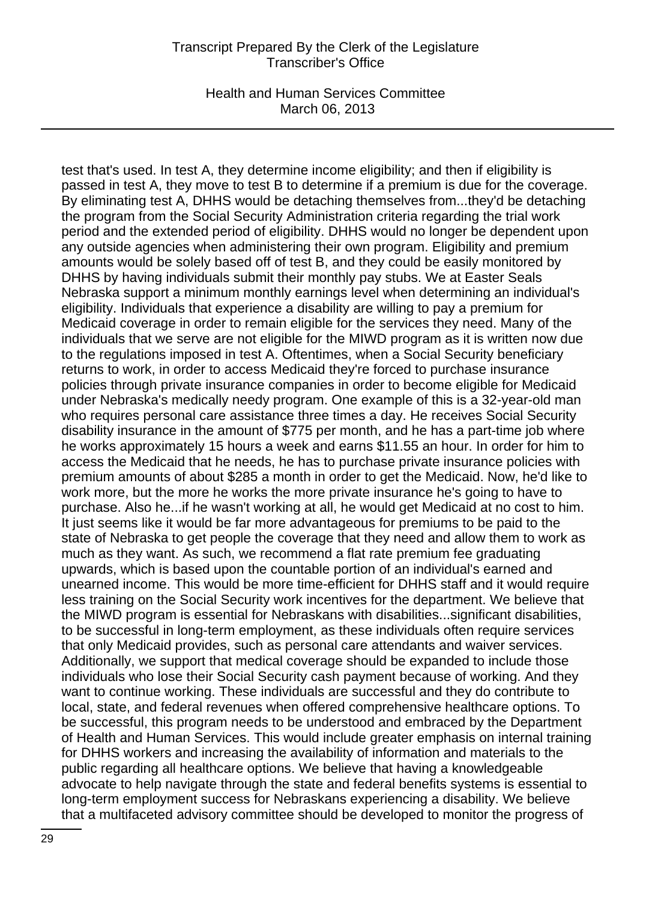Health and Human Services Committee March 06, 2013

test that's used. In test A, they determine income eligibility; and then if eligibility is passed in test A, they move to test B to determine if a premium is due for the coverage. By eliminating test A, DHHS would be detaching themselves from...they'd be detaching the program from the Social Security Administration criteria regarding the trial work period and the extended period of eligibility. DHHS would no longer be dependent upon any outside agencies when administering their own program. Eligibility and premium amounts would be solely based off of test B, and they could be easily monitored by DHHS by having individuals submit their monthly pay stubs. We at Easter Seals Nebraska support a minimum monthly earnings level when determining an individual's eligibility. Individuals that experience a disability are willing to pay a premium for Medicaid coverage in order to remain eligible for the services they need. Many of the individuals that we serve are not eligible for the MIWD program as it is written now due to the regulations imposed in test A. Oftentimes, when a Social Security beneficiary returns to work, in order to access Medicaid they're forced to purchase insurance policies through private insurance companies in order to become eligible for Medicaid under Nebraska's medically needy program. One example of this is a 32-year-old man who requires personal care assistance three times a day. He receives Social Security disability insurance in the amount of \$775 per month, and he has a part-time job where he works approximately 15 hours a week and earns \$11.55 an hour. In order for him to access the Medicaid that he needs, he has to purchase private insurance policies with premium amounts of about \$285 a month in order to get the Medicaid. Now, he'd like to work more, but the more he works the more private insurance he's going to have to purchase. Also he...if he wasn't working at all, he would get Medicaid at no cost to him. It just seems like it would be far more advantageous for premiums to be paid to the state of Nebraska to get people the coverage that they need and allow them to work as much as they want. As such, we recommend a flat rate premium fee graduating upwards, which is based upon the countable portion of an individual's earned and unearned income. This would be more time-efficient for DHHS staff and it would require less training on the Social Security work incentives for the department. We believe that the MIWD program is essential for Nebraskans with disabilities...significant disabilities, to be successful in long-term employment, as these individuals often require services that only Medicaid provides, such as personal care attendants and waiver services. Additionally, we support that medical coverage should be expanded to include those individuals who lose their Social Security cash payment because of working. And they want to continue working. These individuals are successful and they do contribute to local, state, and federal revenues when offered comprehensive healthcare options. To be successful, this program needs to be understood and embraced by the Department of Health and Human Services. This would include greater emphasis on internal training for DHHS workers and increasing the availability of information and materials to the public regarding all healthcare options. We believe that having a knowledgeable advocate to help navigate through the state and federal benefits systems is essential to long-term employment success for Nebraskans experiencing a disability. We believe that a multifaceted advisory committee should be developed to monitor the progress of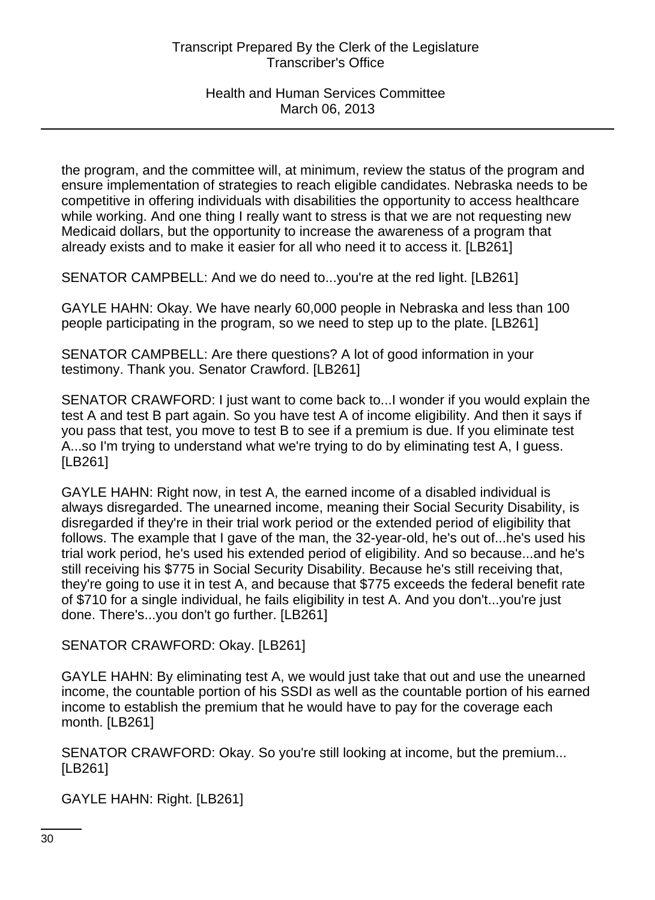the program, and the committee will, at minimum, review the status of the program and ensure implementation of strategies to reach eligible candidates. Nebraska needs to be competitive in offering individuals with disabilities the opportunity to access healthcare while working. And one thing I really want to stress is that we are not requesting new Medicaid dollars, but the opportunity to increase the awareness of a program that already exists and to make it easier for all who need it to access it. [LB261]

SENATOR CAMPBELL: And we do need to...you're at the red light. [LB261]

GAYLE HAHN: Okay. We have nearly 60,000 people in Nebraska and less than 100 people participating in the program, so we need to step up to the plate. [LB261]

SENATOR CAMPBELL: Are there questions? A lot of good information in your testimony. Thank you. Senator Crawford. [LB261]

SENATOR CRAWFORD: I just want to come back to...I wonder if you would explain the test A and test B part again. So you have test A of income eligibility. And then it says if you pass that test, you move to test B to see if a premium is due. If you eliminate test A...so I'm trying to understand what we're trying to do by eliminating test A, I guess. [LB261]

GAYLE HAHN: Right now, in test A, the earned income of a disabled individual is always disregarded. The unearned income, meaning their Social Security Disability, is disregarded if they're in their trial work period or the extended period of eligibility that follows. The example that I gave of the man, the 32-year-old, he's out of...he's used his trial work period, he's used his extended period of eligibility. And so because...and he's still receiving his \$775 in Social Security Disability. Because he's still receiving that, they're going to use it in test A, and because that \$775 exceeds the federal benefit rate of \$710 for a single individual, he fails eligibility in test A. And you don't...you're just done. There's...you don't go further. [LB261]

SENATOR CRAWFORD: Okay. [LB261]

GAYLE HAHN: By eliminating test A, we would just take that out and use the unearned income, the countable portion of his SSDI as well as the countable portion of his earned income to establish the premium that he would have to pay for the coverage each month. [LB261]

SENATOR CRAWFORD: Okay. So you're still looking at income, but the premium... [LB261]

GAYLE HAHN: Right. [LB261]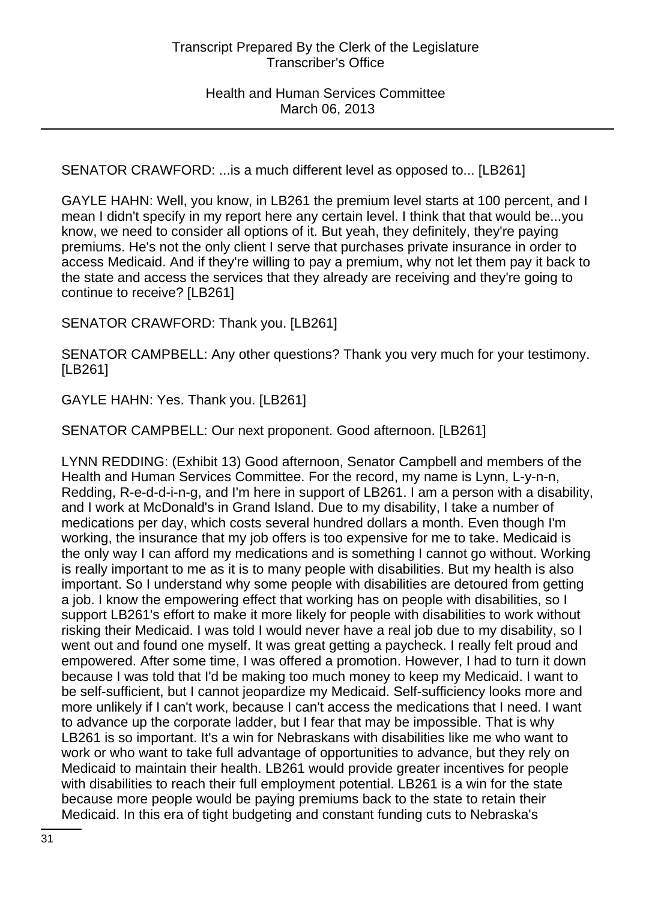SENATOR CRAWFORD: ...is a much different level as opposed to... [LB261]

GAYLE HAHN: Well, you know, in LB261 the premium level starts at 100 percent, and I mean I didn't specify in my report here any certain level. I think that that would be...you know, we need to consider all options of it. But yeah, they definitely, they're paying premiums. He's not the only client I serve that purchases private insurance in order to access Medicaid. And if they're willing to pay a premium, why not let them pay it back to the state and access the services that they already are receiving and they're going to continue to receive? [LB261]

SENATOR CRAWFORD: Thank you. [LB261]

SENATOR CAMPBELL: Any other questions? Thank you very much for your testimony. [LB261]

GAYLE HAHN: Yes. Thank you. [LB261]

SENATOR CAMPBELL: Our next proponent. Good afternoon. [LB261]

LYNN REDDING: (Exhibit 13) Good afternoon, Senator Campbell and members of the Health and Human Services Committee. For the record, my name is Lynn, L-y-n-n, Redding, R-e-d-d-i-n-g, and I'm here in support of LB261. I am a person with a disability, and I work at McDonald's in Grand Island. Due to my disability, I take a number of medications per day, which costs several hundred dollars a month. Even though I'm working, the insurance that my job offers is too expensive for me to take. Medicaid is the only way I can afford my medications and is something I cannot go without. Working is really important to me as it is to many people with disabilities. But my health is also important. So I understand why some people with disabilities are detoured from getting a job. I know the empowering effect that working has on people with disabilities, so I support LB261's effort to make it more likely for people with disabilities to work without risking their Medicaid. I was told I would never have a real job due to my disability, so I went out and found one myself. It was great getting a paycheck. I really felt proud and empowered. After some time, I was offered a promotion. However, I had to turn it down because I was told that I'd be making too much money to keep my Medicaid. I want to be self-sufficient, but I cannot jeopardize my Medicaid. Self-sufficiency looks more and more unlikely if I can't work, because I can't access the medications that I need. I want to advance up the corporate ladder, but I fear that may be impossible. That is why LB261 is so important. It's a win for Nebraskans with disabilities like me who want to work or who want to take full advantage of opportunities to advance, but they rely on Medicaid to maintain their health. LB261 would provide greater incentives for people with disabilities to reach their full employment potential. LB261 is a win for the state because more people would be paying premiums back to the state to retain their Medicaid. In this era of tight budgeting and constant funding cuts to Nebraska's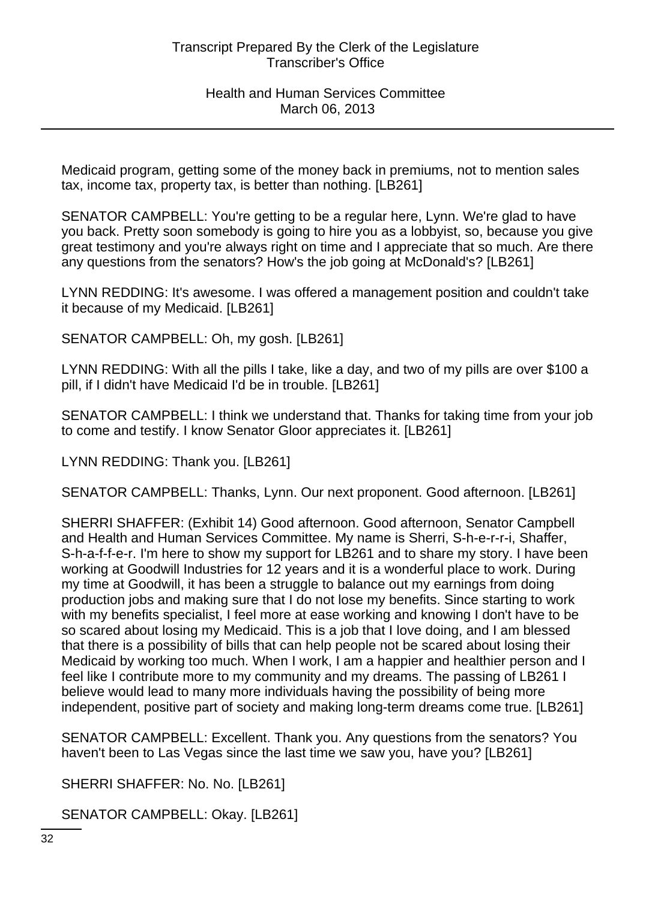Medicaid program, getting some of the money back in premiums, not to mention sales tax, income tax, property tax, is better than nothing. [LB261]

SENATOR CAMPBELL: You're getting to be a regular here, Lynn. We're glad to have you back. Pretty soon somebody is going to hire you as a lobbyist, so, because you give great testimony and you're always right on time and I appreciate that so much. Are there any questions from the senators? How's the job going at McDonald's? [LB261]

LYNN REDDING: It's awesome. I was offered a management position and couldn't take it because of my Medicaid. [LB261]

SENATOR CAMPBELL: Oh, my gosh. [LB261]

LYNN REDDING: With all the pills I take, like a day, and two of my pills are over \$100 a pill, if I didn't have Medicaid I'd be in trouble. [LB261]

SENATOR CAMPBELL: I think we understand that. Thanks for taking time from your job to come and testify. I know Senator Gloor appreciates it. [LB261]

LYNN REDDING: Thank you. [LB261]

SENATOR CAMPBELL: Thanks, Lynn. Our next proponent. Good afternoon. [LB261]

SHERRI SHAFFER: (Exhibit 14) Good afternoon. Good afternoon, Senator Campbell and Health and Human Services Committee. My name is Sherri, S-h-e-r-r-i, Shaffer, S-h-a-f-f-e-r. I'm here to show my support for LB261 and to share my story. I have been working at Goodwill Industries for 12 years and it is a wonderful place to work. During my time at Goodwill, it has been a struggle to balance out my earnings from doing production jobs and making sure that I do not lose my benefits. Since starting to work with my benefits specialist, I feel more at ease working and knowing I don't have to be so scared about losing my Medicaid. This is a job that I love doing, and I am blessed that there is a possibility of bills that can help people not be scared about losing their Medicaid by working too much. When I work, I am a happier and healthier person and I feel like I contribute more to my community and my dreams. The passing of LB261 I believe would lead to many more individuals having the possibility of being more independent, positive part of society and making long-term dreams come true. [LB261]

SENATOR CAMPBELL: Excellent. Thank you. Any questions from the senators? You haven't been to Las Vegas since the last time we saw you, have you? [LB261]

SHERRI SHAFFER: No. No. [LB261]

SENATOR CAMPBELL: Okay. [LB261]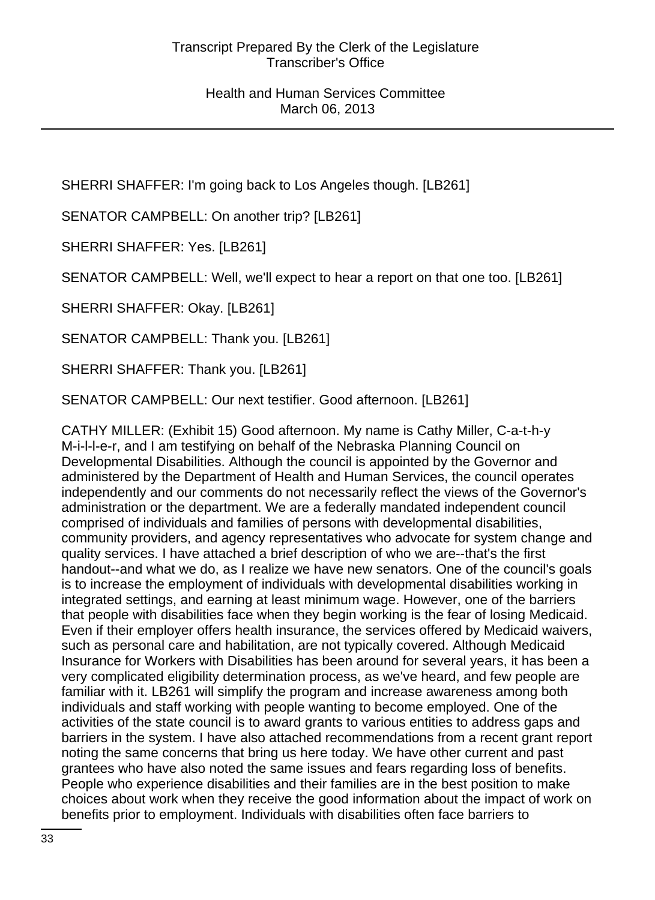SHERRI SHAFFER: I'm going back to Los Angeles though. [LB261]

SENATOR CAMPBELL: On another trip? [LB261]

SHERRI SHAFFER: Yes. [LB261]

SENATOR CAMPBELL: Well, we'll expect to hear a report on that one too. [LB261]

SHERRI SHAFFER: Okay. [LB261]

SENATOR CAMPBELL: Thank you. [LB261]

SHERRI SHAFFER: Thank you. [LB261]

SENATOR CAMPBELL: Our next testifier. Good afternoon. [LB261]

CATHY MILLER: (Exhibit 15) Good afternoon. My name is Cathy Miller, C-a-t-h-y M-i-l-l-e-r, and I am testifying on behalf of the Nebraska Planning Council on Developmental Disabilities. Although the council is appointed by the Governor and administered by the Department of Health and Human Services, the council operates independently and our comments do not necessarily reflect the views of the Governor's administration or the department. We are a federally mandated independent council comprised of individuals and families of persons with developmental disabilities, community providers, and agency representatives who advocate for system change and quality services. I have attached a brief description of who we are--that's the first handout--and what we do, as I realize we have new senators. One of the council's goals is to increase the employment of individuals with developmental disabilities working in integrated settings, and earning at least minimum wage. However, one of the barriers that people with disabilities face when they begin working is the fear of losing Medicaid. Even if their employer offers health insurance, the services offered by Medicaid waivers, such as personal care and habilitation, are not typically covered. Although Medicaid Insurance for Workers with Disabilities has been around for several years, it has been a very complicated eligibility determination process, as we've heard, and few people are familiar with it. LB261 will simplify the program and increase awareness among both individuals and staff working with people wanting to become employed. One of the activities of the state council is to award grants to various entities to address gaps and barriers in the system. I have also attached recommendations from a recent grant report noting the same concerns that bring us here today. We have other current and past grantees who have also noted the same issues and fears regarding loss of benefits. People who experience disabilities and their families are in the best position to make choices about work when they receive the good information about the impact of work on benefits prior to employment. Individuals with disabilities often face barriers to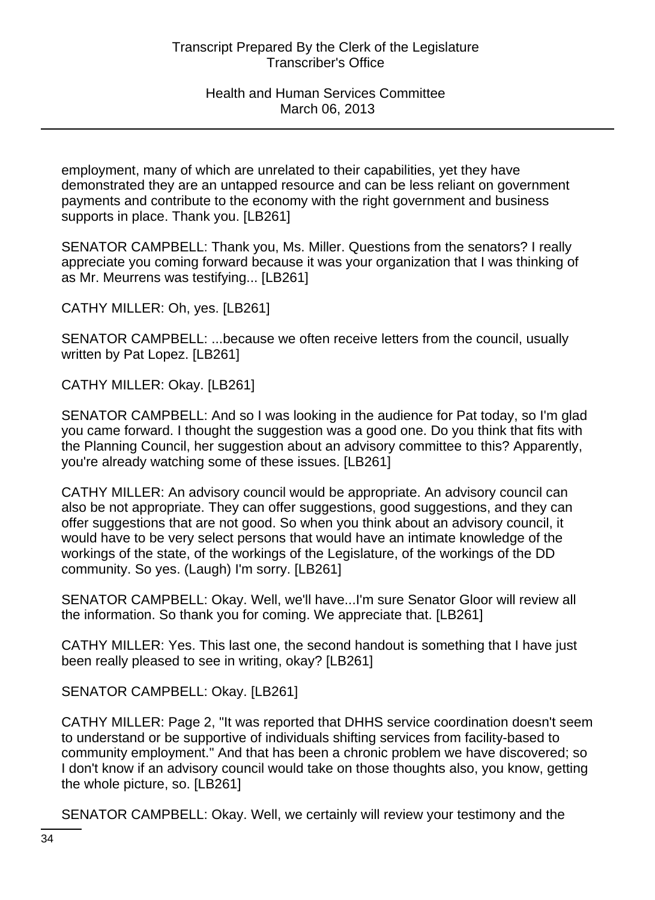employment, many of which are unrelated to their capabilities, yet they have demonstrated they are an untapped resource and can be less reliant on government payments and contribute to the economy with the right government and business supports in place. Thank you. [LB261]

SENATOR CAMPBELL: Thank you, Ms. Miller. Questions from the senators? I really appreciate you coming forward because it was your organization that I was thinking of as Mr. Meurrens was testifying... [LB261]

CATHY MILLER: Oh, yes. [LB261]

SENATOR CAMPBELL: ...because we often receive letters from the council, usually written by Pat Lopez. [LB261]

CATHY MILLER: Okay. [LB261]

SENATOR CAMPBELL: And so I was looking in the audience for Pat today, so I'm glad you came forward. I thought the suggestion was a good one. Do you think that fits with the Planning Council, her suggestion about an advisory committee to this? Apparently, you're already watching some of these issues. [LB261]

CATHY MILLER: An advisory council would be appropriate. An advisory council can also be not appropriate. They can offer suggestions, good suggestions, and they can offer suggestions that are not good. So when you think about an advisory council, it would have to be very select persons that would have an intimate knowledge of the workings of the state, of the workings of the Legislature, of the workings of the DD community. So yes. (Laugh) I'm sorry. [LB261]

SENATOR CAMPBELL: Okay. Well, we'll have...I'm sure Senator Gloor will review all the information. So thank you for coming. We appreciate that. [LB261]

CATHY MILLER: Yes. This last one, the second handout is something that I have just been really pleased to see in writing, okay? [LB261]

SENATOR CAMPBELL: Okay. [LB261]

CATHY MILLER: Page 2, "It was reported that DHHS service coordination doesn't seem to understand or be supportive of individuals shifting services from facility-based to community employment." And that has been a chronic problem we have discovered; so I don't know if an advisory council would take on those thoughts also, you know, getting the whole picture, so. [LB261]

SENATOR CAMPBELL: Okay. Well, we certainly will review your testimony and the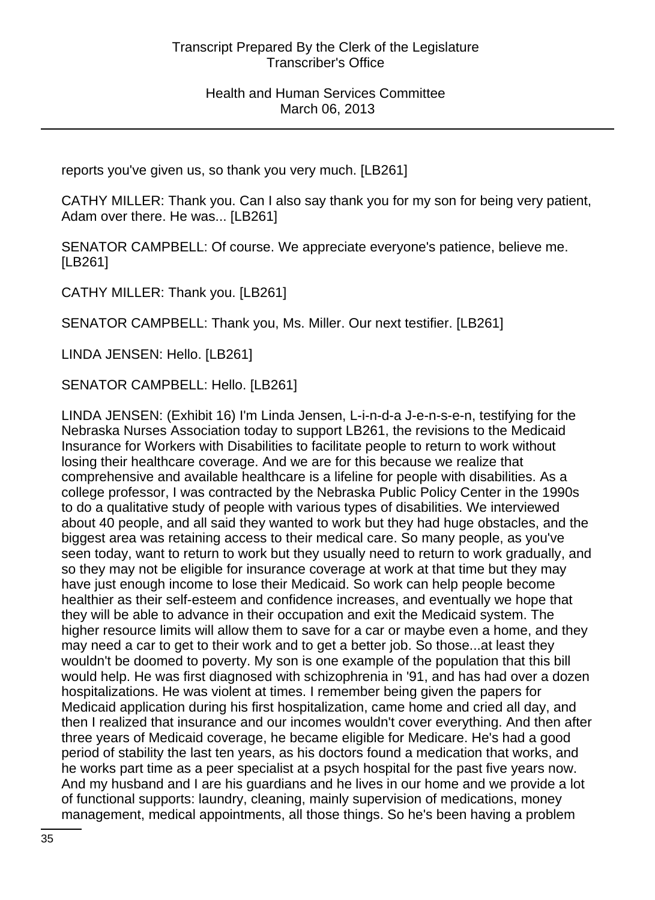reports you've given us, so thank you very much. [LB261]

CATHY MILLER: Thank you. Can I also say thank you for my son for being very patient, Adam over there. He was... [LB261]

SENATOR CAMPBELL: Of course. We appreciate everyone's patience, believe me. [LB261]

CATHY MILLER: Thank you. [LB261]

SENATOR CAMPBELL: Thank you, Ms. Miller. Our next testifier. [LB261]

LINDA JENSEN: Hello. [LB261]

SENATOR CAMPBELL: Hello. [LB261]

LINDA JENSEN: (Exhibit 16) I'm Linda Jensen, L-i-n-d-a J-e-n-s-e-n, testifying for the Nebraska Nurses Association today to support LB261, the revisions to the Medicaid Insurance for Workers with Disabilities to facilitate people to return to work without losing their healthcare coverage. And we are for this because we realize that comprehensive and available healthcare is a lifeline for people with disabilities. As a college professor, I was contracted by the Nebraska Public Policy Center in the 1990s to do a qualitative study of people with various types of disabilities. We interviewed about 40 people, and all said they wanted to work but they had huge obstacles, and the biggest area was retaining access to their medical care. So many people, as you've seen today, want to return to work but they usually need to return to work gradually, and so they may not be eligible for insurance coverage at work at that time but they may have just enough income to lose their Medicaid. So work can help people become healthier as their self-esteem and confidence increases, and eventually we hope that they will be able to advance in their occupation and exit the Medicaid system. The higher resource limits will allow them to save for a car or maybe even a home, and they may need a car to get to their work and to get a better job. So those...at least they wouldn't be doomed to poverty. My son is one example of the population that this bill would help. He was first diagnosed with schizophrenia in '91, and has had over a dozen hospitalizations. He was violent at times. I remember being given the papers for Medicaid application during his first hospitalization, came home and cried all day, and then I realized that insurance and our incomes wouldn't cover everything. And then after three years of Medicaid coverage, he became eligible for Medicare. He's had a good period of stability the last ten years, as his doctors found a medication that works, and he works part time as a peer specialist at a psych hospital for the past five years now. And my husband and I are his guardians and he lives in our home and we provide a lot of functional supports: laundry, cleaning, mainly supervision of medications, money management, medical appointments, all those things. So he's been having a problem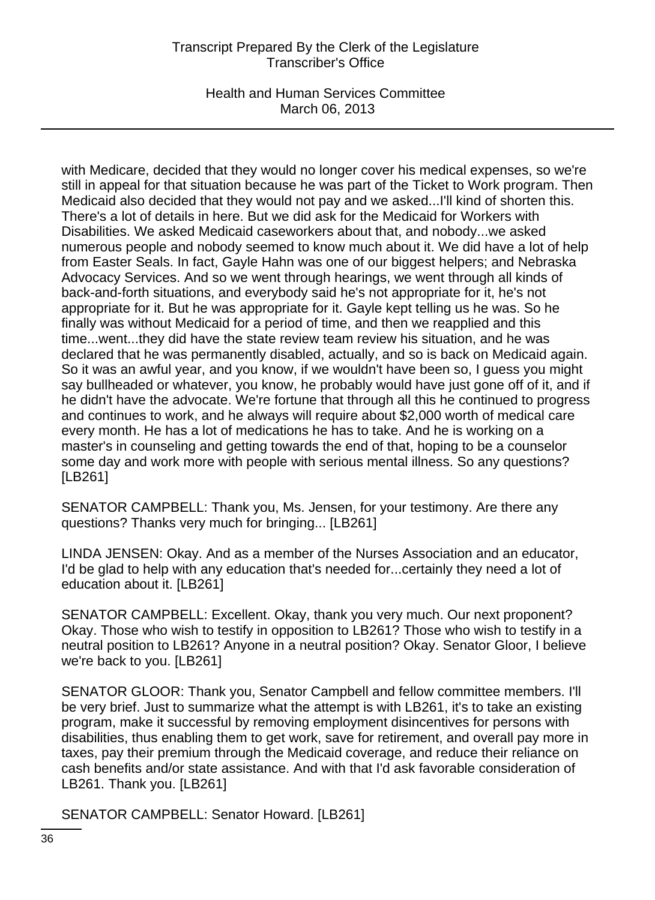Health and Human Services Committee March 06, 2013

with Medicare, decided that they would no longer cover his medical expenses, so we're still in appeal for that situation because he was part of the Ticket to Work program. Then Medicaid also decided that they would not pay and we asked...I'll kind of shorten this. There's a lot of details in here. But we did ask for the Medicaid for Workers with Disabilities. We asked Medicaid caseworkers about that, and nobody...we asked numerous people and nobody seemed to know much about it. We did have a lot of help from Easter Seals. In fact, Gayle Hahn was one of our biggest helpers; and Nebraska Advocacy Services. And so we went through hearings, we went through all kinds of back-and-forth situations, and everybody said he's not appropriate for it, he's not appropriate for it. But he was appropriate for it. Gayle kept telling us he was. So he finally was without Medicaid for a period of time, and then we reapplied and this time...went...they did have the state review team review his situation, and he was declared that he was permanently disabled, actually, and so is back on Medicaid again. So it was an awful year, and you know, if we wouldn't have been so, I guess you might say bullheaded or whatever, you know, he probably would have just gone off of it, and if he didn't have the advocate. We're fortune that through all this he continued to progress and continues to work, and he always will require about \$2,000 worth of medical care every month. He has a lot of medications he has to take. And he is working on a master's in counseling and getting towards the end of that, hoping to be a counselor some day and work more with people with serious mental illness. So any questions? [LB261]

SENATOR CAMPBELL: Thank you, Ms. Jensen, for your testimony. Are there any questions? Thanks very much for bringing... [LB261]

LINDA JENSEN: Okay. And as a member of the Nurses Association and an educator, I'd be glad to help with any education that's needed for...certainly they need a lot of education about it. [LB261]

SENATOR CAMPBELL: Excellent. Okay, thank you very much. Our next proponent? Okay. Those who wish to testify in opposition to LB261? Those who wish to testify in a neutral position to LB261? Anyone in a neutral position? Okay. Senator Gloor, I believe we're back to you. [LB261]

SENATOR GLOOR: Thank you, Senator Campbell and fellow committee members. I'll be very brief. Just to summarize what the attempt is with LB261, it's to take an existing program, make it successful by removing employment disincentives for persons with disabilities, thus enabling them to get work, save for retirement, and overall pay more in taxes, pay their premium through the Medicaid coverage, and reduce their reliance on cash benefits and/or state assistance. And with that I'd ask favorable consideration of LB261. Thank you. [LB261]

SENATOR CAMPBELL: Senator Howard. [LB261]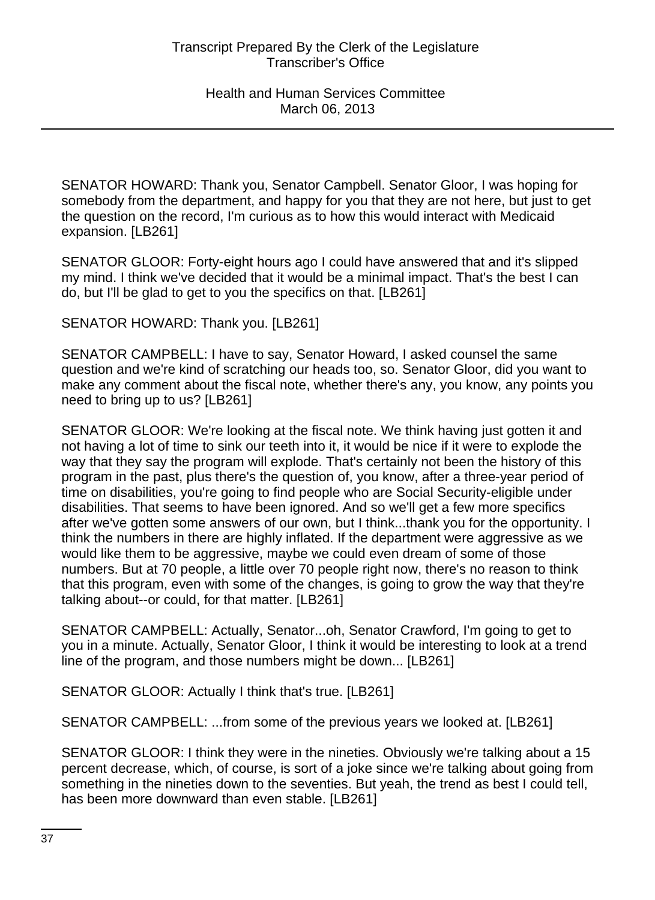SENATOR HOWARD: Thank you, Senator Campbell. Senator Gloor, I was hoping for somebody from the department, and happy for you that they are not here, but just to get the question on the record, I'm curious as to how this would interact with Medicaid expansion. [LB261]

SENATOR GLOOR: Forty-eight hours ago I could have answered that and it's slipped my mind. I think we've decided that it would be a minimal impact. That's the best I can do, but I'll be glad to get to you the specifics on that. [LB261]

SENATOR HOWARD: Thank you. [LB261]

SENATOR CAMPBELL: I have to say, Senator Howard, I asked counsel the same question and we're kind of scratching our heads too, so. Senator Gloor, did you want to make any comment about the fiscal note, whether there's any, you know, any points you need to bring up to us? [LB261]

SENATOR GLOOR: We're looking at the fiscal note. We think having just gotten it and not having a lot of time to sink our teeth into it, it would be nice if it were to explode the way that they say the program will explode. That's certainly not been the history of this program in the past, plus there's the question of, you know, after a three-year period of time on disabilities, you're going to find people who are Social Security-eligible under disabilities. That seems to have been ignored. And so we'll get a few more specifics after we've gotten some answers of our own, but I think...thank you for the opportunity. I think the numbers in there are highly inflated. If the department were aggressive as we would like them to be aggressive, maybe we could even dream of some of those numbers. But at 70 people, a little over 70 people right now, there's no reason to think that this program, even with some of the changes, is going to grow the way that they're talking about--or could, for that matter. [LB261]

SENATOR CAMPBELL: Actually, Senator...oh, Senator Crawford, I'm going to get to you in a minute. Actually, Senator Gloor, I think it would be interesting to look at a trend line of the program, and those numbers might be down... [LB261]

SENATOR GLOOR: Actually I think that's true. [LB261]

SENATOR CAMPBELL: ...from some of the previous years we looked at. [LB261]

SENATOR GLOOR: I think they were in the nineties. Obviously we're talking about a 15 percent decrease, which, of course, is sort of a joke since we're talking about going from something in the nineties down to the seventies. But yeah, the trend as best I could tell, has been more downward than even stable. [LB261]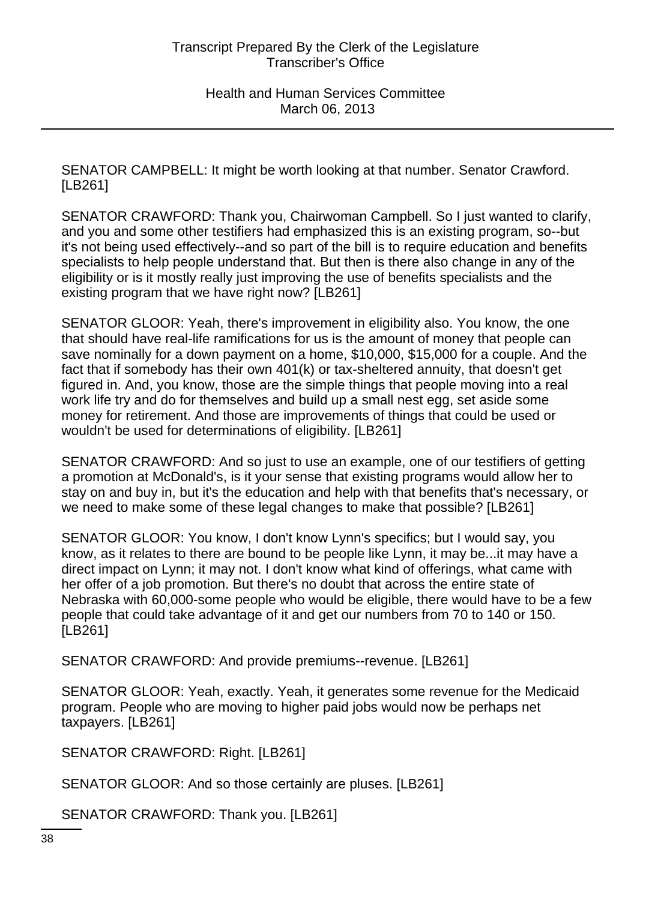SENATOR CAMPBELL: It might be worth looking at that number. Senator Crawford. [LB261]

SENATOR CRAWFORD: Thank you, Chairwoman Campbell. So I just wanted to clarify, and you and some other testifiers had emphasized this is an existing program, so--but it's not being used effectively--and so part of the bill is to require education and benefits specialists to help people understand that. But then is there also change in any of the eligibility or is it mostly really just improving the use of benefits specialists and the existing program that we have right now? [LB261]

SENATOR GLOOR: Yeah, there's improvement in eligibility also. You know, the one that should have real-life ramifications for us is the amount of money that people can save nominally for a down payment on a home, \$10,000, \$15,000 for a couple. And the fact that if somebody has their own 401(k) or tax-sheltered annuity, that doesn't get figured in. And, you know, those are the simple things that people moving into a real work life try and do for themselves and build up a small nest egg, set aside some money for retirement. And those are improvements of things that could be used or wouldn't be used for determinations of eligibility. [LB261]

SENATOR CRAWFORD: And so just to use an example, one of our testifiers of getting a promotion at McDonald's, is it your sense that existing programs would allow her to stay on and buy in, but it's the education and help with that benefits that's necessary, or we need to make some of these legal changes to make that possible? [LB261]

SENATOR GLOOR: You know, I don't know Lynn's specifics; but I would say, you know, as it relates to there are bound to be people like Lynn, it may be...it may have a direct impact on Lynn; it may not. I don't know what kind of offerings, what came with her offer of a job promotion. But there's no doubt that across the entire state of Nebraska with 60,000-some people who would be eligible, there would have to be a few people that could take advantage of it and get our numbers from 70 to 140 or 150. [LB261]

SENATOR CRAWFORD: And provide premiums--revenue. [LB261]

SENATOR GLOOR: Yeah, exactly. Yeah, it generates some revenue for the Medicaid program. People who are moving to higher paid jobs would now be perhaps net taxpayers. [LB261]

SENATOR CRAWFORD: Right. [LB261]

SENATOR GLOOR: And so those certainly are pluses. [LB261]

SENATOR CRAWFORD: Thank you. [LB261]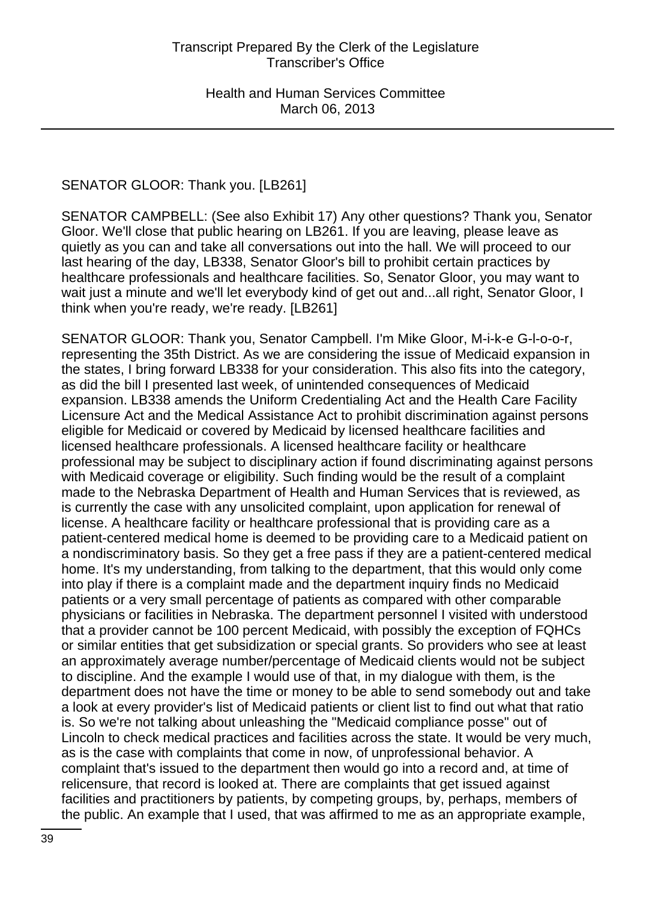# SENATOR GLOOR: Thank you. [LB261]

SENATOR CAMPBELL: (See also Exhibit 17) Any other questions? Thank you, Senator Gloor. We'll close that public hearing on LB261. If you are leaving, please leave as quietly as you can and take all conversations out into the hall. We will proceed to our last hearing of the day, LB338, Senator Gloor's bill to prohibit certain practices by healthcare professionals and healthcare facilities. So, Senator Gloor, you may want to wait just a minute and we'll let everybody kind of get out and...all right, Senator Gloor, I think when you're ready, we're ready. [LB261]

SENATOR GLOOR: Thank you, Senator Campbell. I'm Mike Gloor, M-i-k-e G-l-o-o-r, representing the 35th District. As we are considering the issue of Medicaid expansion in the states, I bring forward LB338 for your consideration. This also fits into the category, as did the bill I presented last week, of unintended consequences of Medicaid expansion. LB338 amends the Uniform Credentialing Act and the Health Care Facility Licensure Act and the Medical Assistance Act to prohibit discrimination against persons eligible for Medicaid or covered by Medicaid by licensed healthcare facilities and licensed healthcare professionals. A licensed healthcare facility or healthcare professional may be subject to disciplinary action if found discriminating against persons with Medicaid coverage or eligibility. Such finding would be the result of a complaint made to the Nebraska Department of Health and Human Services that is reviewed, as is currently the case with any unsolicited complaint, upon application for renewal of license. A healthcare facility or healthcare professional that is providing care as a patient-centered medical home is deemed to be providing care to a Medicaid patient on a nondiscriminatory basis. So they get a free pass if they are a patient-centered medical home. It's my understanding, from talking to the department, that this would only come into play if there is a complaint made and the department inquiry finds no Medicaid patients or a very small percentage of patients as compared with other comparable physicians or facilities in Nebraska. The department personnel I visited with understood that a provider cannot be 100 percent Medicaid, with possibly the exception of FQHCs or similar entities that get subsidization or special grants. So providers who see at least an approximately average number/percentage of Medicaid clients would not be subject to discipline. And the example I would use of that, in my dialogue with them, is the department does not have the time or money to be able to send somebody out and take a look at every provider's list of Medicaid patients or client list to find out what that ratio is. So we're not talking about unleashing the "Medicaid compliance posse" out of Lincoln to check medical practices and facilities across the state. It would be very much, as is the case with complaints that come in now, of unprofessional behavior. A complaint that's issued to the department then would go into a record and, at time of relicensure, that record is looked at. There are complaints that get issued against facilities and practitioners by patients, by competing groups, by, perhaps, members of the public. An example that I used, that was affirmed to me as an appropriate example,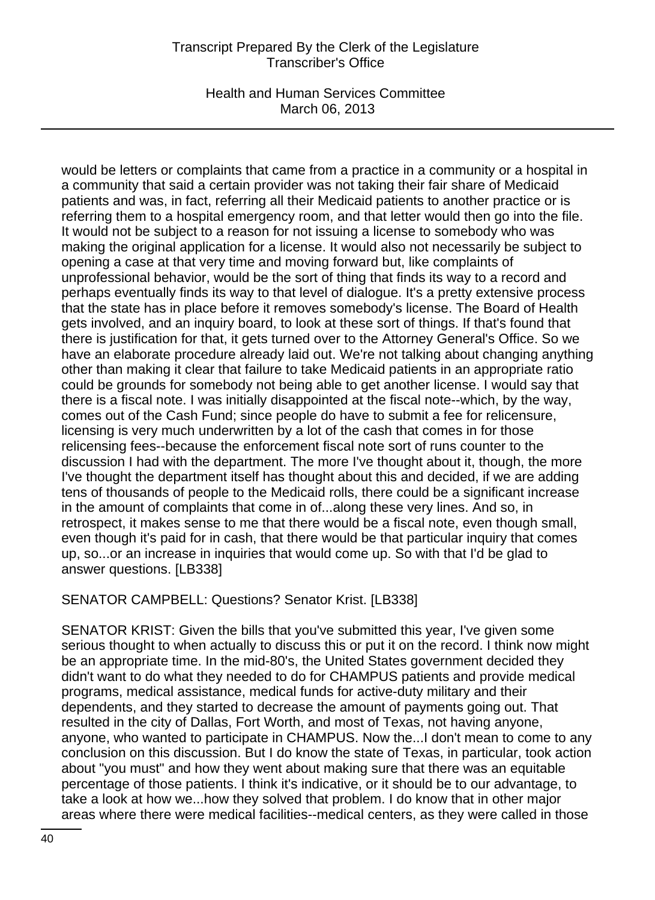Health and Human Services Committee March 06, 2013

would be letters or complaints that came from a practice in a community or a hospital in a community that said a certain provider was not taking their fair share of Medicaid patients and was, in fact, referring all their Medicaid patients to another practice or is referring them to a hospital emergency room, and that letter would then go into the file. It would not be subject to a reason for not issuing a license to somebody who was making the original application for a license. It would also not necessarily be subject to opening a case at that very time and moving forward but, like complaints of unprofessional behavior, would be the sort of thing that finds its way to a record and perhaps eventually finds its way to that level of dialogue. It's a pretty extensive process that the state has in place before it removes somebody's license. The Board of Health gets involved, and an inquiry board, to look at these sort of things. If that's found that there is justification for that, it gets turned over to the Attorney General's Office. So we have an elaborate procedure already laid out. We're not talking about changing anything other than making it clear that failure to take Medicaid patients in an appropriate ratio could be grounds for somebody not being able to get another license. I would say that there is a fiscal note. I was initially disappointed at the fiscal note--which, by the way, comes out of the Cash Fund; since people do have to submit a fee for relicensure, licensing is very much underwritten by a lot of the cash that comes in for those relicensing fees--because the enforcement fiscal note sort of runs counter to the discussion I had with the department. The more I've thought about it, though, the more I've thought the department itself has thought about this and decided, if we are adding tens of thousands of people to the Medicaid rolls, there could be a significant increase in the amount of complaints that come in of...along these very lines. And so, in retrospect, it makes sense to me that there would be a fiscal note, even though small, even though it's paid for in cash, that there would be that particular inquiry that comes up, so...or an increase in inquiries that would come up. So with that I'd be glad to answer questions. [LB338]

SENATOR CAMPBELL: Questions? Senator Krist. [LB338]

SENATOR KRIST: Given the bills that you've submitted this year, I've given some serious thought to when actually to discuss this or put it on the record. I think now might be an appropriate time. In the mid-80's, the United States government decided they didn't want to do what they needed to do for CHAMPUS patients and provide medical programs, medical assistance, medical funds for active-duty military and their dependents, and they started to decrease the amount of payments going out. That resulted in the city of Dallas, Fort Worth, and most of Texas, not having anyone, anyone, who wanted to participate in CHAMPUS. Now the...I don't mean to come to any conclusion on this discussion. But I do know the state of Texas, in particular, took action about "you must" and how they went about making sure that there was an equitable percentage of those patients. I think it's indicative, or it should be to our advantage, to take a look at how we...how they solved that problem. I do know that in other major areas where there were medical facilities--medical centers, as they were called in those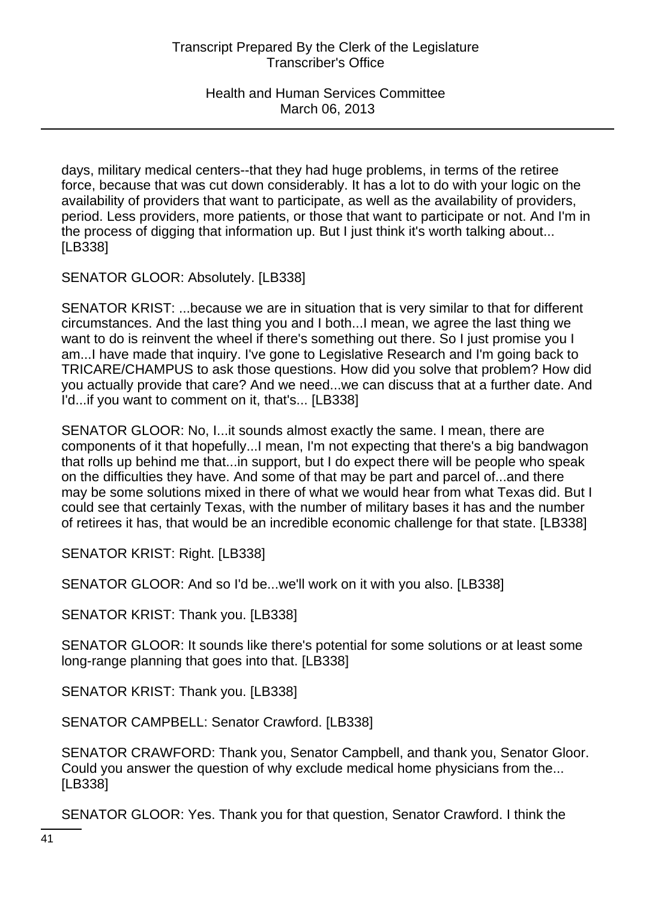days, military medical centers--that they had huge problems, in terms of the retiree force, because that was cut down considerably. It has a lot to do with your logic on the availability of providers that want to participate, as well as the availability of providers, period. Less providers, more patients, or those that want to participate or not. And I'm in the process of digging that information up. But I just think it's worth talking about... [LB338]

SENATOR GLOOR: Absolutely. [LB338]

SENATOR KRIST: ...because we are in situation that is very similar to that for different circumstances. And the last thing you and I both...I mean, we agree the last thing we want to do is reinvent the wheel if there's something out there. So I just promise you I am...I have made that inquiry. I've gone to Legislative Research and I'm going back to TRICARE/CHAMPUS to ask those questions. How did you solve that problem? How did you actually provide that care? And we need...we can discuss that at a further date. And I'd...if you want to comment on it, that's... [LB338]

SENATOR GLOOR: No, I...it sounds almost exactly the same. I mean, there are components of it that hopefully...I mean, I'm not expecting that there's a big bandwagon that rolls up behind me that...in support, but I do expect there will be people who speak on the difficulties they have. And some of that may be part and parcel of...and there may be some solutions mixed in there of what we would hear from what Texas did. But I could see that certainly Texas, with the number of military bases it has and the number of retirees it has, that would be an incredible economic challenge for that state. [LB338]

SENATOR KRIST: Right. [LB338]

SENATOR GLOOR: And so I'd be...we'll work on it with you also. [LB338]

SENATOR KRIST: Thank you. [LB338]

SENATOR GLOOR: It sounds like there's potential for some solutions or at least some long-range planning that goes into that. [LB338]

SENATOR KRIST: Thank you. [LB338]

SENATOR CAMPBELL: Senator Crawford. [LB338]

SENATOR CRAWFORD: Thank you, Senator Campbell, and thank you, Senator Gloor. Could you answer the question of why exclude medical home physicians from the... [LB338]

SENATOR GLOOR: Yes. Thank you for that question, Senator Crawford. I think the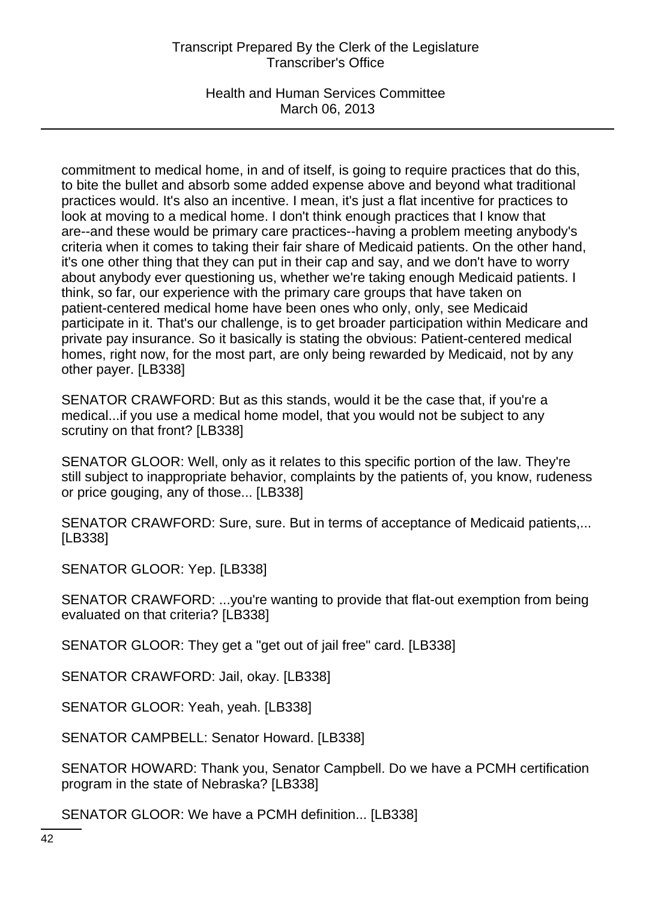Health and Human Services Committee March 06, 2013

commitment to medical home, in and of itself, is going to require practices that do this, to bite the bullet and absorb some added expense above and beyond what traditional practices would. It's also an incentive. I mean, it's just a flat incentive for practices to look at moving to a medical home. I don't think enough practices that I know that are--and these would be primary care practices--having a problem meeting anybody's criteria when it comes to taking their fair share of Medicaid patients. On the other hand, it's one other thing that they can put in their cap and say, and we don't have to worry about anybody ever questioning us, whether we're taking enough Medicaid patients. I think, so far, our experience with the primary care groups that have taken on patient-centered medical home have been ones who only, only, see Medicaid participate in it. That's our challenge, is to get broader participation within Medicare and private pay insurance. So it basically is stating the obvious: Patient-centered medical homes, right now, for the most part, are only being rewarded by Medicaid, not by any other payer. [LB338]

SENATOR CRAWFORD: But as this stands, would it be the case that, if you're a medical...if you use a medical home model, that you would not be subject to any scrutiny on that front? [LB338]

SENATOR GLOOR: Well, only as it relates to this specific portion of the law. They're still subject to inappropriate behavior, complaints by the patients of, you know, rudeness or price gouging, any of those... [LB338]

SENATOR CRAWFORD: Sure, sure. But in terms of acceptance of Medicaid patients,... [LB338]

SENATOR GLOOR: Yep. [LB338]

SENATOR CRAWFORD: ...you're wanting to provide that flat-out exemption from being evaluated on that criteria? [LB338]

SENATOR GLOOR: They get a "get out of jail free" card. [LB338]

SENATOR CRAWFORD: Jail, okay. [LB338]

SENATOR GLOOR: Yeah, yeah. [LB338]

SENATOR CAMPBELL: Senator Howard. [LB338]

SENATOR HOWARD: Thank you, Senator Campbell. Do we have a PCMH certification program in the state of Nebraska? [LB338]

SENATOR GLOOR: We have a PCMH definition... [LB338]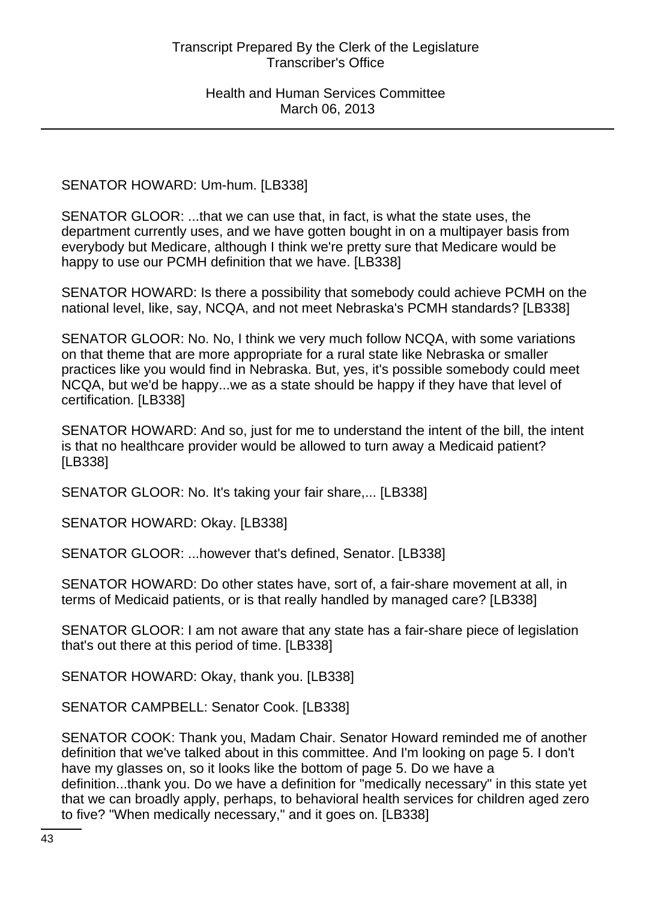SENATOR HOWARD: Um-hum. [LB338]

SENATOR GLOOR: ...that we can use that, in fact, is what the state uses, the department currently uses, and we have gotten bought in on a multipayer basis from everybody but Medicare, although I think we're pretty sure that Medicare would be happy to use our PCMH definition that we have. [LB338]

SENATOR HOWARD: Is there a possibility that somebody could achieve PCMH on the national level, like, say, NCQA, and not meet Nebraska's PCMH standards? [LB338]

SENATOR GLOOR: No. No, I think we very much follow NCQA, with some variations on that theme that are more appropriate for a rural state like Nebraska or smaller practices like you would find in Nebraska. But, yes, it's possible somebody could meet NCQA, but we'd be happy...we as a state should be happy if they have that level of certification. [LB338]

SENATOR HOWARD: And so, just for me to understand the intent of the bill, the intent is that no healthcare provider would be allowed to turn away a Medicaid patient? [LB338]

SENATOR GLOOR: No. It's taking your fair share,... [LB338]

SENATOR HOWARD: Okay. [LB338]

SENATOR GLOOR: ...however that's defined, Senator. [LB338]

SENATOR HOWARD: Do other states have, sort of, a fair-share movement at all, in terms of Medicaid patients, or is that really handled by managed care? [LB338]

SENATOR GLOOR: I am not aware that any state has a fair-share piece of legislation that's out there at this period of time. [LB338]

SENATOR HOWARD: Okay, thank you. [LB338]

SENATOR CAMPBELL: Senator Cook. [LB338]

SENATOR COOK: Thank you, Madam Chair. Senator Howard reminded me of another definition that we've talked about in this committee. And I'm looking on page 5. I don't have my glasses on, so it looks like the bottom of page 5. Do we have a definition...thank you. Do we have a definition for "medically necessary" in this state yet that we can broadly apply, perhaps, to behavioral health services for children aged zero to five? "When medically necessary," and it goes on. [LB338]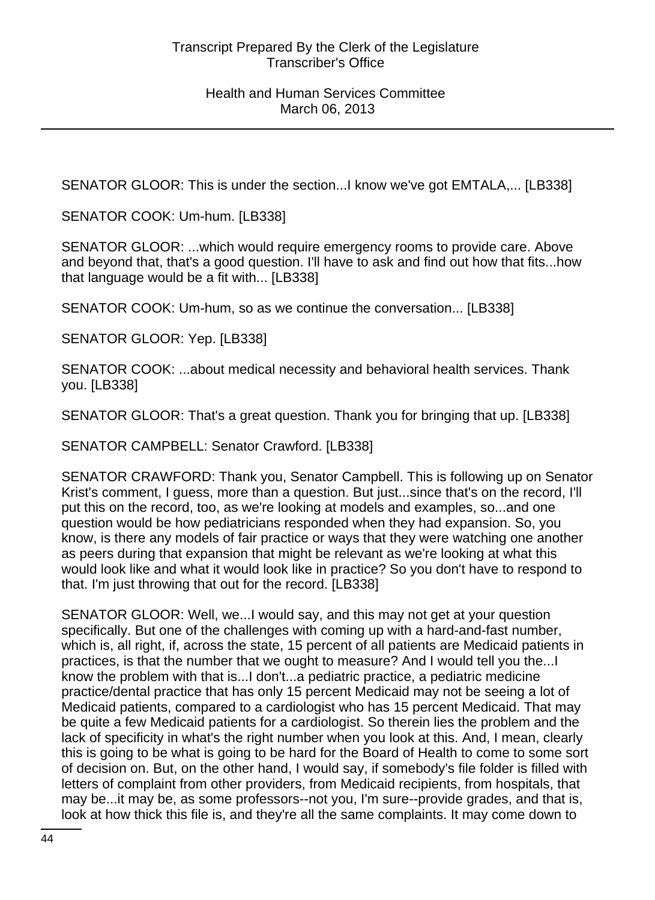SENATOR GLOOR: This is under the section...I know we've got EMTALA,... [LB338]

SENATOR COOK: Um-hum. [LB338]

SENATOR GLOOR: ...which would require emergency rooms to provide care. Above and beyond that, that's a good question. I'll have to ask and find out how that fits...how that language would be a fit with... [LB338]

SENATOR COOK: Um-hum, so as we continue the conversation... [LB338]

SENATOR GLOOR: Yep. [LB338]

SENATOR COOK: ...about medical necessity and behavioral health services. Thank you. [LB338]

SENATOR GLOOR: That's a great question. Thank you for bringing that up. [LB338]

SENATOR CAMPBELL: Senator Crawford. [LB338]

SENATOR CRAWFORD: Thank you, Senator Campbell. This is following up on Senator Krist's comment, I guess, more than a question. But just...since that's on the record, I'll put this on the record, too, as we're looking at models and examples, so...and one question would be how pediatricians responded when they had expansion. So, you know, is there any models of fair practice or ways that they were watching one another as peers during that expansion that might be relevant as we're looking at what this would look like and what it would look like in practice? So you don't have to respond to that. I'm just throwing that out for the record. [LB338]

SENATOR GLOOR: Well, we...I would say, and this may not get at your question specifically. But one of the challenges with coming up with a hard-and-fast number, which is, all right, if, across the state, 15 percent of all patients are Medicaid patients in practices, is that the number that we ought to measure? And I would tell you the...I know the problem with that is...I don't...a pediatric practice, a pediatric medicine practice/dental practice that has only 15 percent Medicaid may not be seeing a lot of Medicaid patients, compared to a cardiologist who has 15 percent Medicaid. That may be quite a few Medicaid patients for a cardiologist. So therein lies the problem and the lack of specificity in what's the right number when you look at this. And, I mean, clearly this is going to be what is going to be hard for the Board of Health to come to some sort of decision on. But, on the other hand, I would say, if somebody's file folder is filled with letters of complaint from other providers, from Medicaid recipients, from hospitals, that may be...it may be, as some professors--not you, I'm sure--provide grades, and that is, look at how thick this file is, and they're all the same complaints. It may come down to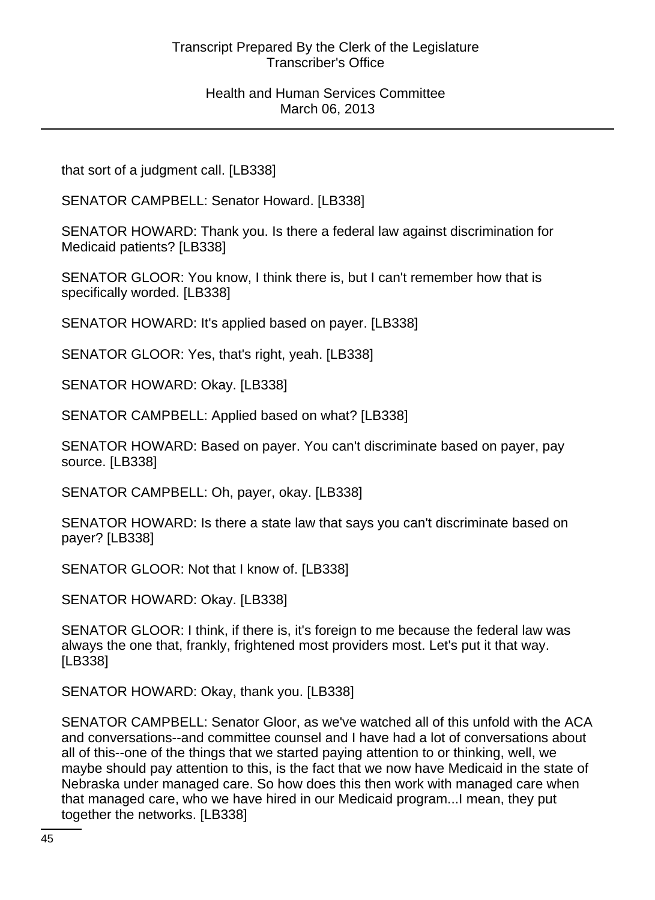### Health and Human Services Committee March 06, 2013

that sort of a judgment call. [LB338]

SENATOR CAMPBELL: Senator Howard. [LB338]

SENATOR HOWARD: Thank you. Is there a federal law against discrimination for Medicaid patients? [LB338]

SENATOR GLOOR: You know, I think there is, but I can't remember how that is specifically worded. [LB338]

SENATOR HOWARD: It's applied based on payer. [LB338]

SENATOR GLOOR: Yes, that's right, yeah. [LB338]

SENATOR HOWARD: Okay. [LB338]

SENATOR CAMPBELL: Applied based on what? [LB338]

SENATOR HOWARD: Based on payer. You can't discriminate based on payer, pay source. [LB338]

SENATOR CAMPBELL: Oh, payer, okay. [LB338]

SENATOR HOWARD: Is there a state law that says you can't discriminate based on payer? [LB338]

SENATOR GLOOR: Not that I know of. [LB338]

SENATOR HOWARD: Okay. [LB338]

SENATOR GLOOR: I think, if there is, it's foreign to me because the federal law was always the one that, frankly, frightened most providers most. Let's put it that way. [LB338]

SENATOR HOWARD: Okay, thank you. [LB338]

SENATOR CAMPBELL: Senator Gloor, as we've watched all of this unfold with the ACA and conversations--and committee counsel and I have had a lot of conversations about all of this--one of the things that we started paying attention to or thinking, well, we maybe should pay attention to this, is the fact that we now have Medicaid in the state of Nebraska under managed care. So how does this then work with managed care when that managed care, who we have hired in our Medicaid program...I mean, they put together the networks. [LB338]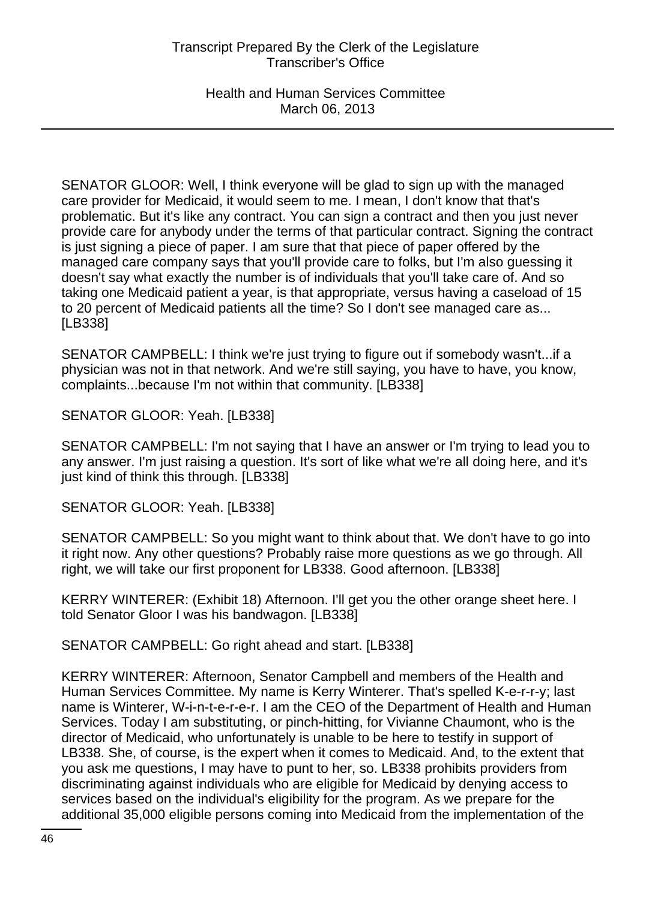Health and Human Services Committee March 06, 2013

SENATOR GLOOR: Well, I think everyone will be glad to sign up with the managed care provider for Medicaid, it would seem to me. I mean, I don't know that that's problematic. But it's like any contract. You can sign a contract and then you just never provide care for anybody under the terms of that particular contract. Signing the contract is just signing a piece of paper. I am sure that that piece of paper offered by the managed care company says that you'll provide care to folks, but I'm also guessing it doesn't say what exactly the number is of individuals that you'll take care of. And so taking one Medicaid patient a year, is that appropriate, versus having a caseload of 15 to 20 percent of Medicaid patients all the time? So I don't see managed care as... [LB338]

SENATOR CAMPBELL: I think we're just trying to figure out if somebody wasn't...if a physician was not in that network. And we're still saying, you have to have, you know, complaints...because I'm not within that community. [LB338]

SENATOR GLOOR: Yeah. [LB338]

SENATOR CAMPBELL: I'm not saying that I have an answer or I'm trying to lead you to any answer. I'm just raising a question. It's sort of like what we're all doing here, and it's just kind of think this through. [LB338]

SENATOR GLOOR: Yeah. [LB338]

SENATOR CAMPBELL: So you might want to think about that. We don't have to go into it right now. Any other questions? Probably raise more questions as we go through. All right, we will take our first proponent for LB338. Good afternoon. [LB338]

KERRY WINTERER: (Exhibit 18) Afternoon. I'll get you the other orange sheet here. I told Senator Gloor I was his bandwagon. [LB338]

SENATOR CAMPBELL: Go right ahead and start. [LB338]

KERRY WINTERER: Afternoon, Senator Campbell and members of the Health and Human Services Committee. My name is Kerry Winterer. That's spelled K-e-r-r-y; last name is Winterer, W-i-n-t-e-r-e-r. I am the CEO of the Department of Health and Human Services. Today I am substituting, or pinch-hitting, for Vivianne Chaumont, who is the director of Medicaid, who unfortunately is unable to be here to testify in support of LB338. She, of course, is the expert when it comes to Medicaid. And, to the extent that you ask me questions, I may have to punt to her, so. LB338 prohibits providers from discriminating against individuals who are eligible for Medicaid by denying access to services based on the individual's eligibility for the program. As we prepare for the additional 35,000 eligible persons coming into Medicaid from the implementation of the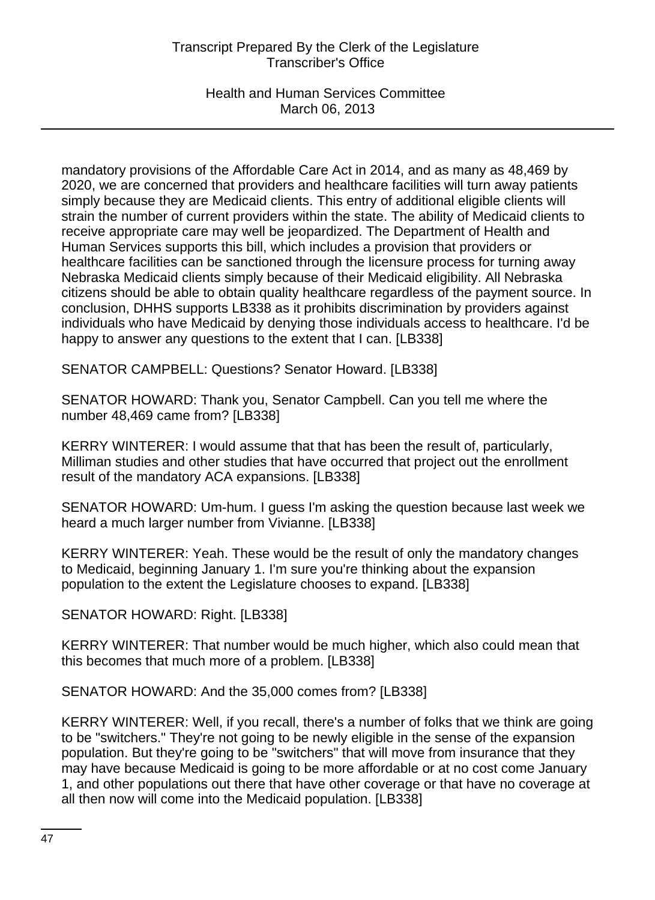Health and Human Services Committee March 06, 2013

mandatory provisions of the Affordable Care Act in 2014, and as many as 48,469 by 2020, we are concerned that providers and healthcare facilities will turn away patients simply because they are Medicaid clients. This entry of additional eligible clients will strain the number of current providers within the state. The ability of Medicaid clients to receive appropriate care may well be jeopardized. The Department of Health and Human Services supports this bill, which includes a provision that providers or healthcare facilities can be sanctioned through the licensure process for turning away Nebraska Medicaid clients simply because of their Medicaid eligibility. All Nebraska citizens should be able to obtain quality healthcare regardless of the payment source. In conclusion, DHHS supports LB338 as it prohibits discrimination by providers against individuals who have Medicaid by denying those individuals access to healthcare. I'd be happy to answer any questions to the extent that I can. [LB338]

SENATOR CAMPBELL: Questions? Senator Howard. [LB338]

SENATOR HOWARD: Thank you, Senator Campbell. Can you tell me where the number 48,469 came from? [LB338]

KERRY WINTERER: I would assume that that has been the result of, particularly, Milliman studies and other studies that have occurred that project out the enrollment result of the mandatory ACA expansions. [LB338]

SENATOR HOWARD: Um-hum. I guess I'm asking the question because last week we heard a much larger number from Vivianne. [LB338]

KERRY WINTERER: Yeah. These would be the result of only the mandatory changes to Medicaid, beginning January 1. I'm sure you're thinking about the expansion population to the extent the Legislature chooses to expand. [LB338]

SENATOR HOWARD: Right. [LB338]

KERRY WINTERER: That number would be much higher, which also could mean that this becomes that much more of a problem. [LB338]

SENATOR HOWARD: And the 35,000 comes from? [LB338]

KERRY WINTERER: Well, if you recall, there's a number of folks that we think are going to be "switchers." They're not going to be newly eligible in the sense of the expansion population. But they're going to be "switchers" that will move from insurance that they may have because Medicaid is going to be more affordable or at no cost come January 1, and other populations out there that have other coverage or that have no coverage at all then now will come into the Medicaid population. [LB338]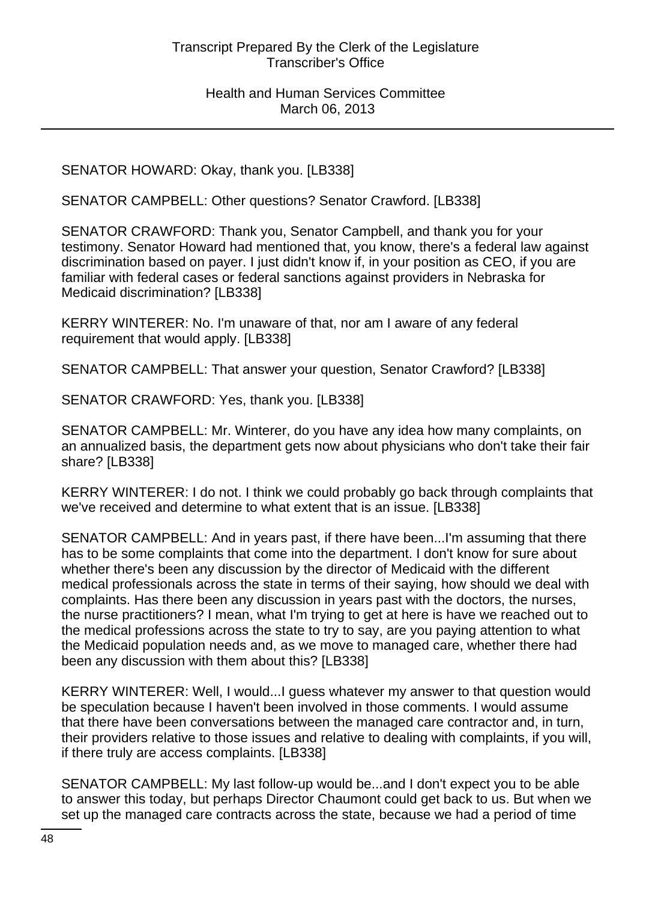SENATOR HOWARD: Okay, thank you. [LB338]

SENATOR CAMPBELL: Other questions? Senator Crawford. [LB338]

SENATOR CRAWFORD: Thank you, Senator Campbell, and thank you for your testimony. Senator Howard had mentioned that, you know, there's a federal law against discrimination based on payer. I just didn't know if, in your position as CEO, if you are familiar with federal cases or federal sanctions against providers in Nebraska for Medicaid discrimination? [LB338]

KERRY WINTERER: No. I'm unaware of that, nor am I aware of any federal requirement that would apply. [LB338]

SENATOR CAMPBELL: That answer your question, Senator Crawford? [LB338]

SENATOR CRAWFORD: Yes, thank you. [LB338]

SENATOR CAMPBELL: Mr. Winterer, do you have any idea how many complaints, on an annualized basis, the department gets now about physicians who don't take their fair share? [LB338]

KERRY WINTERER: I do not. I think we could probably go back through complaints that we've received and determine to what extent that is an issue. [LB338]

SENATOR CAMPBELL: And in years past, if there have been...I'm assuming that there has to be some complaints that come into the department. I don't know for sure about whether there's been any discussion by the director of Medicaid with the different medical professionals across the state in terms of their saying, how should we deal with complaints. Has there been any discussion in years past with the doctors, the nurses, the nurse practitioners? I mean, what I'm trying to get at here is have we reached out to the medical professions across the state to try to say, are you paying attention to what the Medicaid population needs and, as we move to managed care, whether there had been any discussion with them about this? [LB338]

KERRY WINTERER: Well, I would...I guess whatever my answer to that question would be speculation because I haven't been involved in those comments. I would assume that there have been conversations between the managed care contractor and, in turn, their providers relative to those issues and relative to dealing with complaints, if you will, if there truly are access complaints. [LB338]

SENATOR CAMPBELL: My last follow-up would be...and I don't expect you to be able to answer this today, but perhaps Director Chaumont could get back to us. But when we set up the managed care contracts across the state, because we had a period of time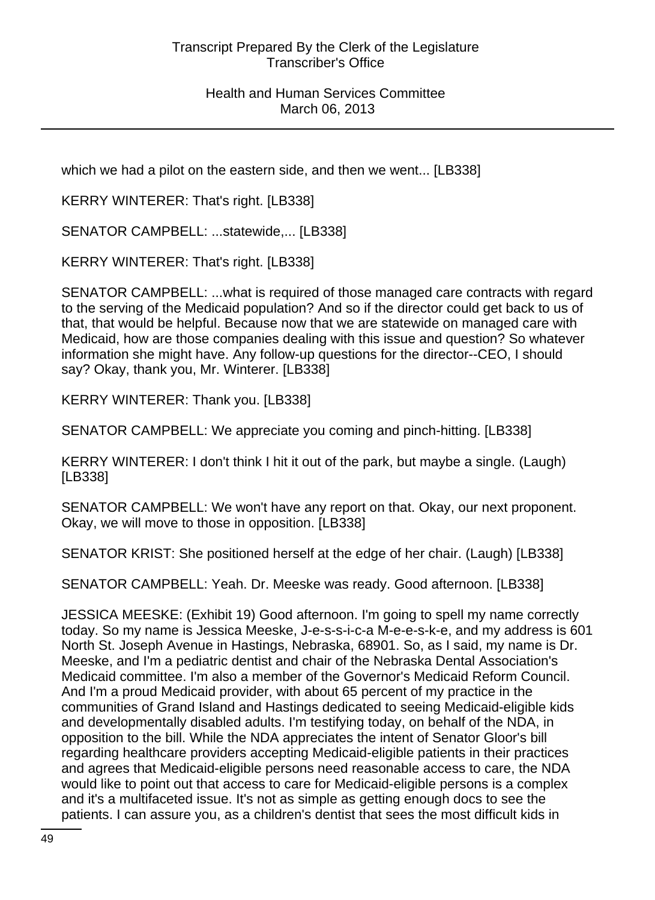which we had a pilot on the eastern side, and then we went... [LB338]

KERRY WINTERER: That's right. [LB338]

SENATOR CAMPBELL: ...statewide,... [LB338]

KERRY WINTERER: That's right. [LB338]

SENATOR CAMPBELL: ...what is required of those managed care contracts with regard to the serving of the Medicaid population? And so if the director could get back to us of that, that would be helpful. Because now that we are statewide on managed care with Medicaid, how are those companies dealing with this issue and question? So whatever information she might have. Any follow-up questions for the director--CEO, I should say? Okay, thank you, Mr. Winterer. [LB338]

KERRY WINTERER: Thank you. [LB338]

SENATOR CAMPBELL: We appreciate you coming and pinch-hitting. [LB338]

KERRY WINTERER: I don't think I hit it out of the park, but maybe a single. (Laugh) [LB338]

SENATOR CAMPBELL: We won't have any report on that. Okay, our next proponent. Okay, we will move to those in opposition. [LB338]

SENATOR KRIST: She positioned herself at the edge of her chair. (Laugh) [LB338]

SENATOR CAMPBELL: Yeah. Dr. Meeske was ready. Good afternoon. [LB338]

JESSICA MEESKE: (Exhibit 19) Good afternoon. I'm going to spell my name correctly today. So my name is Jessica Meeske, J-e-s-s-i-c-a M-e-e-s-k-e, and my address is 601 North St. Joseph Avenue in Hastings, Nebraska, 68901. So, as I said, my name is Dr. Meeske, and I'm a pediatric dentist and chair of the Nebraska Dental Association's Medicaid committee. I'm also a member of the Governor's Medicaid Reform Council. And I'm a proud Medicaid provider, with about 65 percent of my practice in the communities of Grand Island and Hastings dedicated to seeing Medicaid-eligible kids and developmentally disabled adults. I'm testifying today, on behalf of the NDA, in opposition to the bill. While the NDA appreciates the intent of Senator Gloor's bill regarding healthcare providers accepting Medicaid-eligible patients in their practices and agrees that Medicaid-eligible persons need reasonable access to care, the NDA would like to point out that access to care for Medicaid-eligible persons is a complex and it's a multifaceted issue. It's not as simple as getting enough docs to see the patients. I can assure you, as a children's dentist that sees the most difficult kids in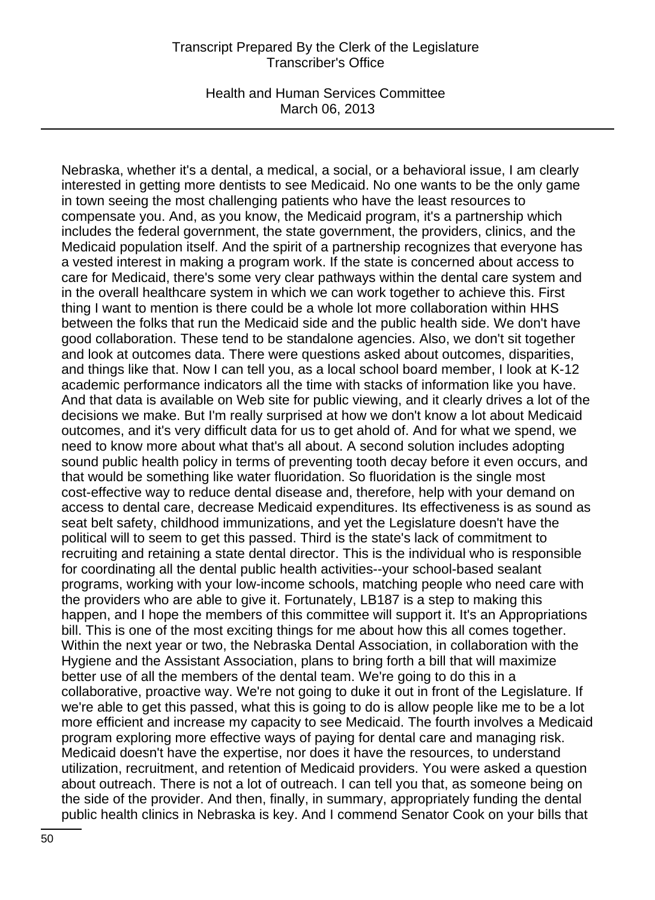Health and Human Services Committee March 06, 2013

Nebraska, whether it's a dental, a medical, a social, or a behavioral issue, I am clearly interested in getting more dentists to see Medicaid. No one wants to be the only game in town seeing the most challenging patients who have the least resources to compensate you. And, as you know, the Medicaid program, it's a partnership which includes the federal government, the state government, the providers, clinics, and the Medicaid population itself. And the spirit of a partnership recognizes that everyone has a vested interest in making a program work. If the state is concerned about access to care for Medicaid, there's some very clear pathways within the dental care system and in the overall healthcare system in which we can work together to achieve this. First thing I want to mention is there could be a whole lot more collaboration within HHS between the folks that run the Medicaid side and the public health side. We don't have good collaboration. These tend to be standalone agencies. Also, we don't sit together and look at outcomes data. There were questions asked about outcomes, disparities, and things like that. Now I can tell you, as a local school board member, I look at K-12 academic performance indicators all the time with stacks of information like you have. And that data is available on Web site for public viewing, and it clearly drives a lot of the decisions we make. But I'm really surprised at how we don't know a lot about Medicaid outcomes, and it's very difficult data for us to get ahold of. And for what we spend, we need to know more about what that's all about. A second solution includes adopting sound public health policy in terms of preventing tooth decay before it even occurs, and that would be something like water fluoridation. So fluoridation is the single most cost-effective way to reduce dental disease and, therefore, help with your demand on access to dental care, decrease Medicaid expenditures. Its effectiveness is as sound as seat belt safety, childhood immunizations, and yet the Legislature doesn't have the political will to seem to get this passed. Third is the state's lack of commitment to recruiting and retaining a state dental director. This is the individual who is responsible for coordinating all the dental public health activities--your school-based sealant programs, working with your low-income schools, matching people who need care with the providers who are able to give it. Fortunately, LB187 is a step to making this happen, and I hope the members of this committee will support it. It's an Appropriations bill. This is one of the most exciting things for me about how this all comes together. Within the next year or two, the Nebraska Dental Association, in collaboration with the Hygiene and the Assistant Association, plans to bring forth a bill that will maximize better use of all the members of the dental team. We're going to do this in a collaborative, proactive way. We're not going to duke it out in front of the Legislature. If we're able to get this passed, what this is going to do is allow people like me to be a lot more efficient and increase my capacity to see Medicaid. The fourth involves a Medicaid program exploring more effective ways of paying for dental care and managing risk. Medicaid doesn't have the expertise, nor does it have the resources, to understand utilization, recruitment, and retention of Medicaid providers. You were asked a question about outreach. There is not a lot of outreach. I can tell you that, as someone being on the side of the provider. And then, finally, in summary, appropriately funding the dental public health clinics in Nebraska is key. And I commend Senator Cook on your bills that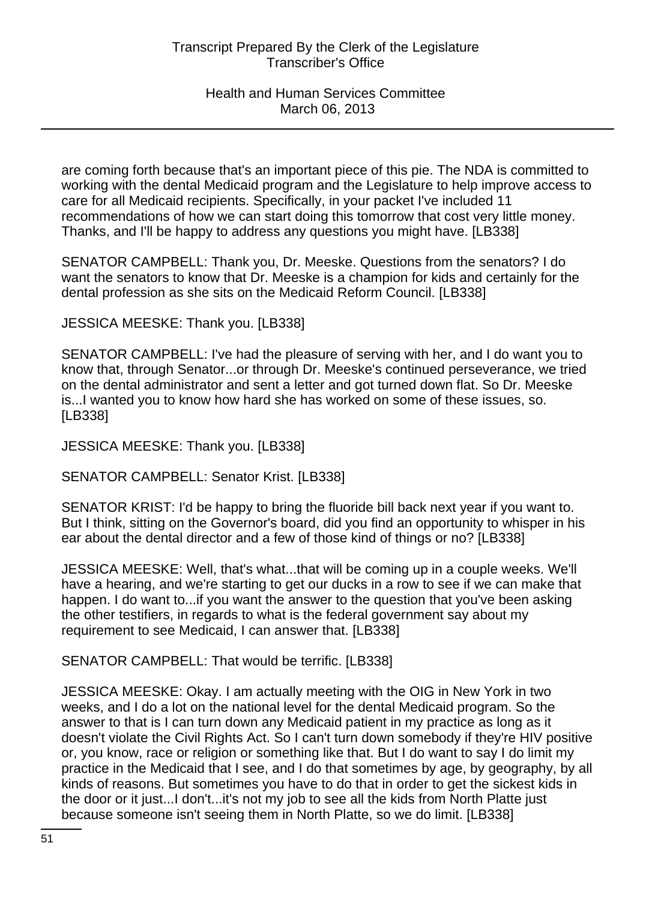are coming forth because that's an important piece of this pie. The NDA is committed to working with the dental Medicaid program and the Legislature to help improve access to care for all Medicaid recipients. Specifically, in your packet I've included 11 recommendations of how we can start doing this tomorrow that cost very little money. Thanks, and I'll be happy to address any questions you might have. [LB338]

SENATOR CAMPBELL: Thank you, Dr. Meeske. Questions from the senators? I do want the senators to know that Dr. Meeske is a champion for kids and certainly for the dental profession as she sits on the Medicaid Reform Council. [LB338]

JESSICA MEESKE: Thank you. [LB338]

SENATOR CAMPBELL: I've had the pleasure of serving with her, and I do want you to know that, through Senator...or through Dr. Meeske's continued perseverance, we tried on the dental administrator and sent a letter and got turned down flat. So Dr. Meeske is...I wanted you to know how hard she has worked on some of these issues, so. [LB338]

JESSICA MEESKE: Thank you. [LB338]

SENATOR CAMPBELL: Senator Krist. [LB338]

SENATOR KRIST: I'd be happy to bring the fluoride bill back next year if you want to. But I think, sitting on the Governor's board, did you find an opportunity to whisper in his ear about the dental director and a few of those kind of things or no? [LB338]

JESSICA MEESKE: Well, that's what...that will be coming up in a couple weeks. We'll have a hearing, and we're starting to get our ducks in a row to see if we can make that happen. I do want to...if you want the answer to the question that you've been asking the other testifiers, in regards to what is the federal government say about my requirement to see Medicaid, I can answer that. [LB338]

SENATOR CAMPBELL: That would be terrific. [LB338]

JESSICA MEESKE: Okay. I am actually meeting with the OIG in New York in two weeks, and I do a lot on the national level for the dental Medicaid program. So the answer to that is I can turn down any Medicaid patient in my practice as long as it doesn't violate the Civil Rights Act. So I can't turn down somebody if they're HIV positive or, you know, race or religion or something like that. But I do want to say I do limit my practice in the Medicaid that I see, and I do that sometimes by age, by geography, by all kinds of reasons. But sometimes you have to do that in order to get the sickest kids in the door or it just...I don't...it's not my job to see all the kids from North Platte just because someone isn't seeing them in North Platte, so we do limit. [LB338]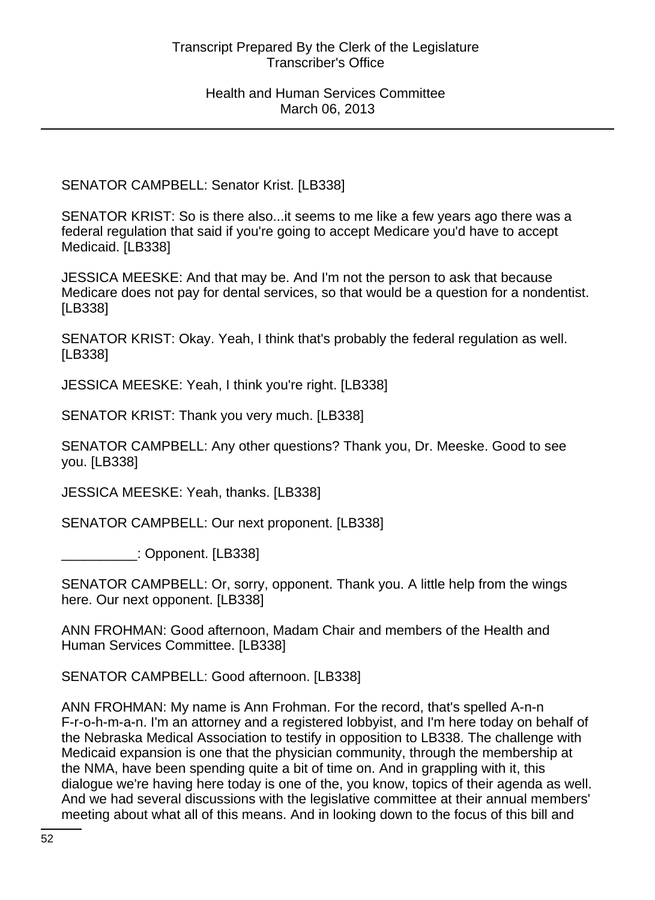SENATOR CAMPBELL: Senator Krist. [LB338]

SENATOR KRIST: So is there also...it seems to me like a few years ago there was a federal regulation that said if you're going to accept Medicare you'd have to accept Medicaid. [LB338]

JESSICA MEESKE: And that may be. And I'm not the person to ask that because Medicare does not pay for dental services, so that would be a question for a nondentist. [LB338]

SENATOR KRIST: Okay. Yeah, I think that's probably the federal regulation as well. [LB338]

JESSICA MEESKE: Yeah, I think you're right. [LB338]

SENATOR KRIST: Thank you very much. [LB338]

SENATOR CAMPBELL: Any other questions? Thank you, Dr. Meeske. Good to see you. [LB338]

JESSICA MEESKE: Yeah, thanks. [LB338]

SENATOR CAMPBELL: Our next proponent. [LB338]

\_\_\_\_\_\_\_\_\_\_: Opponent. [LB338]

SENATOR CAMPBELL: Or, sorry, opponent. Thank you. A little help from the wings here. Our next opponent. [LB338]

ANN FROHMAN: Good afternoon, Madam Chair and members of the Health and Human Services Committee. [LB338]

SENATOR CAMPBELL: Good afternoon. [LB338]

ANN FROHMAN: My name is Ann Frohman. For the record, that's spelled A-n-n F-r-o-h-m-a-n. I'm an attorney and a registered lobbyist, and I'm here today on behalf of the Nebraska Medical Association to testify in opposition to LB338. The challenge with Medicaid expansion is one that the physician community, through the membership at the NMA, have been spending quite a bit of time on. And in grappling with it, this dialogue we're having here today is one of the, you know, topics of their agenda as well. And we had several discussions with the legislative committee at their annual members' meeting about what all of this means. And in looking down to the focus of this bill and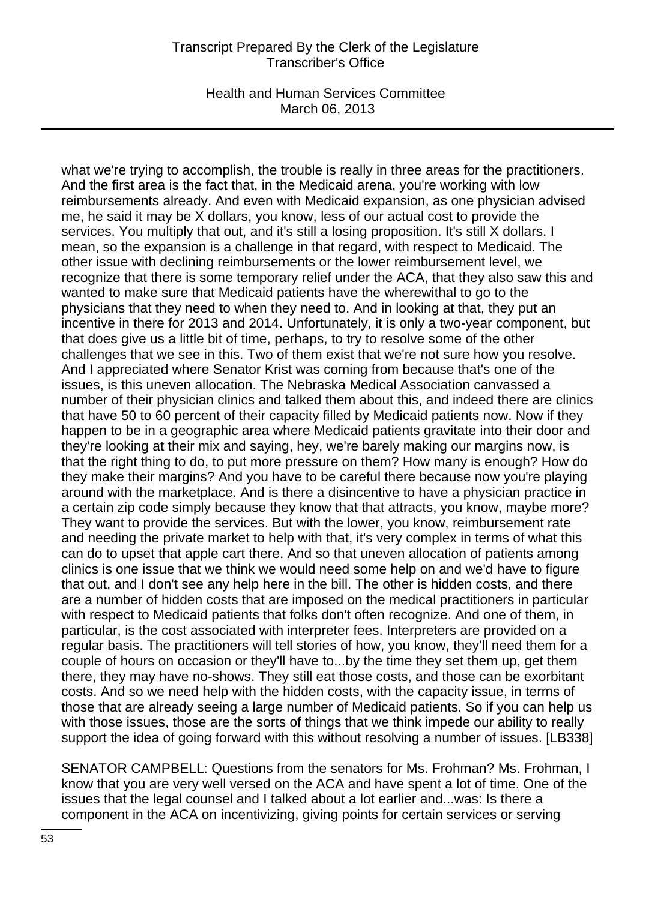Health and Human Services Committee March 06, 2013

what we're trying to accomplish, the trouble is really in three areas for the practitioners. And the first area is the fact that, in the Medicaid arena, you're working with low reimbursements already. And even with Medicaid expansion, as one physician advised me, he said it may be X dollars, you know, less of our actual cost to provide the services. You multiply that out, and it's still a losing proposition. It's still X dollars. I mean, so the expansion is a challenge in that regard, with respect to Medicaid. The other issue with declining reimbursements or the lower reimbursement level, we recognize that there is some temporary relief under the ACA, that they also saw this and wanted to make sure that Medicaid patients have the wherewithal to go to the physicians that they need to when they need to. And in looking at that, they put an incentive in there for 2013 and 2014. Unfortunately, it is only a two-year component, but that does give us a little bit of time, perhaps, to try to resolve some of the other challenges that we see in this. Two of them exist that we're not sure how you resolve. And I appreciated where Senator Krist was coming from because that's one of the issues, is this uneven allocation. The Nebraska Medical Association canvassed a number of their physician clinics and talked them about this, and indeed there are clinics that have 50 to 60 percent of their capacity filled by Medicaid patients now. Now if they happen to be in a geographic area where Medicaid patients gravitate into their door and they're looking at their mix and saying, hey, we're barely making our margins now, is that the right thing to do, to put more pressure on them? How many is enough? How do they make their margins? And you have to be careful there because now you're playing around with the marketplace. And is there a disincentive to have a physician practice in a certain zip code simply because they know that that attracts, you know, maybe more? They want to provide the services. But with the lower, you know, reimbursement rate and needing the private market to help with that, it's very complex in terms of what this can do to upset that apple cart there. And so that uneven allocation of patients among clinics is one issue that we think we would need some help on and we'd have to figure that out, and I don't see any help here in the bill. The other is hidden costs, and there are a number of hidden costs that are imposed on the medical practitioners in particular with respect to Medicaid patients that folks don't often recognize. And one of them, in particular, is the cost associated with interpreter fees. Interpreters are provided on a regular basis. The practitioners will tell stories of how, you know, they'll need them for a couple of hours on occasion or they'll have to...by the time they set them up, get them there, they may have no-shows. They still eat those costs, and those can be exorbitant costs. And so we need help with the hidden costs, with the capacity issue, in terms of those that are already seeing a large number of Medicaid patients. So if you can help us with those issues, those are the sorts of things that we think impede our ability to really support the idea of going forward with this without resolving a number of issues. [LB338]

SENATOR CAMPBELL: Questions from the senators for Ms. Frohman? Ms. Frohman, I know that you are very well versed on the ACA and have spent a lot of time. One of the issues that the legal counsel and I talked about a lot earlier and...was: Is there a component in the ACA on incentivizing, giving points for certain services or serving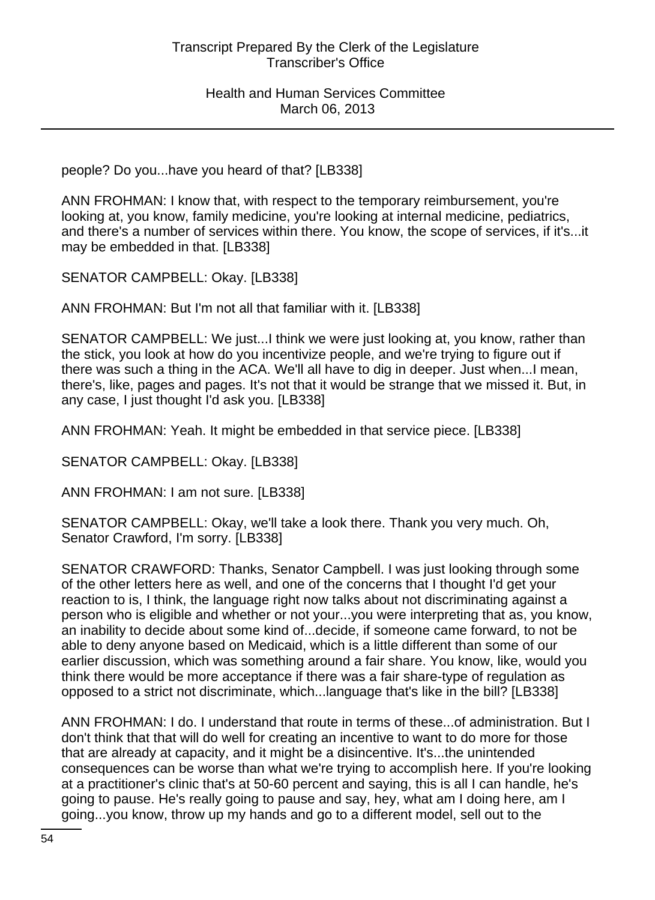people? Do you...have you heard of that? [LB338]

ANN FROHMAN: I know that, with respect to the temporary reimbursement, you're looking at, you know, family medicine, you're looking at internal medicine, pediatrics, and there's a number of services within there. You know, the scope of services, if it's...it may be embedded in that. [LB338]

SENATOR CAMPBELL: Okay. [LB338]

ANN FROHMAN: But I'm not all that familiar with it. [LB338]

SENATOR CAMPBELL: We just...I think we were just looking at, you know, rather than the stick, you look at how do you incentivize people, and we're trying to figure out if there was such a thing in the ACA. We'll all have to dig in deeper. Just when...I mean, there's, like, pages and pages. It's not that it would be strange that we missed it. But, in any case, I just thought I'd ask you. [LB338]

ANN FROHMAN: Yeah. It might be embedded in that service piece. [LB338]

SENATOR CAMPBELL: Okay. [LB338]

ANN FROHMAN: I am not sure. [LB338]

SENATOR CAMPBELL: Okay, we'll take a look there. Thank you very much. Oh, Senator Crawford, I'm sorry. [LB338]

SENATOR CRAWFORD: Thanks, Senator Campbell. I was just looking through some of the other letters here as well, and one of the concerns that I thought I'd get your reaction to is, I think, the language right now talks about not discriminating against a person who is eligible and whether or not your...you were interpreting that as, you know, an inability to decide about some kind of...decide, if someone came forward, to not be able to deny anyone based on Medicaid, which is a little different than some of our earlier discussion, which was something around a fair share. You know, like, would you think there would be more acceptance if there was a fair share-type of regulation as opposed to a strict not discriminate, which...language that's like in the bill? [LB338]

ANN FROHMAN: I do. I understand that route in terms of these...of administration. But I don't think that that will do well for creating an incentive to want to do more for those that are already at capacity, and it might be a disincentive. It's...the unintended consequences can be worse than what we're trying to accomplish here. If you're looking at a practitioner's clinic that's at 50-60 percent and saying, this is all I can handle, he's going to pause. He's really going to pause and say, hey, what am I doing here, am I going...you know, throw up my hands and go to a different model, sell out to the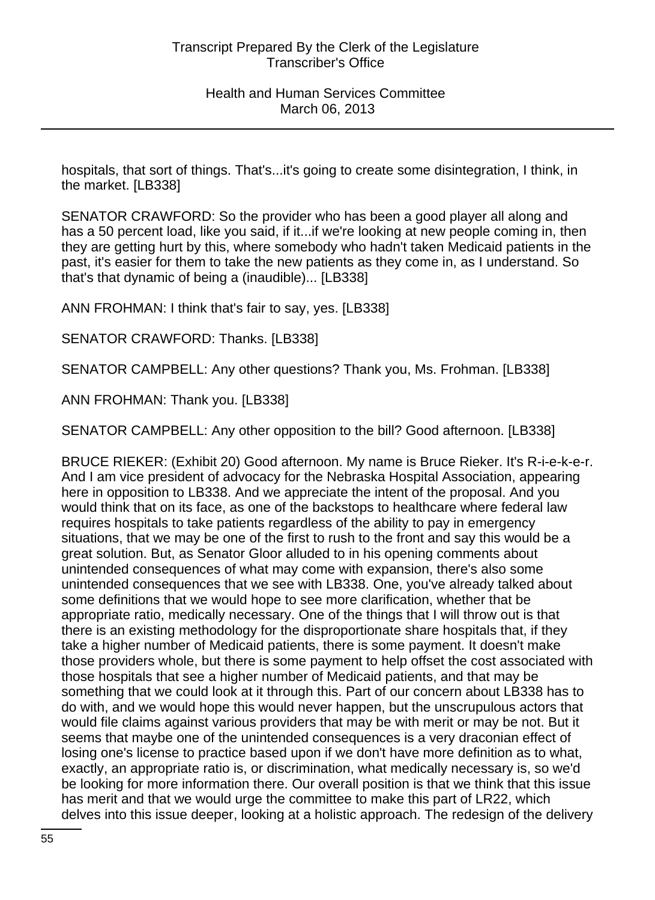hospitals, that sort of things. That's...it's going to create some disintegration, I think, in the market. [LB338]

SENATOR CRAWFORD: So the provider who has been a good player all along and has a 50 percent load, like you said, if it...if we're looking at new people coming in, then they are getting hurt by this, where somebody who hadn't taken Medicaid patients in the past, it's easier for them to take the new patients as they come in, as I understand. So that's that dynamic of being a (inaudible)... [LB338]

ANN FROHMAN: I think that's fair to say, yes. [LB338]

SENATOR CRAWFORD: Thanks. [LB338]

SENATOR CAMPBELL: Any other questions? Thank you, Ms. Frohman. [LB338]

ANN FROHMAN: Thank you. [LB338]

SENATOR CAMPBELL: Any other opposition to the bill? Good afternoon. [LB338]

BRUCE RIEKER: (Exhibit 20) Good afternoon. My name is Bruce Rieker. It's R-i-e-k-e-r. And I am vice president of advocacy for the Nebraska Hospital Association, appearing here in opposition to LB338. And we appreciate the intent of the proposal. And you would think that on its face, as one of the backstops to healthcare where federal law requires hospitals to take patients regardless of the ability to pay in emergency situations, that we may be one of the first to rush to the front and say this would be a great solution. But, as Senator Gloor alluded to in his opening comments about unintended consequences of what may come with expansion, there's also some unintended consequences that we see with LB338. One, you've already talked about some definitions that we would hope to see more clarification, whether that be appropriate ratio, medically necessary. One of the things that I will throw out is that there is an existing methodology for the disproportionate share hospitals that, if they take a higher number of Medicaid patients, there is some payment. It doesn't make those providers whole, but there is some payment to help offset the cost associated with those hospitals that see a higher number of Medicaid patients, and that may be something that we could look at it through this. Part of our concern about LB338 has to do with, and we would hope this would never happen, but the unscrupulous actors that would file claims against various providers that may be with merit or may be not. But it seems that maybe one of the unintended consequences is a very draconian effect of losing one's license to practice based upon if we don't have more definition as to what, exactly, an appropriate ratio is, or discrimination, what medically necessary is, so we'd be looking for more information there. Our overall position is that we think that this issue has merit and that we would urge the committee to make this part of LR22, which delves into this issue deeper, looking at a holistic approach. The redesign of the delivery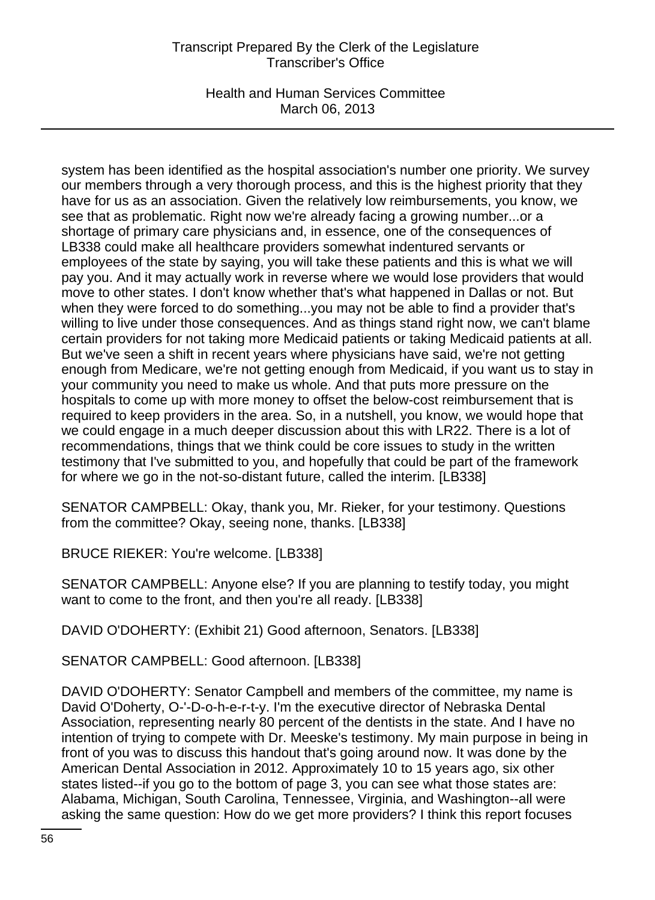Health and Human Services Committee March 06, 2013

system has been identified as the hospital association's number one priority. We survey our members through a very thorough process, and this is the highest priority that they have for us as an association. Given the relatively low reimbursements, you know, we see that as problematic. Right now we're already facing a growing number...or a shortage of primary care physicians and, in essence, one of the consequences of LB338 could make all healthcare providers somewhat indentured servants or employees of the state by saying, you will take these patients and this is what we will pay you. And it may actually work in reverse where we would lose providers that would move to other states. I don't know whether that's what happened in Dallas or not. But when they were forced to do something...you may not be able to find a provider that's willing to live under those consequences. And as things stand right now, we can't blame certain providers for not taking more Medicaid patients or taking Medicaid patients at all. But we've seen a shift in recent years where physicians have said, we're not getting enough from Medicare, we're not getting enough from Medicaid, if you want us to stay in your community you need to make us whole. And that puts more pressure on the hospitals to come up with more money to offset the below-cost reimbursement that is required to keep providers in the area. So, in a nutshell, you know, we would hope that we could engage in a much deeper discussion about this with LR22. There is a lot of recommendations, things that we think could be core issues to study in the written testimony that I've submitted to you, and hopefully that could be part of the framework for where we go in the not-so-distant future, called the interim. [LB338]

SENATOR CAMPBELL: Okay, thank you, Mr. Rieker, for your testimony. Questions from the committee? Okay, seeing none, thanks. [LB338]

BRUCE RIEKER: You're welcome. [LB338]

SENATOR CAMPBELL: Anyone else? If you are planning to testify today, you might want to come to the front, and then you're all ready. [LB338]

DAVID O'DOHERTY: (Exhibit 21) Good afternoon, Senators. [LB338]

SENATOR CAMPBELL: Good afternoon. [LB338]

DAVID O'DOHERTY: Senator Campbell and members of the committee, my name is David O'Doherty, O-'-D-o-h-e-r-t-y. I'm the executive director of Nebraska Dental Association, representing nearly 80 percent of the dentists in the state. And I have no intention of trying to compete with Dr. Meeske's testimony. My main purpose in being in front of you was to discuss this handout that's going around now. It was done by the American Dental Association in 2012. Approximately 10 to 15 years ago, six other states listed--if you go to the bottom of page 3, you can see what those states are: Alabama, Michigan, South Carolina, Tennessee, Virginia, and Washington--all were asking the same question: How do we get more providers? I think this report focuses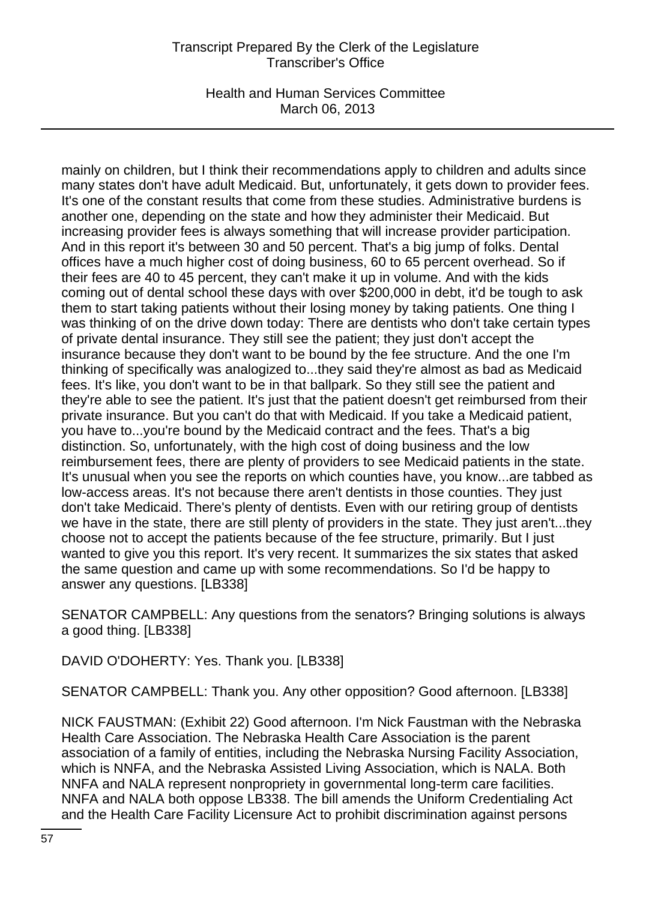Health and Human Services Committee March 06, 2013

mainly on children, but I think their recommendations apply to children and adults since many states don't have adult Medicaid. But, unfortunately, it gets down to provider fees. It's one of the constant results that come from these studies. Administrative burdens is another one, depending on the state and how they administer their Medicaid. But increasing provider fees is always something that will increase provider participation. And in this report it's between 30 and 50 percent. That's a big jump of folks. Dental offices have a much higher cost of doing business, 60 to 65 percent overhead. So if their fees are 40 to 45 percent, they can't make it up in volume. And with the kids coming out of dental school these days with over \$200,000 in debt, it'd be tough to ask them to start taking patients without their losing money by taking patients. One thing I was thinking of on the drive down today: There are dentists who don't take certain types of private dental insurance. They still see the patient; they just don't accept the insurance because they don't want to be bound by the fee structure. And the one I'm thinking of specifically was analogized to...they said they're almost as bad as Medicaid fees. It's like, you don't want to be in that ballpark. So they still see the patient and they're able to see the patient. It's just that the patient doesn't get reimbursed from their private insurance. But you can't do that with Medicaid. If you take a Medicaid patient, you have to...you're bound by the Medicaid contract and the fees. That's a big distinction. So, unfortunately, with the high cost of doing business and the low reimbursement fees, there are plenty of providers to see Medicaid patients in the state. It's unusual when you see the reports on which counties have, you know...are tabbed as low-access areas. It's not because there aren't dentists in those counties. They just don't take Medicaid. There's plenty of dentists. Even with our retiring group of dentists we have in the state, there are still plenty of providers in the state. They just aren't...they choose not to accept the patients because of the fee structure, primarily. But I just wanted to give you this report. It's very recent. It summarizes the six states that asked the same question and came up with some recommendations. So I'd be happy to answer any questions. [LB338]

SENATOR CAMPBELL: Any questions from the senators? Bringing solutions is always a good thing. [LB338]

DAVID O'DOHERTY: Yes. Thank you. [LB338]

SENATOR CAMPBELL: Thank you. Any other opposition? Good afternoon. [LB338]

NICK FAUSTMAN: (Exhibit 22) Good afternoon. I'm Nick Faustman with the Nebraska Health Care Association. The Nebraska Health Care Association is the parent association of a family of entities, including the Nebraska Nursing Facility Association, which is NNFA, and the Nebraska Assisted Living Association, which is NALA. Both NNFA and NALA represent nonpropriety in governmental long-term care facilities. NNFA and NALA both oppose LB338. The bill amends the Uniform Credentialing Act and the Health Care Facility Licensure Act to prohibit discrimination against persons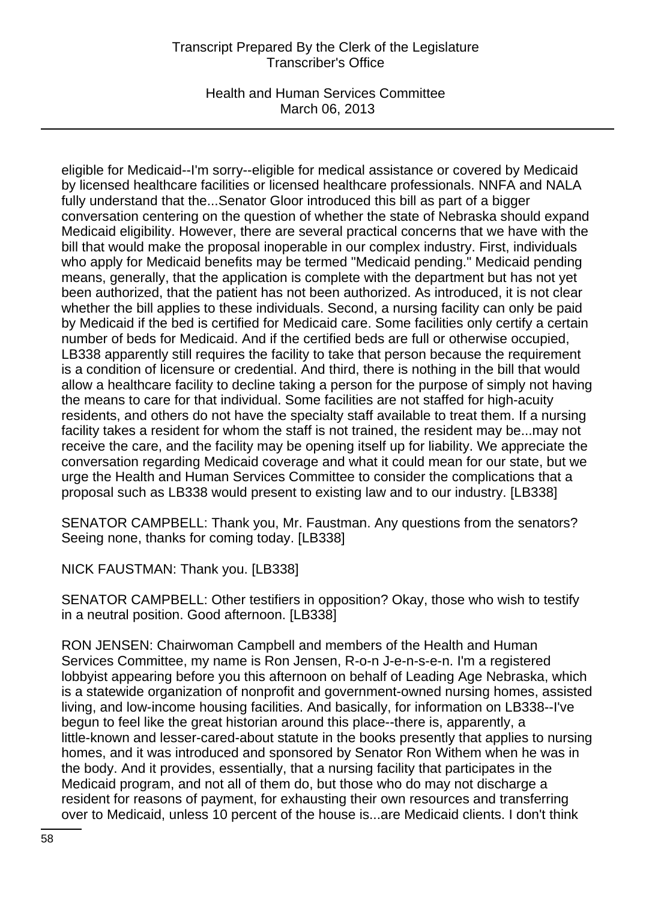Health and Human Services Committee March 06, 2013

eligible for Medicaid--I'm sorry--eligible for medical assistance or covered by Medicaid by licensed healthcare facilities or licensed healthcare professionals. NNFA and NALA fully understand that the...Senator Gloor introduced this bill as part of a bigger conversation centering on the question of whether the state of Nebraska should expand Medicaid eligibility. However, there are several practical concerns that we have with the bill that would make the proposal inoperable in our complex industry. First, individuals who apply for Medicaid benefits may be termed "Medicaid pending." Medicaid pending means, generally, that the application is complete with the department but has not yet been authorized, that the patient has not been authorized. As introduced, it is not clear whether the bill applies to these individuals. Second, a nursing facility can only be paid by Medicaid if the bed is certified for Medicaid care. Some facilities only certify a certain number of beds for Medicaid. And if the certified beds are full or otherwise occupied, LB338 apparently still requires the facility to take that person because the requirement is a condition of licensure or credential. And third, there is nothing in the bill that would allow a healthcare facility to decline taking a person for the purpose of simply not having the means to care for that individual. Some facilities are not staffed for high-acuity residents, and others do not have the specialty staff available to treat them. If a nursing facility takes a resident for whom the staff is not trained, the resident may be...may not receive the care, and the facility may be opening itself up for liability. We appreciate the conversation regarding Medicaid coverage and what it could mean for our state, but we urge the Health and Human Services Committee to consider the complications that a proposal such as LB338 would present to existing law and to our industry. [LB338]

SENATOR CAMPBELL: Thank you, Mr. Faustman. Any questions from the senators? Seeing none, thanks for coming today. [LB338]

NICK FAUSTMAN: Thank you. [LB338]

SENATOR CAMPBELL: Other testifiers in opposition? Okay, those who wish to testify in a neutral position. Good afternoon. [LB338]

RON JENSEN: Chairwoman Campbell and members of the Health and Human Services Committee, my name is Ron Jensen, R-o-n J-e-n-s-e-n. I'm a registered lobbyist appearing before you this afternoon on behalf of Leading Age Nebraska, which is a statewide organization of nonprofit and government-owned nursing homes, assisted living, and low-income housing facilities. And basically, for information on LB338--I've begun to feel like the great historian around this place--there is, apparently, a little-known and lesser-cared-about statute in the books presently that applies to nursing homes, and it was introduced and sponsored by Senator Ron Withem when he was in the body. And it provides, essentially, that a nursing facility that participates in the Medicaid program, and not all of them do, but those who do may not discharge a resident for reasons of payment, for exhausting their own resources and transferring over to Medicaid, unless 10 percent of the house is...are Medicaid clients. I don't think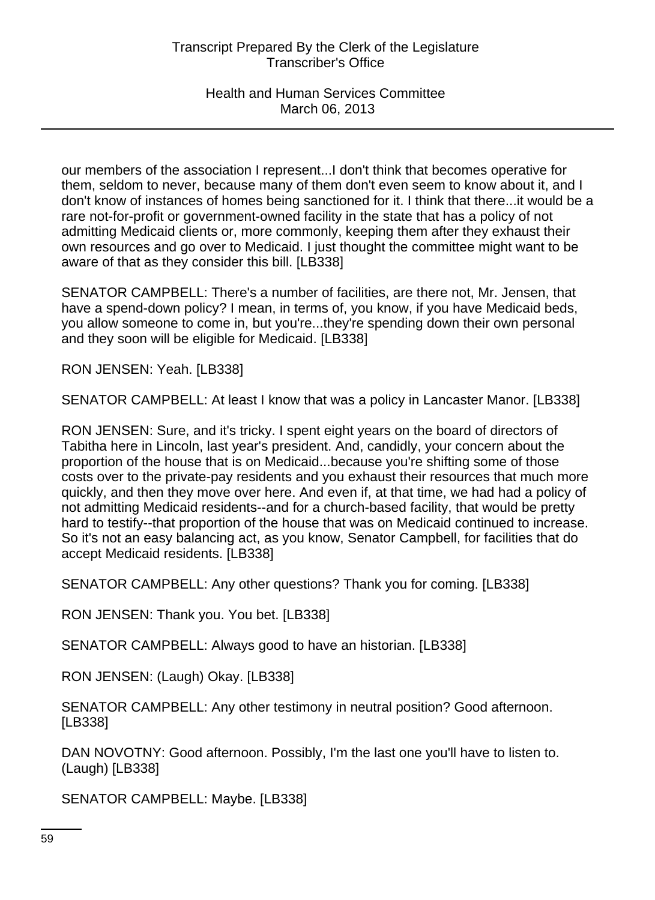our members of the association I represent...I don't think that becomes operative for them, seldom to never, because many of them don't even seem to know about it, and I don't know of instances of homes being sanctioned for it. I think that there...it would be a rare not-for-profit or government-owned facility in the state that has a policy of not admitting Medicaid clients or, more commonly, keeping them after they exhaust their own resources and go over to Medicaid. I just thought the committee might want to be aware of that as they consider this bill. [LB338]

SENATOR CAMPBELL: There's a number of facilities, are there not, Mr. Jensen, that have a spend-down policy? I mean, in terms of, you know, if you have Medicaid beds, you allow someone to come in, but you're...they're spending down their own personal and they soon will be eligible for Medicaid. [LB338]

RON JENSEN: Yeah. [LB338]

SENATOR CAMPBELL: At least I know that was a policy in Lancaster Manor. [LB338]

RON JENSEN: Sure, and it's tricky. I spent eight years on the board of directors of Tabitha here in Lincoln, last year's president. And, candidly, your concern about the proportion of the house that is on Medicaid...because you're shifting some of those costs over to the private-pay residents and you exhaust their resources that much more quickly, and then they move over here. And even if, at that time, we had had a policy of not admitting Medicaid residents--and for a church-based facility, that would be pretty hard to testify--that proportion of the house that was on Medicaid continued to increase. So it's not an easy balancing act, as you know, Senator Campbell, for facilities that do accept Medicaid residents. [LB338]

SENATOR CAMPBELL: Any other questions? Thank you for coming. [LB338]

RON JENSEN: Thank you. You bet. [LB338]

SENATOR CAMPBELL: Always good to have an historian. [LB338]

RON JENSEN: (Laugh) Okay. [LB338]

SENATOR CAMPBELL: Any other testimony in neutral position? Good afternoon. [LB338]

DAN NOVOTNY: Good afternoon. Possibly, I'm the last one you'll have to listen to. (Laugh) [LB338]

SENATOR CAMPBELL: Maybe. [LB338]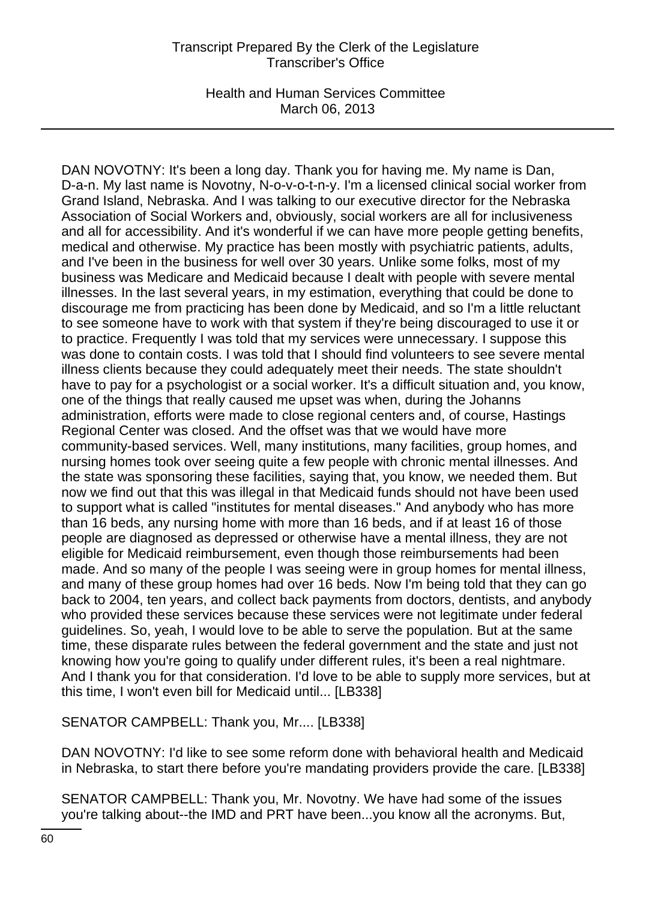Health and Human Services Committee March 06, 2013

DAN NOVOTNY: It's been a long day. Thank you for having me. My name is Dan, D-a-n. My last name is Novotny, N-o-v-o-t-n-y. I'm a licensed clinical social worker from Grand Island, Nebraska. And I was talking to our executive director for the Nebraska Association of Social Workers and, obviously, social workers are all for inclusiveness and all for accessibility. And it's wonderful if we can have more people getting benefits, medical and otherwise. My practice has been mostly with psychiatric patients, adults, and I've been in the business for well over 30 years. Unlike some folks, most of my business was Medicare and Medicaid because I dealt with people with severe mental illnesses. In the last several years, in my estimation, everything that could be done to discourage me from practicing has been done by Medicaid, and so I'm a little reluctant to see someone have to work with that system if they're being discouraged to use it or to practice. Frequently I was told that my services were unnecessary. I suppose this was done to contain costs. I was told that I should find volunteers to see severe mental illness clients because they could adequately meet their needs. The state shouldn't have to pay for a psychologist or a social worker. It's a difficult situation and, you know, one of the things that really caused me upset was when, during the Johanns administration, efforts were made to close regional centers and, of course, Hastings Regional Center was closed. And the offset was that we would have more community-based services. Well, many institutions, many facilities, group homes, and nursing homes took over seeing quite a few people with chronic mental illnesses. And the state was sponsoring these facilities, saying that, you know, we needed them. But now we find out that this was illegal in that Medicaid funds should not have been used to support what is called "institutes for mental diseases." And anybody who has more than 16 beds, any nursing home with more than 16 beds, and if at least 16 of those people are diagnosed as depressed or otherwise have a mental illness, they are not eligible for Medicaid reimbursement, even though those reimbursements had been made. And so many of the people I was seeing were in group homes for mental illness, and many of these group homes had over 16 beds. Now I'm being told that they can go back to 2004, ten years, and collect back payments from doctors, dentists, and anybody who provided these services because these services were not legitimate under federal guidelines. So, yeah, I would love to be able to serve the population. But at the same time, these disparate rules between the federal government and the state and just not knowing how you're going to qualify under different rules, it's been a real nightmare. And I thank you for that consideration. I'd love to be able to supply more services, but at this time, I won't even bill for Medicaid until... [LB338]

SENATOR CAMPBELL: Thank you, Mr.... [LB338]

DAN NOVOTNY: I'd like to see some reform done with behavioral health and Medicaid in Nebraska, to start there before you're mandating providers provide the care. [LB338]

SENATOR CAMPBELL: Thank you, Mr. Novotny. We have had some of the issues you're talking about--the IMD and PRT have been...you know all the acronyms. But,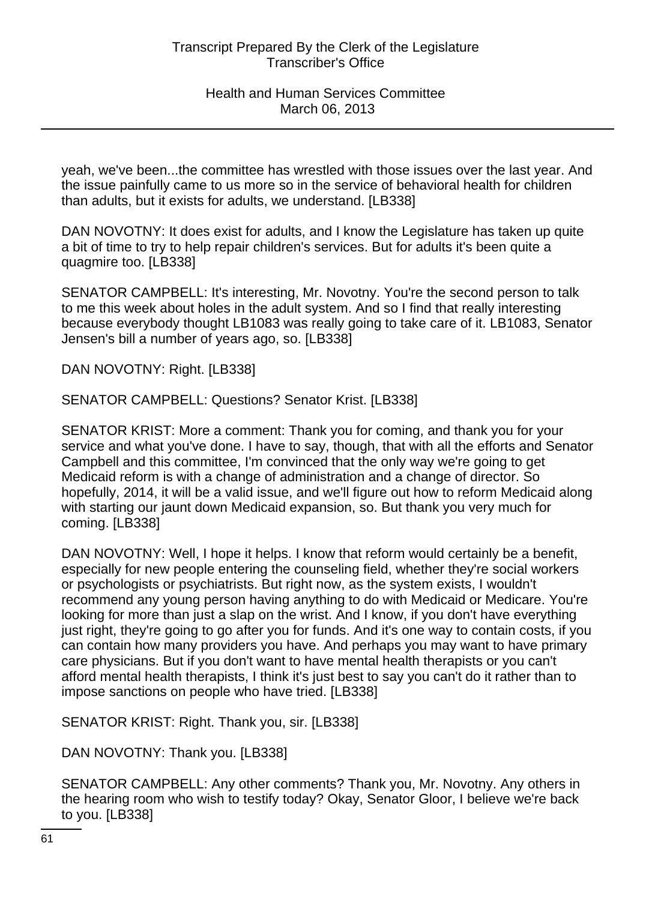yeah, we've been...the committee has wrestled with those issues over the last year. And the issue painfully came to us more so in the service of behavioral health for children than adults, but it exists for adults, we understand. [LB338]

DAN NOVOTNY: It does exist for adults, and I know the Legislature has taken up quite a bit of time to try to help repair children's services. But for adults it's been quite a quagmire too. [LB338]

SENATOR CAMPBELL: It's interesting, Mr. Novotny. You're the second person to talk to me this week about holes in the adult system. And so I find that really interesting because everybody thought LB1083 was really going to take care of it. LB1083, Senator Jensen's bill a number of years ago, so. [LB338]

DAN NOVOTNY: Right. [LB338]

SENATOR CAMPBELL: Questions? Senator Krist. [LB338]

SENATOR KRIST: More a comment: Thank you for coming, and thank you for your service and what you've done. I have to say, though, that with all the efforts and Senator Campbell and this committee, I'm convinced that the only way we're going to get Medicaid reform is with a change of administration and a change of director. So hopefully, 2014, it will be a valid issue, and we'll figure out how to reform Medicaid along with starting our jaunt down Medicaid expansion, so. But thank you very much for coming. [LB338]

DAN NOVOTNY: Well, I hope it helps. I know that reform would certainly be a benefit, especially for new people entering the counseling field, whether they're social workers or psychologists or psychiatrists. But right now, as the system exists, I wouldn't recommend any young person having anything to do with Medicaid or Medicare. You're looking for more than just a slap on the wrist. And I know, if you don't have everything just right, they're going to go after you for funds. And it's one way to contain costs, if you can contain how many providers you have. And perhaps you may want to have primary care physicians. But if you don't want to have mental health therapists or you can't afford mental health therapists, I think it's just best to say you can't do it rather than to impose sanctions on people who have tried. [LB338]

SENATOR KRIST: Right. Thank you, sir. [LB338]

DAN NOVOTNY: Thank you. [LB338]

SENATOR CAMPBELL: Any other comments? Thank you, Mr. Novotny. Any others in the hearing room who wish to testify today? Okay, Senator Gloor, I believe we're back to you. [LB338]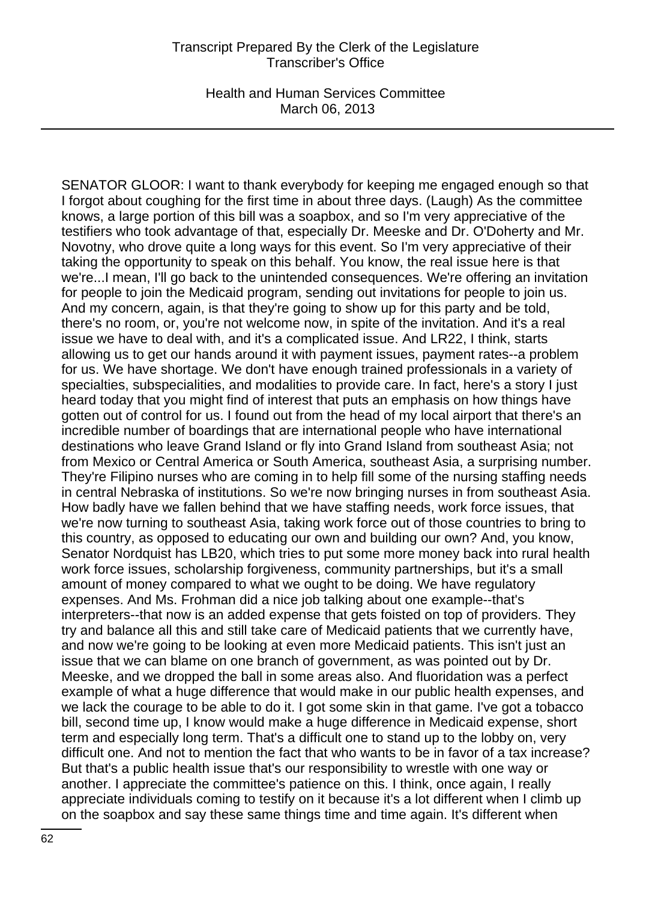Health and Human Services Committee March 06, 2013

SENATOR GLOOR: I want to thank everybody for keeping me engaged enough so that I forgot about coughing for the first time in about three days. (Laugh) As the committee knows, a large portion of this bill was a soapbox, and so I'm very appreciative of the testifiers who took advantage of that, especially Dr. Meeske and Dr. O'Doherty and Mr. Novotny, who drove quite a long ways for this event. So I'm very appreciative of their taking the opportunity to speak on this behalf. You know, the real issue here is that we're...I mean, I'll go back to the unintended consequences. We're offering an invitation for people to join the Medicaid program, sending out invitations for people to join us. And my concern, again, is that they're going to show up for this party and be told, there's no room, or, you're not welcome now, in spite of the invitation. And it's a real issue we have to deal with, and it's a complicated issue. And LR22, I think, starts allowing us to get our hands around it with payment issues, payment rates--a problem for us. We have shortage. We don't have enough trained professionals in a variety of specialties, subspecialities, and modalities to provide care. In fact, here's a story I just heard today that you might find of interest that puts an emphasis on how things have gotten out of control for us. I found out from the head of my local airport that there's an incredible number of boardings that are international people who have international destinations who leave Grand Island or fly into Grand Island from southeast Asia; not from Mexico or Central America or South America, southeast Asia, a surprising number. They're Filipino nurses who are coming in to help fill some of the nursing staffing needs in central Nebraska of institutions. So we're now bringing nurses in from southeast Asia. How badly have we fallen behind that we have staffing needs, work force issues, that we're now turning to southeast Asia, taking work force out of those countries to bring to this country, as opposed to educating our own and building our own? And, you know, Senator Nordquist has LB20, which tries to put some more money back into rural health work force issues, scholarship forgiveness, community partnerships, but it's a small amount of money compared to what we ought to be doing. We have regulatory expenses. And Ms. Frohman did a nice job talking about one example--that's interpreters--that now is an added expense that gets foisted on top of providers. They try and balance all this and still take care of Medicaid patients that we currently have, and now we're going to be looking at even more Medicaid patients. This isn't just an issue that we can blame on one branch of government, as was pointed out by Dr. Meeske, and we dropped the ball in some areas also. And fluoridation was a perfect example of what a huge difference that would make in our public health expenses, and we lack the courage to be able to do it. I got some skin in that game. I've got a tobacco bill, second time up, I know would make a huge difference in Medicaid expense, short term and especially long term. That's a difficult one to stand up to the lobby on, very difficult one. And not to mention the fact that who wants to be in favor of a tax increase? But that's a public health issue that's our responsibility to wrestle with one way or another. I appreciate the committee's patience on this. I think, once again, I really appreciate individuals coming to testify on it because it's a lot different when I climb up on the soapbox and say these same things time and time again. It's different when